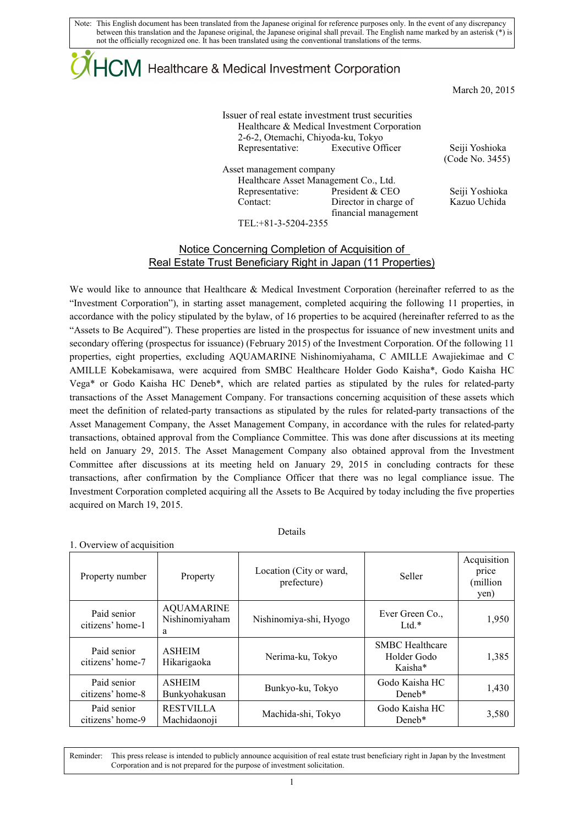## $\mathsf{ICM}\xspace$  Healthcare & Medical Investment Corporation

March 20, 2015

### Issuer of real estate investment trust securities Healthcare & Medical Investment Corporation 2-6-2, Otemachi, Chiyoda-ku, Tokyo Representative: Executive Officer Seiji Yoshioka

Asset management company Healthcare Asset Management Co., Ltd.

Representative: President & CEO Seiji Yoshioka Contact: Director in charge of financial management

(Code No. 3455)

Kazuo Uchida

TEL:+81-3-5204-2355

### Notice Concerning Completion of Acquisition of Real Estate Trust Beneficiary Right in Japan (11 Properties)

We would like to announce that Healthcare & Medical Investment Corporation (hereinafter referred to as the "Investment Corporation"), in starting asset management, completed acquiring the following 11 properties, in accordance with the policy stipulated by the bylaw, of 16 properties to be acquired (hereinafter referred to as the "Assets to Be Acquired"). These properties are listed in the prospectus for issuance of new investment units and secondary offering (prospectus for issuance) (February 2015) of the Investment Corporation. Of the following 11 properties, eight properties, excluding AQUAMARINE Nishinomiyahama, C AMILLE Awajiekimae and C AMILLE Kobekamisawa, were acquired from SMBC Healthcare Holder Godo Kaisha\*, Godo Kaisha HC Vega\* or Godo Kaisha HC Deneb\*, which are related parties as stipulated by the rules for related-party transactions of the Asset Management Company. For transactions concerning acquisition of these assets which meet the definition of related-party transactions as stipulated by the rules for related-party transactions of the Asset Management Company, the Asset Management Company, in accordance with the rules for related-party transactions, obtained approval from the Compliance Committee. This was done after discussions at its meeting held on January 29, 2015. The Asset Management Company also obtained approval from the Investment Committee after discussions at its meeting held on January 29, 2015 in concluding contracts for these transactions, after confirmation by the Compliance Officer that there was no legal compliance issue. The Investment Corporation completed acquiring all the Assets to Be Acquired by today including the five properties acquired on March 19, 2015.

### Details

1. Overview of acquisition

| Property number                 | Property                                 | Location (City or ward,<br>prefecture) | Seller                                           | Acquisition<br>price<br>(million<br>yen) |
|---------------------------------|------------------------------------------|----------------------------------------|--------------------------------------------------|------------------------------------------|
| Paid senior<br>citizens' home-1 | <b>AQUAMARINE</b><br>Nishinomiyaham<br>a | Nishinomiya-shi, Hyogo                 | Ever Green Co.,<br>$1$ td.*                      | 1,950                                    |
| Paid senior<br>citizens' home-7 | <b>ASHEIM</b><br>Hikarigaoka             | Nerima-ku, Tokyo                       | <b>SMBC</b> Healthcare<br>Holder Godo<br>Kaisha* | 1,385                                    |
| Paid senior<br>citizens' home-8 | <b>ASHEIM</b><br>Bunkyohakusan           | Bunkyo-ku, Tokyo                       | Godo Kaisha HC<br>Dene <sub>b</sub> *            | 1,430                                    |
| Paid senior<br>citizens' home-9 | <b>RESTVILLA</b><br>Machidaonoji         | Machida-shi, Tokyo                     | Godo Kaisha HC<br>Dene <sub>b</sub> *            | 3,580                                    |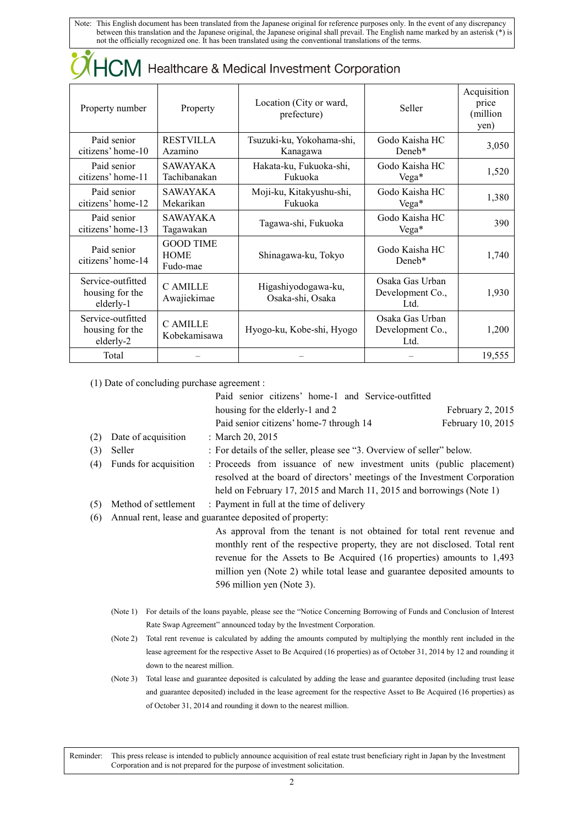| <b>OHCM</b> Healthcare & Medical Investment Corporation |                                             |                                         |                                             |                                          |
|---------------------------------------------------------|---------------------------------------------|-----------------------------------------|---------------------------------------------|------------------------------------------|
| Property number                                         | Property                                    | Location (City or ward,<br>prefecture)  | Seller                                      | Acquisition<br>price<br>(million<br>yen) |
| Paid senior<br>citizens' home-10                        | <b>RESTVILLA</b><br>Azamino                 | Tsuzuki-ku, Yokohama-shi,<br>Kanagawa   | Godo Kaisha HC<br>Dene <sub>b</sub> *       | 3,050                                    |
| Paid senior<br>citizens' home-11                        | <b>SAWAYAKA</b><br>Tachibanakan             | Hakata-ku, Fukuoka-shi,<br>Fukuoka      | Godo Kaisha HC<br>$Vega*$                   | 1,520                                    |
| Paid senior<br>citizens' home-12                        | <b>SAWAYAKA</b><br>Mekarikan                | Moji-ku, Kitakyushu-shi,<br>Fukuoka     | Godo Kaisha HC<br>$Vega*$                   | 1,380                                    |
| Paid senior<br>citizens' home-13                        | <b>SAWAYAKA</b><br>Tagawakan                | Tagawa-shi, Fukuoka                     | Godo Kaisha HC<br>$Vega*$                   | 390                                      |
| Paid senior<br>citizens' home-14                        | <b>GOOD TIME</b><br><b>HOME</b><br>Fudo-mae | Shinagawa-ku, Tokyo                     | Godo Kaisha HC<br>Dene <sub>b</sub> *       | 1,740                                    |
| Service-outfitted<br>housing for the<br>elderly-1       | <b>CAMILLE</b><br>Awajiekimae               | Higashiyodogawa-ku,<br>Osaka-shi, Osaka | Osaka Gas Urban<br>Development Co.,<br>Ltd. | 1,930                                    |
| Service-outfitted<br>housing for the<br>elderly-2       | C AMILLE<br>Kobekamisawa                    | Hyogo-ku, Kobe-shi, Hyogo               | Osaka Gas Urban<br>Development Co.,<br>Ltd. | 1,200                                    |
| Total                                                   |                                             |                                         |                                             | 19,555                                   |

(1) Date of concluding purchase agreement :

|     | $(1)$ Date of concluding puremase agreement. |                                                                                                                                                                                                                                                                                                                                           |                    |  |
|-----|----------------------------------------------|-------------------------------------------------------------------------------------------------------------------------------------------------------------------------------------------------------------------------------------------------------------------------------------------------------------------------------------------|--------------------|--|
|     |                                              | Paid senior citizens' home-1 and Service-outfitted                                                                                                                                                                                                                                                                                        |                    |  |
|     |                                              | housing for the elderly-1 and 2                                                                                                                                                                                                                                                                                                           | February $2, 2015$ |  |
|     |                                              | Paid senior citizens' home-7 through 14                                                                                                                                                                                                                                                                                                   | February 10, 2015  |  |
| (2) | Date of acquisition                          | : March 20, 2015                                                                                                                                                                                                                                                                                                                          |                    |  |
| (3) | Seller                                       | : For details of the seller, please see "3. Overview of seller" below.                                                                                                                                                                                                                                                                    |                    |  |
| (4) | Funds for acquisition                        | : Proceeds from issuance of new investment units (public placement)<br>resolved at the board of directors' meetings of the Investment Corporation                                                                                                                                                                                         |                    |  |
|     |                                              | held on February 17, 2015 and March 11, 2015 and borrowings (Note 1)                                                                                                                                                                                                                                                                      |                    |  |
| (5) | Method of settlement                         | : Payment in full at the time of delivery                                                                                                                                                                                                                                                                                                 |                    |  |
| (6) |                                              | Annual rent, lease and guarantee deposited of property:                                                                                                                                                                                                                                                                                   |                    |  |
|     |                                              | As approval from the tenant is not obtained for total rent revenue and<br>monthly rent of the respective property, they are not disclosed. Total rent<br>revenue for the Assets to Be Acquired (16 properties) amounts to 1,493<br>million yen (Note 2) while total lease and guarantee deposited amounts to<br>596 million yen (Note 3). |                    |  |

- (Note 1) For details of the loans payable, please see the "Notice Concerning Borrowing of Funds and Conclusion of Interest Rate Swap Agreement" announced today by the Investment Corporation.
- (Note 2) Total rent revenue is calculated by adding the amounts computed by multiplying the monthly rent included in the lease agreement for the respective Asset to Be Acquired (16 properties) as of October 31, 2014 by 12 and rounding it down to the nearest million.
- (Note 3) Total lease and guarantee deposited is calculated by adding the lease and guarantee deposited (including trust lease and guarantee deposited) included in the lease agreement for the respective Asset to Be Acquired (16 properties) as of October 31, 2014 and rounding it down to the nearest million.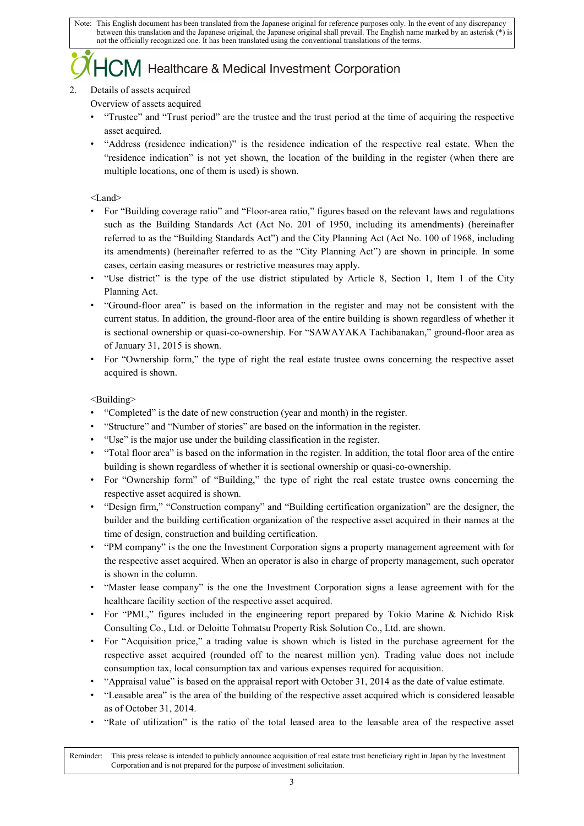## $\sum$ M Healthcare & Medical Investment Corporation

### 2. Details of assets acquired

Overview of assets acquired

- "Trustee" and "Trust period" are the trustee and the trust period at the time of acquiring the respective asset acquired.
- "Address (residence indication)" is the residence indication of the respective real estate. When the "residence indication" is not yet shown, the location of the building in the register (when there are multiple locations, one of them is used) is shown.

### <Land>

- For "Building coverage ratio" and "Floor-area ratio," figures based on the relevant laws and regulations such as the Building Standards Act (Act No. 201 of 1950, including its amendments) (hereinafter referred to as the "Building Standards Act") and the City Planning Act (Act No. 100 of 1968, including its amendments) (hereinafter referred to as the "City Planning Act") are shown in principle. In some cases, certain easing measures or restrictive measures may apply.
- "Use district" is the type of the use district stipulated by Article 8, Section 1, Item 1 of the City Planning Act.
- "Ground-floor area" is based on the information in the register and may not be consistent with the current status. In addition, the ground-floor area of the entire building is shown regardless of whether it is sectional ownership or quasi-co-ownership. For "SAWAYAKA Tachibanakan," ground-floor area as of January 31, 2015 is shown.
- For "Ownership form," the type of right the real estate trustee owns concerning the respective asset acquired is shown.

### <Building>

- "Completed" is the date of new construction (year and month) in the register.
- "Structure" and "Number of stories" are based on the information in the register.
- "Use" is the major use under the building classification in the register.
- "Total floor area" is based on the information in the register. In addition, the total floor area of the entire building is shown regardless of whether it is sectional ownership or quasi-co-ownership.
- For "Ownership form" of "Building," the type of right the real estate trustee owns concerning the respective asset acquired is shown.
- "Design firm," "Construction company" and "Building certification organization" are the designer, the builder and the building certification organization of the respective asset acquired in their names at the time of design, construction and building certification.
- "PM company" is the one the Investment Corporation signs a property management agreement with for the respective asset acquired. When an operator is also in charge of property management, such operator is shown in the column.
- "Master lease company" is the one the Investment Corporation signs a lease agreement with for the healthcare facility section of the respective asset acquired.
- For "PML," figures included in the engineering report prepared by Tokio Marine & Nichido Risk Consulting Co., Ltd. or Deloitte Tohmatsu Property Risk Solution Co., Ltd. are shown.
- For "Acquisition price," a trading value is shown which is listed in the purchase agreement for the respective asset acquired (rounded off to the nearest million yen). Trading value does not include consumption tax, local consumption tax and various expenses required for acquisition.
- "Appraisal value" is based on the appraisal report with October 31, 2014 as the date of value estimate.
- "Leasable area" is the area of the building of the respective asset acquired which is considered leasable as of October 31, 2014.
- "Rate of utilization" is the ratio of the total leased area to the leasable area of the respective asset

Reminder: This press release is intended to publicly announce acquisition of real estate trust beneficiary right in Japan by the Investment Corporation and is not prepared for the purpose of investment solicitation.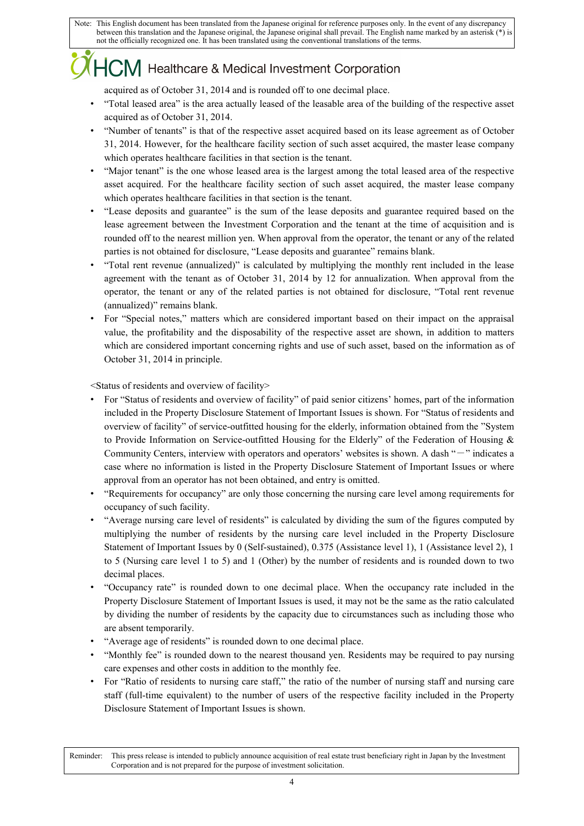### ${ICM}$  Healthcare & Medical Investment Corporation

acquired as of October 31, 2014 and is rounded off to one decimal place.

- "Total leased area" is the area actually leased of the leasable area of the building of the respective asset acquired as of October 31, 2014.
- "Number of tenants" is that of the respective asset acquired based on its lease agreement as of October 31, 2014. However, for the healthcare facility section of such asset acquired, the master lease company which operates healthcare facilities in that section is the tenant.
- "Major tenant" is the one whose leased area is the largest among the total leased area of the respective asset acquired. For the healthcare facility section of such asset acquired, the master lease company which operates healthcare facilities in that section is the tenant.
- "Lease deposits and guarantee" is the sum of the lease deposits and guarantee required based on the lease agreement between the Investment Corporation and the tenant at the time of acquisition and is rounded off to the nearest million yen. When approval from the operator, the tenant or any of the related parties is not obtained for disclosure, "Lease deposits and guarantee" remains blank.
- "Total rent revenue (annualized)" is calculated by multiplying the monthly rent included in the lease agreement with the tenant as of October 31, 2014 by 12 for annualization. When approval from the operator, the tenant or any of the related parties is not obtained for disclosure, "Total rent revenue (annualized)" remains blank.
- For "Special notes," matters which are considered important based on their impact on the appraisal value, the profitability and the disposability of the respective asset are shown, in addition to matters which are considered important concerning rights and use of such asset, based on the information as of October 31, 2014 in principle.

<Status of residents and overview of facility>

- For "Status of residents and overview of facility" of paid senior citizens' homes, part of the information included in the Property Disclosure Statement of Important Issues is shown. For "Status of residents and overview of facility" of service-outfitted housing for the elderly, information obtained from the "System to Provide Information on Service-outfitted Housing for the Elderly" of the Federation of Housing & Community Centers, interview with operators and operators' websites is shown. A dash "-" indicates a case where no information is listed in the Property Disclosure Statement of Important Issues or where approval from an operator has not been obtained, and entry is omitted.
- "Requirements for occupancy" are only those concerning the nursing care level among requirements for occupancy of such facility.
- "Average nursing care level of residents" is calculated by dividing the sum of the figures computed by multiplying the number of residents by the nursing care level included in the Property Disclosure Statement of Important Issues by 0 (Self-sustained), 0.375 (Assistance level 1), 1 (Assistance level 2), 1 to 5 (Nursing care level 1 to 5) and 1 (Other) by the number of residents and is rounded down to two decimal places.
- "Occupancy rate" is rounded down to one decimal place. When the occupancy rate included in the Property Disclosure Statement of Important Issues is used, it may not be the same as the ratio calculated by dividing the number of residents by the capacity due to circumstances such as including those who are absent temporarily.
- "Average age of residents" is rounded down to one decimal place.
- "Monthly fee" is rounded down to the nearest thousand yen. Residents may be required to pay nursing care expenses and other costs in addition to the monthly fee.
- For "Ratio of residents to nursing care staff," the ratio of the number of nursing staff and nursing care staff (full-time equivalent) to the number of users of the respective facility included in the Property Disclosure Statement of Important Issues is shown.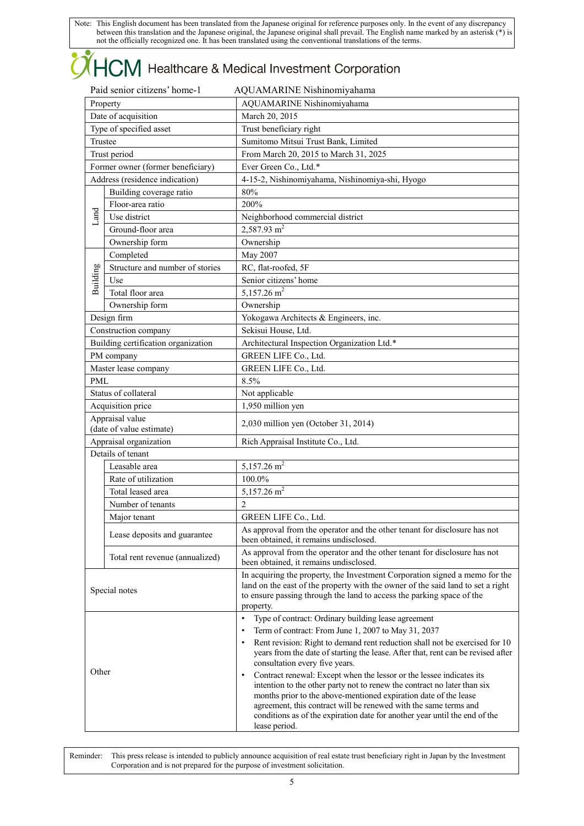# **OHCM** Healthcare & Medical Investment Corporation

| Paid senior citizens' home-1<br>AQUAMARINE Nishinomiyahama |                                     |                                                                                                                                                                                                                                                                                                                                                                                                                                                                                                                                                                                                                                                                                                                                                                |
|------------------------------------------------------------|-------------------------------------|----------------------------------------------------------------------------------------------------------------------------------------------------------------------------------------------------------------------------------------------------------------------------------------------------------------------------------------------------------------------------------------------------------------------------------------------------------------------------------------------------------------------------------------------------------------------------------------------------------------------------------------------------------------------------------------------------------------------------------------------------------------|
| Property                                                   |                                     | AQUAMARINE Nishinomiyahama                                                                                                                                                                                                                                                                                                                                                                                                                                                                                                                                                                                                                                                                                                                                     |
|                                                            | Date of acquisition                 | March 20, 2015                                                                                                                                                                                                                                                                                                                                                                                                                                                                                                                                                                                                                                                                                                                                                 |
| Type of specified asset                                    |                                     | Trust beneficiary right                                                                                                                                                                                                                                                                                                                                                                                                                                                                                                                                                                                                                                                                                                                                        |
| Trustee                                                    |                                     | Sumitomo Mitsui Trust Bank, Limited                                                                                                                                                                                                                                                                                                                                                                                                                                                                                                                                                                                                                                                                                                                            |
|                                                            | Trust period                        | From March 20, 2015 to March 31, 2025                                                                                                                                                                                                                                                                                                                                                                                                                                                                                                                                                                                                                                                                                                                          |
|                                                            | Former owner (former beneficiary)   | Ever Green Co., Ltd.*                                                                                                                                                                                                                                                                                                                                                                                                                                                                                                                                                                                                                                                                                                                                          |
|                                                            | Address (residence indication)      | 4-15-2, Nishinomiyahama, Nishinomiya-shi, Hyogo                                                                                                                                                                                                                                                                                                                                                                                                                                                                                                                                                                                                                                                                                                                |
|                                                            | Building coverage ratio             | 80%                                                                                                                                                                                                                                                                                                                                                                                                                                                                                                                                                                                                                                                                                                                                                            |
|                                                            | Floor-area ratio                    | 200%                                                                                                                                                                                                                                                                                                                                                                                                                                                                                                                                                                                                                                                                                                                                                           |
| Land                                                       | Use district                        | Neighborhood commercial district                                                                                                                                                                                                                                                                                                                                                                                                                                                                                                                                                                                                                                                                                                                               |
|                                                            | Ground-floor area                   | $2,587.93$ m <sup>2</sup>                                                                                                                                                                                                                                                                                                                                                                                                                                                                                                                                                                                                                                                                                                                                      |
|                                                            | Ownership form                      | Ownership                                                                                                                                                                                                                                                                                                                                                                                                                                                                                                                                                                                                                                                                                                                                                      |
|                                                            | Completed                           | May 2007                                                                                                                                                                                                                                                                                                                                                                                                                                                                                                                                                                                                                                                                                                                                                       |
| Building                                                   | Structure and number of stories     | RC, flat-roofed, 5F                                                                                                                                                                                                                                                                                                                                                                                                                                                                                                                                                                                                                                                                                                                                            |
|                                                            | Use                                 | Senior citizens' home                                                                                                                                                                                                                                                                                                                                                                                                                                                                                                                                                                                                                                                                                                                                          |
|                                                            | Total floor area                    | 5,157.26 $m2$                                                                                                                                                                                                                                                                                                                                                                                                                                                                                                                                                                                                                                                                                                                                                  |
|                                                            | Ownership form                      | Ownership                                                                                                                                                                                                                                                                                                                                                                                                                                                                                                                                                                                                                                                                                                                                                      |
|                                                            | Design firm                         | Yokogawa Architects & Engineers, inc.                                                                                                                                                                                                                                                                                                                                                                                                                                                                                                                                                                                                                                                                                                                          |
|                                                            | Construction company                | Sekisui House, Ltd.                                                                                                                                                                                                                                                                                                                                                                                                                                                                                                                                                                                                                                                                                                                                            |
|                                                            | Building certification organization | Architectural Inspection Organization Ltd.*                                                                                                                                                                                                                                                                                                                                                                                                                                                                                                                                                                                                                                                                                                                    |
|                                                            | PM company                          | GREEN LIFE Co., Ltd.                                                                                                                                                                                                                                                                                                                                                                                                                                                                                                                                                                                                                                                                                                                                           |
|                                                            | Master lease company                | GREEN LIFE Co., Ltd.                                                                                                                                                                                                                                                                                                                                                                                                                                                                                                                                                                                                                                                                                                                                           |
| PML                                                        |                                     | 8.5%                                                                                                                                                                                                                                                                                                                                                                                                                                                                                                                                                                                                                                                                                                                                                           |
|                                                            | Status of collateral                | Not applicable                                                                                                                                                                                                                                                                                                                                                                                                                                                                                                                                                                                                                                                                                                                                                 |
| Acquisition price                                          |                                     | 1,950 million yen                                                                                                                                                                                                                                                                                                                                                                                                                                                                                                                                                                                                                                                                                                                                              |
| Appraisal value<br>(date of value estimate)                |                                     | 2,030 million yen (October 31, 2014)                                                                                                                                                                                                                                                                                                                                                                                                                                                                                                                                                                                                                                                                                                                           |
| Appraisal organization                                     |                                     | Rich Appraisal Institute Co., Ltd.                                                                                                                                                                                                                                                                                                                                                                                                                                                                                                                                                                                                                                                                                                                             |
|                                                            | Details of tenant                   |                                                                                                                                                                                                                                                                                                                                                                                                                                                                                                                                                                                                                                                                                                                                                                |
|                                                            | Leasable area                       | 5,157.26 $m2$                                                                                                                                                                                                                                                                                                                                                                                                                                                                                                                                                                                                                                                                                                                                                  |
|                                                            | Rate of utilization                 | 100.0%                                                                                                                                                                                                                                                                                                                                                                                                                                                                                                                                                                                                                                                                                                                                                         |
|                                                            | Total leased area                   | $5,157.26$ m <sup>2</sup>                                                                                                                                                                                                                                                                                                                                                                                                                                                                                                                                                                                                                                                                                                                                      |
|                                                            | Number of tenants                   | 2                                                                                                                                                                                                                                                                                                                                                                                                                                                                                                                                                                                                                                                                                                                                                              |
|                                                            | Major tenant                        | <b>GREEN LIFE Co., Ltd.</b>                                                                                                                                                                                                                                                                                                                                                                                                                                                                                                                                                                                                                                                                                                                                    |
|                                                            | Lease deposits and guarantee        | As approval from the operator and the other tenant for disclosure has not<br>been obtained, it remains undisclosed.                                                                                                                                                                                                                                                                                                                                                                                                                                                                                                                                                                                                                                            |
|                                                            | Total rent revenue (annualized)     | As approval from the operator and the other tenant for disclosure has not<br>been obtained, it remains undisclosed.                                                                                                                                                                                                                                                                                                                                                                                                                                                                                                                                                                                                                                            |
| Special notes                                              |                                     | In acquiring the property, the Investment Corporation signed a memo for the<br>land on the east of the property with the owner of the said land to set a right<br>to ensure passing through the land to access the parking space of the<br>property.                                                                                                                                                                                                                                                                                                                                                                                                                                                                                                           |
| Other                                                      |                                     | Type of contract: Ordinary building lease agreement<br>$\bullet$<br>Term of contract: From June 1, 2007 to May 31, 2037<br>$\bullet$<br>Rent revision: Right to demand rent reduction shall not be exercised for 10<br>$\bullet$<br>years from the date of starting the lease. After that, rent can be revised after<br>consultation every five years.<br>Contract renewal: Except when the lessor or the lessee indicates its<br>$\bullet$<br>intention to the other party not to renew the contract no later than six<br>months prior to the above-mentioned expiration date of the lease<br>agreement, this contract will be renewed with the same terms and<br>conditions as of the expiration date for another year until the end of the<br>lease period. |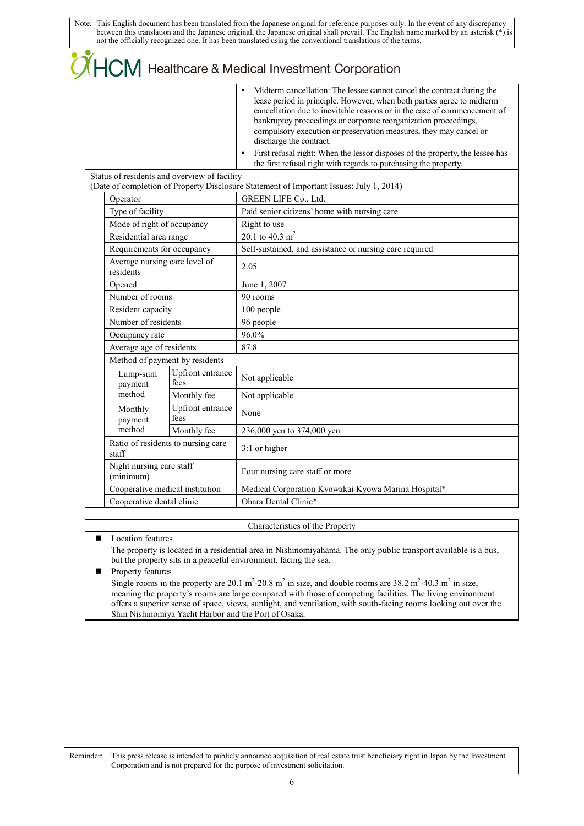|  | THCM Healthcare & Medical Investment Corporation                                     |                                              |                                                                                                                                                                                                                                                                                                                                                                                                                                                                                                                                                      |
|--|--------------------------------------------------------------------------------------|----------------------------------------------|------------------------------------------------------------------------------------------------------------------------------------------------------------------------------------------------------------------------------------------------------------------------------------------------------------------------------------------------------------------------------------------------------------------------------------------------------------------------------------------------------------------------------------------------------|
|  |                                                                                      |                                              | Midterm cancellation: The lessee cannot cancel the contract during the<br>lease period in principle. However, when both parties agree to midterm<br>cancellation due to inevitable reasons or in the case of commencement of<br>bankruptcy proceedings or corporate reorganization proceedings,<br>compulsory execution or preservation measures, they may cancel or<br>discharge the contract.<br>First refusal right: When the lessor disposes of the property, the lessee has<br>the first refusal right with regards to purchasing the property. |
|  |                                                                                      | Status of residents and overview of facility | (Date of completion of Property Disclosure Statement of Important Issues: July 1, 2014)                                                                                                                                                                                                                                                                                                                                                                                                                                                              |
|  | Operator                                                                             |                                              | GREEN LIFE Co., Ltd.                                                                                                                                                                                                                                                                                                                                                                                                                                                                                                                                 |
|  | Type of facility                                                                     |                                              | Paid senior citizens' home with nursing care                                                                                                                                                                                                                                                                                                                                                                                                                                                                                                         |
|  | Mode of right of occupancy                                                           |                                              | Right to use                                                                                                                                                                                                                                                                                                                                                                                                                                                                                                                                         |
|  | Residential area range                                                               |                                              | 20.1 to 40.3 $m2$                                                                                                                                                                                                                                                                                                                                                                                                                                                                                                                                    |
|  | Requirements for occupancy                                                           |                                              | Self-sustained, and assistance or nursing care required                                                                                                                                                                                                                                                                                                                                                                                                                                                                                              |
|  | Average nursing care level of<br>residents                                           |                                              | 2.05                                                                                                                                                                                                                                                                                                                                                                                                                                                                                                                                                 |
|  | Opened<br>Number of rooms                                                            |                                              | June 1, 2007                                                                                                                                                                                                                                                                                                                                                                                                                                                                                                                                         |
|  |                                                                                      |                                              | 90 rooms                                                                                                                                                                                                                                                                                                                                                                                                                                                                                                                                             |
|  | Resident capacity                                                                    |                                              | 100 people                                                                                                                                                                                                                                                                                                                                                                                                                                                                                                                                           |
|  | Number of residents                                                                  |                                              | 96 people                                                                                                                                                                                                                                                                                                                                                                                                                                                                                                                                            |
|  | Occupancy rate                                                                       |                                              | 96.0%                                                                                                                                                                                                                                                                                                                                                                                                                                                                                                                                                |
|  | Average age of residents                                                             |                                              | 87.8                                                                                                                                                                                                                                                                                                                                                                                                                                                                                                                                                 |
|  |                                                                                      | Method of payment by residents               |                                                                                                                                                                                                                                                                                                                                                                                                                                                                                                                                                      |
|  | Lump-sum<br>payment                                                                  | Upfront entrance<br>fees                     | Not applicable                                                                                                                                                                                                                                                                                                                                                                                                                                                                                                                                       |
|  | method                                                                               | Monthly fee                                  | Not applicable                                                                                                                                                                                                                                                                                                                                                                                                                                                                                                                                       |
|  | Monthly<br>payment                                                                   | Upfront entrance<br>fees                     | None                                                                                                                                                                                                                                                                                                                                                                                                                                                                                                                                                 |
|  | method                                                                               | Monthly fee                                  | 236,000 yen to 374,000 yen                                                                                                                                                                                                                                                                                                                                                                                                                                                                                                                           |
|  | Ratio of residents to nursing care<br>staff<br>Night nursing care staff<br>(minimum) |                                              | 3:1 or higher                                                                                                                                                                                                                                                                                                                                                                                                                                                                                                                                        |
|  |                                                                                      |                                              | Four nursing care staff or more                                                                                                                                                                                                                                                                                                                                                                                                                                                                                                                      |
|  | Cooperative medical institution                                                      |                                              | Medical Corporation Kyowakai Kyowa Marina Hospital*                                                                                                                                                                                                                                                                                                                                                                                                                                                                                                  |
|  | Cooperative dental clinic                                                            |                                              | Ohara Dental Clinic*                                                                                                                                                                                                                                                                                                                                                                                                                                                                                                                                 |

### Characteristics of the Property

### **Location features**

The property is located in a residential area in Nishinomiyahama. The only public transport available is a bus, but the property sits in a peaceful environment, facing the sea.

### **Property features**

Single rooms in the property are 20.1 m<sup>2</sup>-20.8 m<sup>2</sup> in size, and double rooms are 38.2 m<sup>2</sup>-40.3 m<sup>2</sup> in size, meaning the property's rooms are large compared with those of competing facilities. The living environment offers a superior sense of space, views, sunlight, and ventilation, with south-facing rooms looking out over the Shin Nishinomiya Yacht Harbor and the Port of Osaka.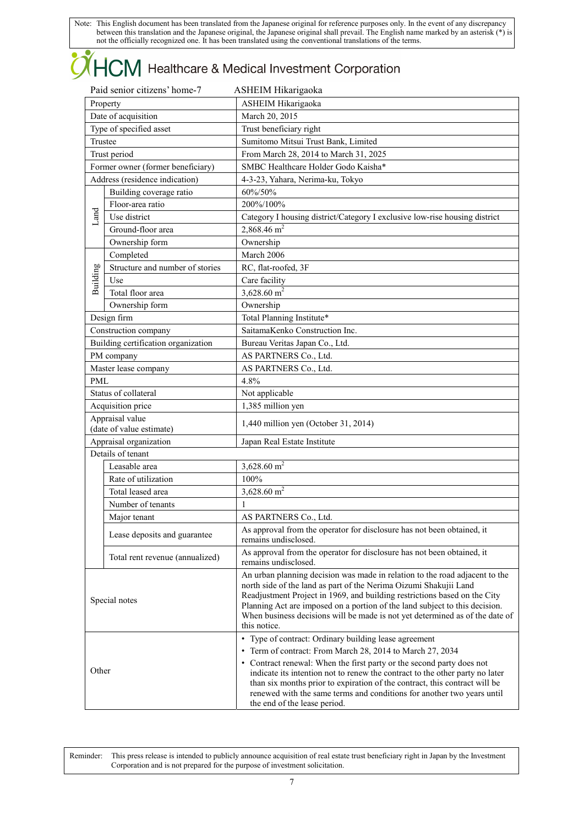# **OHCM** Healthcare & Medical Investment Corporation

| Paid senior citizens' home-7<br>ASHEIM Hikarigaoka |                                     |                                                                                                                                                       |  |
|----------------------------------------------------|-------------------------------------|-------------------------------------------------------------------------------------------------------------------------------------------------------|--|
| Property                                           |                                     | ASHEIM Hikarigaoka                                                                                                                                    |  |
| Date of acquisition                                |                                     | March 20, 2015                                                                                                                                        |  |
| Type of specified asset                            |                                     | Trust beneficiary right                                                                                                                               |  |
| Trustee                                            |                                     | Sumitomo Mitsui Trust Bank, Limited                                                                                                                   |  |
|                                                    | Trust period                        | From March 28, 2014 to March 31, 2025                                                                                                                 |  |
|                                                    | Former owner (former beneficiary)   | SMBC Healthcare Holder Godo Kaisha*                                                                                                                   |  |
|                                                    | Address (residence indication)      | 4-3-23, Yahara, Nerima-ku, Tokyo                                                                                                                      |  |
|                                                    | Building coverage ratio             | 60%/50%                                                                                                                                               |  |
|                                                    | Floor-area ratio                    | 200%/100%                                                                                                                                             |  |
| Land                                               | Use district                        | Category I housing district/Category I exclusive low-rise housing district                                                                            |  |
|                                                    | Ground-floor area                   | 2,868.46 $m2$                                                                                                                                         |  |
|                                                    | Ownership form                      | Ownership                                                                                                                                             |  |
|                                                    | Completed                           | March 2006                                                                                                                                            |  |
|                                                    | Structure and number of stories     | RC, flat-roofed, 3F                                                                                                                                   |  |
|                                                    | Use                                 | Care facility                                                                                                                                         |  |
| Building                                           | Total floor area                    | 3,628.60 $m2$                                                                                                                                         |  |
|                                                    | Ownership form                      | Ownership                                                                                                                                             |  |
|                                                    | Design firm                         | Total Planning Institute*                                                                                                                             |  |
|                                                    | Construction company                | SaitamaKenko Construction Inc.                                                                                                                        |  |
|                                                    | Building certification organization | Bureau Veritas Japan Co., Ltd.                                                                                                                        |  |
|                                                    | PM company                          | AS PARTNERS Co., Ltd.                                                                                                                                 |  |
|                                                    | Master lease company                | AS PARTNERS Co., Ltd.                                                                                                                                 |  |
| PML                                                |                                     | 4.8%                                                                                                                                                  |  |
|                                                    | Status of collateral                | Not applicable                                                                                                                                        |  |
| Acquisition price                                  |                                     | 1,385 million yen                                                                                                                                     |  |
|                                                    | Appraisal value                     |                                                                                                                                                       |  |
|                                                    | (date of value estimate)            | 1,440 million yen (October 31, 2014)                                                                                                                  |  |
|                                                    | Appraisal organization              | Japan Real Estate Institute                                                                                                                           |  |
|                                                    | Details of tenant                   |                                                                                                                                                       |  |
|                                                    | Leasable area                       | 3,628.60 $m2$                                                                                                                                         |  |
|                                                    | Rate of utilization                 | 100%                                                                                                                                                  |  |
|                                                    | Total leased area                   | $3,628.60$ m <sup>2</sup>                                                                                                                             |  |
|                                                    | Number of tenants                   | 1                                                                                                                                                     |  |
|                                                    | Major tenant                        | AS PARTNERS Co., Ltd.                                                                                                                                 |  |
|                                                    |                                     | As approval from the operator for disclosure has not been obtained, it                                                                                |  |
|                                                    | Lease deposits and guarantee        | remains undisclosed.                                                                                                                                  |  |
|                                                    | Total rent revenue (annualized)     | As approval from the operator for disclosure has not been obtained, it                                                                                |  |
|                                                    |                                     | remains undisclosed.                                                                                                                                  |  |
|                                                    |                                     | An urban planning decision was made in relation to the road adjacent to the<br>north side of the land as part of the Nerima Oizumi Shakujii Land      |  |
|                                                    |                                     | Readjustment Project in 1969, and building restrictions based on the City                                                                             |  |
|                                                    | Special notes                       | Planning Act are imposed on a portion of the land subject to this decision.                                                                           |  |
|                                                    |                                     | When business decisions will be made is not yet determined as of the date of                                                                          |  |
|                                                    |                                     | this notice.                                                                                                                                          |  |
|                                                    |                                     | • Type of contract: Ordinary building lease agreement                                                                                                 |  |
|                                                    |                                     | Term of contract: From March 28, 2014 to March 27, 2034                                                                                               |  |
| Other                                              |                                     | • Contract renewal: When the first party or the second party does not<br>indicate its intention not to renew the contract to the other party no later |  |
|                                                    |                                     | than six months prior to expiration of the contract, this contract will be                                                                            |  |
|                                                    |                                     | renewed with the same terms and conditions for another two years until                                                                                |  |
|                                                    |                                     | the end of the lease period.                                                                                                                          |  |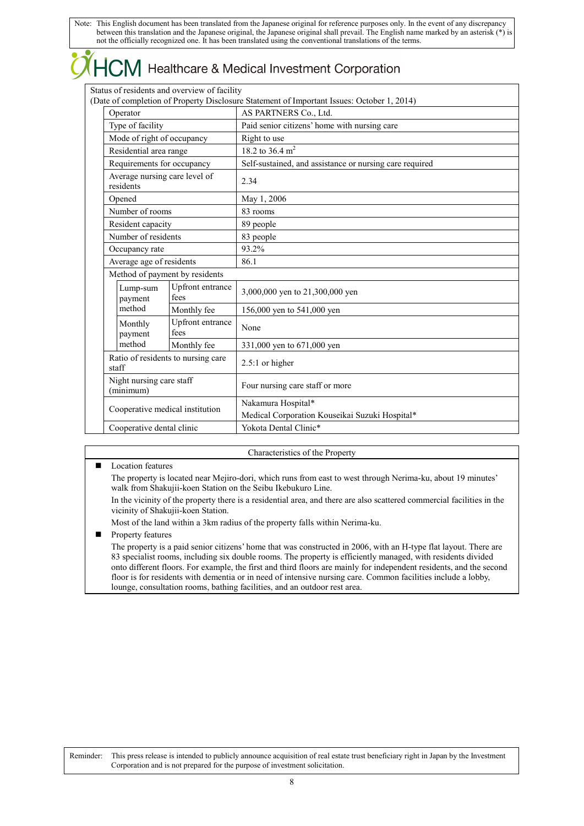|                                            |                                              | $\chi$ HCM Healthcare & Medical Investment Corporation                                     |
|--------------------------------------------|----------------------------------------------|--------------------------------------------------------------------------------------------|
|                                            | Status of residents and overview of facility | (Date of completion of Property Disclosure Statement of Important Issues: October 1, 2014) |
| Operator                                   |                                              | AS PARTNERS Co., Ltd.                                                                      |
| Type of facility                           |                                              | Paid senior citizens' home with nursing care                                               |
| Mode of right of occupancy                 |                                              | Right to use                                                                               |
| Residential area range                     |                                              | 18.2 to 36.4 $m2$                                                                          |
| Requirements for occupancy                 |                                              | Self-sustained, and assistance or nursing care required                                    |
| Average nursing care level of<br>residents |                                              | 2.34                                                                                       |
| Opened                                     |                                              | May 1, 2006                                                                                |
| Number of rooms                            |                                              | 83 rooms                                                                                   |
| Resident capacity                          |                                              | 89 people                                                                                  |
| Number of residents                        |                                              | 83 people                                                                                  |
| Occupancy rate                             |                                              | 93.2%                                                                                      |
| Average age of residents                   |                                              | 86.1                                                                                       |
| Method of payment by residents             |                                              |                                                                                            |
| Lump-sum<br>payment                        | Upfront entrance<br>fees                     | 3,000,000 yen to 21,300,000 yen                                                            |
| method                                     | Monthly fee                                  | 156,000 yen to 541,000 yen                                                                 |
| Monthly<br>payment                         | Upfront entrance<br>fees                     | None                                                                                       |
| method                                     | Monthly fee                                  | 331,000 ven to 671,000 ven                                                                 |

**Location features** The property is located near Mejiro-dori, which runs from east to west through Nerima-ku, about 19 minutes' walk from Shakujii-koen Station on the Seibu Ikebukuro Line.

Characteristics of the Property

In the vicinity of the property there is a residential area, and there are also scattered commercial facilities in the vicinity of Shakujii-koen Station.

Medical Corporation Kouseikai Suzuki Hospital\*

Most of the land within a 3km radius of the property falls within Nerima-ku.

Monthly fee 331,000 yen to 671,000 yen

(minimum) Four nursing care staff or more

**Property features** 

Ratio of residents to nursing care

Night nursing care staff

Ratio of residents to huising care  $\begin{bmatrix} 2.5:1 \text{ or higher} \end{bmatrix}$ 

Cooperative medical institution Nakamura Hospital\*

Cooperative dental clinic Vokota Dental Clinic\*

The property is a paid senior citizens' home that was constructed in 2006, with an H-type flat layout. There are 83 specialist rooms, including six double rooms. The property is efficiently managed, with residents divided onto different floors. For example, the first and third floors are mainly for independent residents, and the second floor is for residents with dementia or in need of intensive nursing care. Common facilities include a lobby, lounge, consultation rooms, bathing facilities, and an outdoor rest area.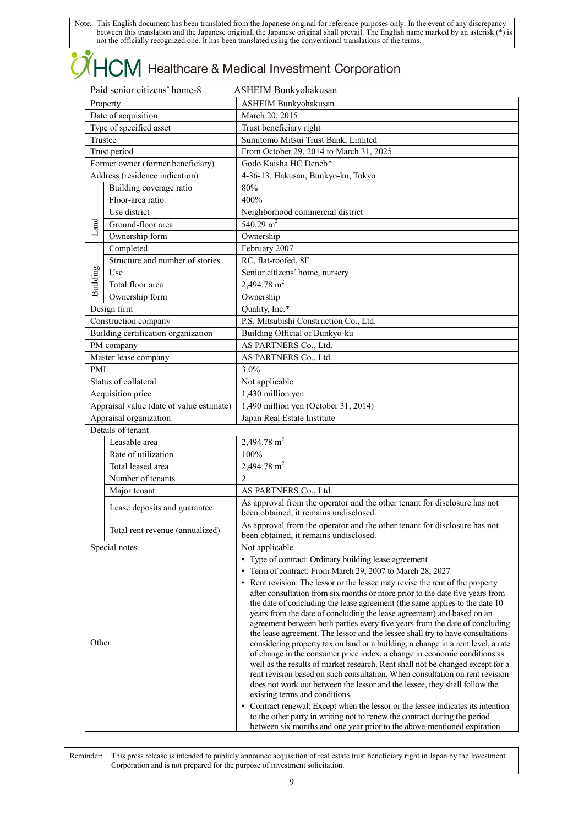# **OHCM** Healthcare & Medical Investment Corporation

|                         | Paid senior citizens' home-8             | ASHEIM Bunkyohakusan                                                                                                                                          |  |  |
|-------------------------|------------------------------------------|---------------------------------------------------------------------------------------------------------------------------------------------------------------|--|--|
| Property                |                                          | <b>ASHEIM Bunkyohakusan</b>                                                                                                                                   |  |  |
|                         | Date of acquisition                      | March 20, 2015                                                                                                                                                |  |  |
| Type of specified asset |                                          | Trust beneficiary right                                                                                                                                       |  |  |
|                         | Trustee                                  | Sumitomo Mitsui Trust Bank, Limited                                                                                                                           |  |  |
|                         | Trust period                             | From October 29, 2014 to March 31, 2025                                                                                                                       |  |  |
|                         | Former owner (former beneficiary)        | Godo Kaisha HC Deneb*                                                                                                                                         |  |  |
|                         | Address (residence indication)           | 4-36-13, Hakusan, Bunkyo-ku, Tokyo                                                                                                                            |  |  |
|                         | Building coverage ratio                  | 80%                                                                                                                                                           |  |  |
|                         | Floor-area ratio                         | 400%                                                                                                                                                          |  |  |
|                         | Use district                             | Neighborhood commercial district                                                                                                                              |  |  |
| Land                    | Ground-floor area                        | 540.29 $m2$                                                                                                                                                   |  |  |
|                         | Ownership form                           | Ownership                                                                                                                                                     |  |  |
|                         | Completed                                | February 2007                                                                                                                                                 |  |  |
|                         | Structure and number of stories          | RC, flat-roofed, 8F                                                                                                                                           |  |  |
| Building                | Use                                      | Senior citizens' home, nursery                                                                                                                                |  |  |
|                         | Total floor area                         | 2,494.78 $m2$                                                                                                                                                 |  |  |
|                         | Ownership form                           | Ownership                                                                                                                                                     |  |  |
|                         | Design firm                              | Quality, Inc.*                                                                                                                                                |  |  |
|                         | Construction company                     | P.S. Mitsubishi Construction Co., Ltd.                                                                                                                        |  |  |
|                         | Building certification organization      | Building Official of Bunkyo-ku                                                                                                                                |  |  |
|                         | PM company                               | AS PARTNERS Co., Ltd.                                                                                                                                         |  |  |
|                         | Master lease company                     | AS PARTNERS Co., Ltd.                                                                                                                                         |  |  |
| <b>PML</b>              |                                          | 3.0%                                                                                                                                                          |  |  |
|                         | Status of collateral                     | Not applicable                                                                                                                                                |  |  |
|                         | Acquisition price                        | 1,430 million yen                                                                                                                                             |  |  |
|                         | Appraisal value (date of value estimate) | 1,490 million yen (October 31, 2014)                                                                                                                          |  |  |
|                         | Appraisal organization                   | Japan Real Estate Institute                                                                                                                                   |  |  |
|                         | Details of tenant                        |                                                                                                                                                               |  |  |
|                         | Leasable area                            | 2,494.78 $m2$                                                                                                                                                 |  |  |
|                         | Rate of utilization                      | 100%                                                                                                                                                          |  |  |
|                         | Total leased area                        | 2,494.78 m <sup>2</sup>                                                                                                                                       |  |  |
|                         | Number of tenants                        | $\overline{2}$                                                                                                                                                |  |  |
|                         | Major tenant                             | AS PARTNERS Co., Ltd.                                                                                                                                         |  |  |
|                         |                                          | As approval from the operator and the other tenant for disclosure has not                                                                                     |  |  |
|                         | Lease deposits and guarantee             | been obtained, it remains undisclosed.                                                                                                                        |  |  |
|                         | Total rent revenue (annualized)          | As approval from the operator and the other tenant for disclosure has not<br>been obtained, it remains undisclosed.                                           |  |  |
|                         | Special notes                            | Not applicable                                                                                                                                                |  |  |
|                         |                                          | • Type of contract: Ordinary building lease agreement                                                                                                         |  |  |
|                         |                                          | Term of contract: From March 29, 2007 to March 28, 2027<br>$\bullet$                                                                                          |  |  |
|                         |                                          | • Rent revision: The lessor or the lessee may revise the rent of the property                                                                                 |  |  |
|                         |                                          | after consultation from six months or more prior to the date five years from                                                                                  |  |  |
|                         |                                          | the date of concluding the lease agreement (the same applies to the date 10                                                                                   |  |  |
|                         |                                          | years from the date of concluding the lease agreement) and based on an                                                                                        |  |  |
|                         |                                          | agreement between both parties every five years from the date of concluding<br>the lease agreement. The lessor and the lessee shall try to have consultations |  |  |
| Other                   |                                          | considering property tax on land or a building, a change in a rent level, a rate                                                                              |  |  |
|                         |                                          | of change in the consumer price index, a change in economic conditions as                                                                                     |  |  |
|                         |                                          | well as the results of market research. Rent shall not be changed except for a                                                                                |  |  |
|                         |                                          | rent revision based on such consultation. When consultation on rent revision                                                                                  |  |  |
|                         |                                          | does not work out between the lessor and the lessee, they shall follow the                                                                                    |  |  |
|                         |                                          | existing terms and conditions.                                                                                                                                |  |  |
|                         |                                          | • Contract renewal: Except when the lessor or the lessee indicates its intention<br>to the other party in writing not to renew the contract during the period |  |  |
|                         |                                          | between six months and one year prior to the above-mentioned expiration                                                                                       |  |  |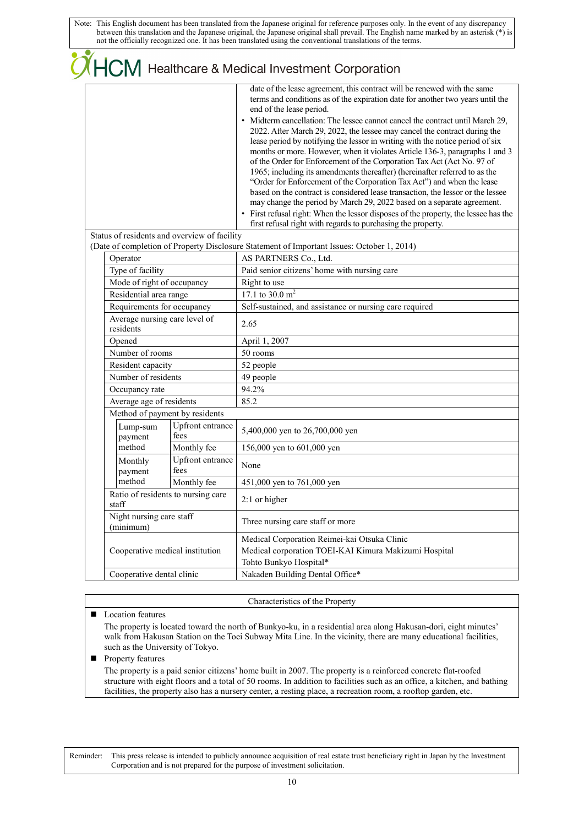|                                              |                                    | CHCM Healthcare & Medical Investment Corporation<br>date of the lease agreement, this contract will be renewed with the same<br>terms and conditions as of the expiration date for another two years until the<br>end of the lease period.<br>Midterm cancellation: The lessee cannot cancel the contract until March 29,<br>2022. After March 29, 2022, the lessee may cancel the contract during the<br>lease period by notifying the lessor in writing with the notice period of six<br>months or more. However, when it violates Article 136-3, paragraphs 1 and 3<br>of the Order for Enforcement of the Corporation Tax Act (Act No. 97 of<br>1965; including its amendments thereafter) (hereinafter referred to as the<br>"Order for Enforcement of the Corporation Tax Act") and when the lease<br>based on the contract is considered lease transaction, the lessor or the lessee<br>may change the period by March 29, 2022 based on a separate agreement.<br>• First refusal right: When the lessor disposes of the property, the lessee has the<br>first refusal right with regards to purchasing the property. |
|----------------------------------------------|------------------------------------|------------------------------------------------------------------------------------------------------------------------------------------------------------------------------------------------------------------------------------------------------------------------------------------------------------------------------------------------------------------------------------------------------------------------------------------------------------------------------------------------------------------------------------------------------------------------------------------------------------------------------------------------------------------------------------------------------------------------------------------------------------------------------------------------------------------------------------------------------------------------------------------------------------------------------------------------------------------------------------------------------------------------------------------------------------------------------------------------------------------------------|
| Status of residents and overview of facility |                                    |                                                                                                                                                                                                                                                                                                                                                                                                                                                                                                                                                                                                                                                                                                                                                                                                                                                                                                                                                                                                                                                                                                                              |
| Operator                                     |                                    | (Date of completion of Property Disclosure Statement of Important Issues: October 1, 2014)<br>AS PARTNERS Co., Ltd.                                                                                                                                                                                                                                                                                                                                                                                                                                                                                                                                                                                                                                                                                                                                                                                                                                                                                                                                                                                                          |
| Type of facility                             |                                    | Paid senior citizens' home with nursing care                                                                                                                                                                                                                                                                                                                                                                                                                                                                                                                                                                                                                                                                                                                                                                                                                                                                                                                                                                                                                                                                                 |
| Mode of right of occupancy                   |                                    | Right to use                                                                                                                                                                                                                                                                                                                                                                                                                                                                                                                                                                                                                                                                                                                                                                                                                                                                                                                                                                                                                                                                                                                 |
| Residential area range                       |                                    | 17.1 to 30.0 $m2$                                                                                                                                                                                                                                                                                                                                                                                                                                                                                                                                                                                                                                                                                                                                                                                                                                                                                                                                                                                                                                                                                                            |
| Requirements for occupancy                   |                                    | Self-sustained, and assistance or nursing care required                                                                                                                                                                                                                                                                                                                                                                                                                                                                                                                                                                                                                                                                                                                                                                                                                                                                                                                                                                                                                                                                      |
| Average nursing care level of<br>residents   |                                    | 2.65                                                                                                                                                                                                                                                                                                                                                                                                                                                                                                                                                                                                                                                                                                                                                                                                                                                                                                                                                                                                                                                                                                                         |
| Opened                                       |                                    | April 1, 2007                                                                                                                                                                                                                                                                                                                                                                                                                                                                                                                                                                                                                                                                                                                                                                                                                                                                                                                                                                                                                                                                                                                |
| Number of rooms                              |                                    | 50 rooms                                                                                                                                                                                                                                                                                                                                                                                                                                                                                                                                                                                                                                                                                                                                                                                                                                                                                                                                                                                                                                                                                                                     |
| Resident capacity                            |                                    | 52 people                                                                                                                                                                                                                                                                                                                                                                                                                                                                                                                                                                                                                                                                                                                                                                                                                                                                                                                                                                                                                                                                                                                    |
| Number of residents                          |                                    | 49 people                                                                                                                                                                                                                                                                                                                                                                                                                                                                                                                                                                                                                                                                                                                                                                                                                                                                                                                                                                                                                                                                                                                    |
| Occupancy rate                               |                                    | 94.2%                                                                                                                                                                                                                                                                                                                                                                                                                                                                                                                                                                                                                                                                                                                                                                                                                                                                                                                                                                                                                                                                                                                        |
| Average age of residents                     |                                    | 85.2                                                                                                                                                                                                                                                                                                                                                                                                                                                                                                                                                                                                                                                                                                                                                                                                                                                                                                                                                                                                                                                                                                                         |
| Method of payment by residents               |                                    |                                                                                                                                                                                                                                                                                                                                                                                                                                                                                                                                                                                                                                                                                                                                                                                                                                                                                                                                                                                                                                                                                                                              |
| Lump-sum<br>payment                          | Upfront entrance<br>fees           | 5,400,000 yen to 26,700,000 yen                                                                                                                                                                                                                                                                                                                                                                                                                                                                                                                                                                                                                                                                                                                                                                                                                                                                                                                                                                                                                                                                                              |
| method                                       | Monthly fee                        | 156,000 yen to 601,000 yen                                                                                                                                                                                                                                                                                                                                                                                                                                                                                                                                                                                                                                                                                                                                                                                                                                                                                                                                                                                                                                                                                                   |
| Monthly<br>payment                           | Upfront entrance<br>fees           | None                                                                                                                                                                                                                                                                                                                                                                                                                                                                                                                                                                                                                                                                                                                                                                                                                                                                                                                                                                                                                                                                                                                         |
| method                                       | Monthly fee                        | 451,000 yen to 761,000 yen                                                                                                                                                                                                                                                                                                                                                                                                                                                                                                                                                                                                                                                                                                                                                                                                                                                                                                                                                                                                                                                                                                   |
| staff                                        | Ratio of residents to nursing care | 2:1 or higher                                                                                                                                                                                                                                                                                                                                                                                                                                                                                                                                                                                                                                                                                                                                                                                                                                                                                                                                                                                                                                                                                                                |
| Night nursing care staff<br>(minimum)        |                                    | Three nursing care staff or more                                                                                                                                                                                                                                                                                                                                                                                                                                                                                                                                                                                                                                                                                                                                                                                                                                                                                                                                                                                                                                                                                             |
| Cooperative medical institution              |                                    | Medical Corporation Reimei-kai Otsuka Clinic<br>Medical corporation TOEI-KAI Kimura Makizumi Hospital<br>Tohto Bunkyo Hospital*                                                                                                                                                                                                                                                                                                                                                                                                                                                                                                                                                                                                                                                                                                                                                                                                                                                                                                                                                                                              |
| Cooperative dental clinic                    |                                    | Nakaden Building Dental Office*                                                                                                                                                                                                                                                                                                                                                                                                                                                                                                                                                                                                                                                                                                                                                                                                                                                                                                                                                                                                                                                                                              |

Characteristics of the Property

### ■ Location features

The property is located toward the north of Bunkyo-ku, in a residential area along Hakusan-dori, eight minutes' walk from Hakusan Station on the Toei Subway Mita Line. In the vicinity, there are many educational facilities, such as the University of Tokyo.

**Property features** 

The property is a paid senior citizens' home built in 2007. The property is a reinforced concrete flat-roofed structure with eight floors and a total of 50 rooms. In addition to facilities such as an office, a kitchen, and bathing facilities, the property also has a nursery center, a resting place, a recreation room, a rooftop garden, etc.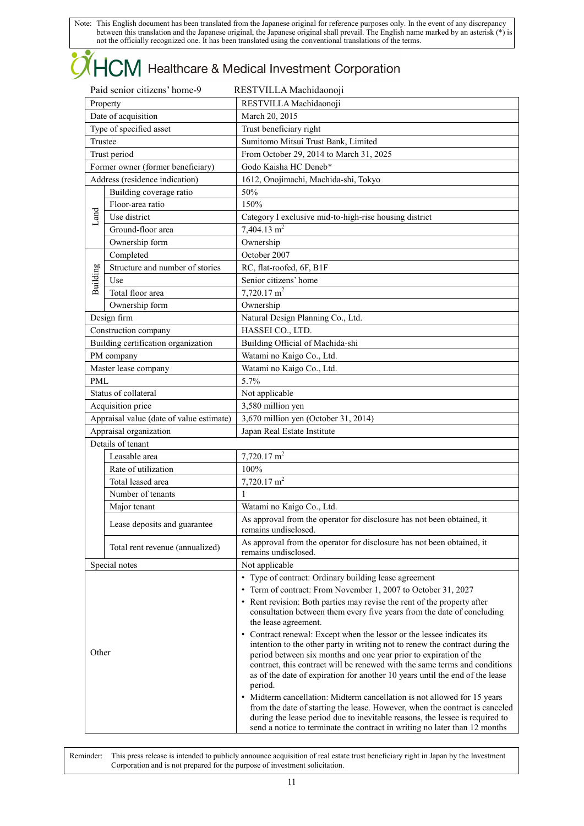# **OHCM** Healthcare & Medical Investment Corporation

| Paid senior citizens' home-9 |                                          | RESTVILLA Machidaonoji                                                                                                                                                                                                                                                                                                                                                                                                                                                   |
|------------------------------|------------------------------------------|--------------------------------------------------------------------------------------------------------------------------------------------------------------------------------------------------------------------------------------------------------------------------------------------------------------------------------------------------------------------------------------------------------------------------------------------------------------------------|
| Property                     |                                          | RESTVILLA Machidaonoji                                                                                                                                                                                                                                                                                                                                                                                                                                                   |
| Date of acquisition          |                                          | March 20, 2015                                                                                                                                                                                                                                                                                                                                                                                                                                                           |
| Type of specified asset      |                                          | Trust beneficiary right                                                                                                                                                                                                                                                                                                                                                                                                                                                  |
|                              | Trustee                                  | Sumitomo Mitsui Trust Bank, Limited                                                                                                                                                                                                                                                                                                                                                                                                                                      |
|                              | Trust period                             | From October 29, 2014 to March 31, 2025                                                                                                                                                                                                                                                                                                                                                                                                                                  |
|                              | Former owner (former beneficiary)        | Godo Kaisha HC Deneb*                                                                                                                                                                                                                                                                                                                                                                                                                                                    |
|                              | Address (residence indication)           | 1612, Onojimachi, Machida-shi, Tokyo                                                                                                                                                                                                                                                                                                                                                                                                                                     |
|                              | Building coverage ratio                  | 50%                                                                                                                                                                                                                                                                                                                                                                                                                                                                      |
|                              | Floor-area ratio                         | 150%                                                                                                                                                                                                                                                                                                                                                                                                                                                                     |
| Land                         | Use district                             | Category I exclusive mid-to-high-rise housing district                                                                                                                                                                                                                                                                                                                                                                                                                   |
|                              | Ground-floor area                        | $7,404.13 \text{ m}^2$                                                                                                                                                                                                                                                                                                                                                                                                                                                   |
|                              | Ownership form                           | Ownership                                                                                                                                                                                                                                                                                                                                                                                                                                                                |
|                              | Completed                                | October 2007                                                                                                                                                                                                                                                                                                                                                                                                                                                             |
| Building                     | Structure and number of stories          | RC, flat-roofed, 6F, B1F                                                                                                                                                                                                                                                                                                                                                                                                                                                 |
|                              | Use                                      | Senior citizens' home                                                                                                                                                                                                                                                                                                                                                                                                                                                    |
|                              | Total floor area                         | $7,720.17$ m <sup>2</sup>                                                                                                                                                                                                                                                                                                                                                                                                                                                |
|                              | Ownership form                           | Ownership                                                                                                                                                                                                                                                                                                                                                                                                                                                                |
|                              | Design firm                              | Natural Design Planning Co., Ltd.                                                                                                                                                                                                                                                                                                                                                                                                                                        |
|                              | Construction company                     | HASSEI CO., LTD.                                                                                                                                                                                                                                                                                                                                                                                                                                                         |
|                              | Building certification organization      | Building Official of Machida-shi                                                                                                                                                                                                                                                                                                                                                                                                                                         |
|                              | PM company                               | Watami no Kaigo Co., Ltd.                                                                                                                                                                                                                                                                                                                                                                                                                                                |
|                              | Master lease company                     | Watami no Kaigo Co., Ltd.                                                                                                                                                                                                                                                                                                                                                                                                                                                |
| PML                          |                                          | 5.7%                                                                                                                                                                                                                                                                                                                                                                                                                                                                     |
|                              | Status of collateral                     | Not applicable                                                                                                                                                                                                                                                                                                                                                                                                                                                           |
|                              | Acquisition price                        | 3,580 million yen                                                                                                                                                                                                                                                                                                                                                                                                                                                        |
|                              | Appraisal value (date of value estimate) | 3,670 million yen (October 31, 2014)                                                                                                                                                                                                                                                                                                                                                                                                                                     |
|                              | Appraisal organization                   | Japan Real Estate Institute                                                                                                                                                                                                                                                                                                                                                                                                                                              |
|                              | Details of tenant                        |                                                                                                                                                                                                                                                                                                                                                                                                                                                                          |
|                              | Leasable area                            | $7,720.17 \text{ m}^2$                                                                                                                                                                                                                                                                                                                                                                                                                                                   |
|                              | Rate of utilization                      | 100%                                                                                                                                                                                                                                                                                                                                                                                                                                                                     |
|                              | Total leased area                        | $7,720.17 \text{ m}^2$                                                                                                                                                                                                                                                                                                                                                                                                                                                   |
|                              | Number of tenants                        | 1                                                                                                                                                                                                                                                                                                                                                                                                                                                                        |
|                              | Major tenant                             | Watami no Kaigo Co., Ltd.                                                                                                                                                                                                                                                                                                                                                                                                                                                |
|                              | Lease deposits and guarantee             | As approval from the operator for disclosure has not been obtained, it<br>remains undisclosed.                                                                                                                                                                                                                                                                                                                                                                           |
|                              | Total rent revenue (annualized)          | As approval from the operator for disclosure has not been obtained, it<br>remains undisclosed.                                                                                                                                                                                                                                                                                                                                                                           |
|                              | Special notes                            | Not applicable                                                                                                                                                                                                                                                                                                                                                                                                                                                           |
| Other                        |                                          | • Type of contract: Ordinary building lease agreement<br>Term of contract: From November 1, 2007 to October 31, 2027<br>$\bullet$<br>• Rent revision: Both parties may revise the rent of the property after<br>consultation between them every five years from the date of concluding<br>the lease agreement.<br>• Contract renewal: Except when the lessor or the lessee indicates its<br>intention to the other party in writing not to renew the contract during the |
|                              |                                          | period between six months and one year prior to expiration of the<br>contract, this contract will be renewed with the same terms and conditions<br>as of the date of expiration for another 10 years until the end of the lease<br>period.<br>Midterm cancellation: Midterm cancellation is not allowed for 15 years<br>from the date of starting the lease. However, when the contract is canceled                                                                      |
|                              |                                          | during the lease period due to inevitable reasons, the lessee is required to<br>send a notice to terminate the contract in writing no later than 12 months                                                                                                                                                                                                                                                                                                               |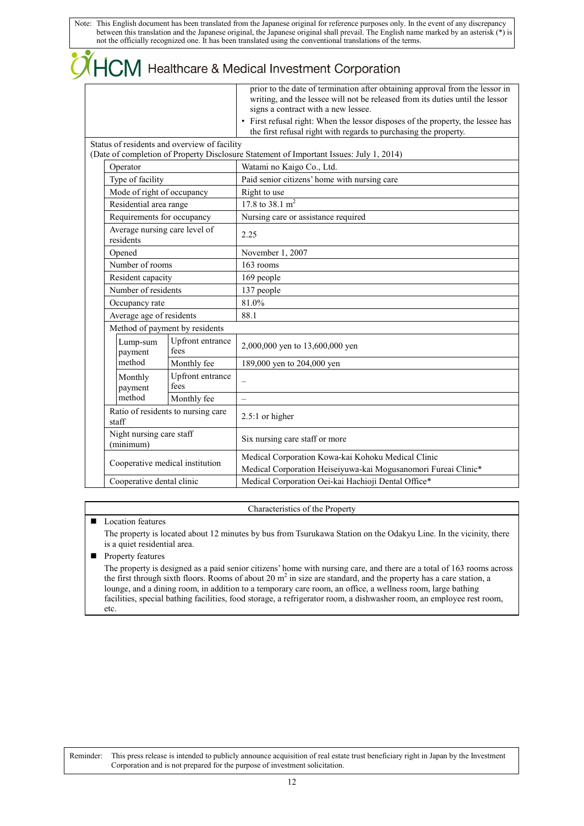## $\overline{\mathsf{LCM}}$  Healthcare & Medical Investment Corporation

|  |                                                                                      |                                              | prior to the date of termination after obtaining approval from the lessor in<br>writing, and the lessee will not be released from its duties until the lessor<br>signs a contract with a new lessee. |
|--|--------------------------------------------------------------------------------------|----------------------------------------------|------------------------------------------------------------------------------------------------------------------------------------------------------------------------------------------------------|
|  |                                                                                      |                                              | • First refusal right: When the lessor disposes of the property, the lessee has<br>the first refusal right with regards to purchasing the property.                                                  |
|  |                                                                                      | Status of residents and overview of facility | (Date of completion of Property Disclosure Statement of Important Issues: July 1, 2014)                                                                                                              |
|  | Operator                                                                             |                                              | Watami no Kaigo Co., Ltd.                                                                                                                                                                            |
|  | Type of facility                                                                     |                                              | Paid senior citizens' home with nursing care                                                                                                                                                         |
|  | Mode of right of occupancy                                                           |                                              | Right to use                                                                                                                                                                                         |
|  | Residential area range                                                               |                                              | 17.8 to 38.1 m <sup>2</sup>                                                                                                                                                                          |
|  | Requirements for occupancy                                                           |                                              | Nursing care or assistance required                                                                                                                                                                  |
|  | Average nursing care level of<br>residents                                           |                                              | 2.25                                                                                                                                                                                                 |
|  | Opened                                                                               |                                              | November 1, 2007                                                                                                                                                                                     |
|  | Number of rooms                                                                      |                                              | 163 rooms                                                                                                                                                                                            |
|  | Resident capacity                                                                    |                                              | 169 people                                                                                                                                                                                           |
|  | Number of residents                                                                  |                                              | 137 people                                                                                                                                                                                           |
|  | Occupancy rate                                                                       |                                              | 81.0%                                                                                                                                                                                                |
|  | Average age of residents                                                             |                                              | 88.1                                                                                                                                                                                                 |
|  |                                                                                      | Method of payment by residents               |                                                                                                                                                                                                      |
|  | Lump-sum<br>payment                                                                  | Upfront entrance<br>fees                     | 2,000,000 yen to 13,600,000 yen                                                                                                                                                                      |
|  | method                                                                               | Monthly fee                                  | 189,000 yen to 204,000 yen                                                                                                                                                                           |
|  | Monthly<br>payment                                                                   | Upfront entrance<br>fees                     | $\equiv$                                                                                                                                                                                             |
|  | method                                                                               | Monthly fee                                  | $\overline{\phantom{0}}$                                                                                                                                                                             |
|  | Ratio of residents to nursing care<br>staff<br>Night nursing care staff<br>(minimum) |                                              | 2.5:1 or higher                                                                                                                                                                                      |
|  |                                                                                      |                                              | Six nursing care staff or more                                                                                                                                                                       |
|  | Cooperative medical institution                                                      |                                              | Medical Corporation Kowa-kai Kohoku Medical Clinic<br>Medical Corporation Heiseiyuwa-kai Mogusanomori Fureai Clinic*                                                                                 |
|  | Cooperative dental clinic                                                            |                                              | Medical Corporation Oei-kai Hachioji Dental Office*                                                                                                                                                  |

### Characteristics of the Property

### **Location features**

The property is located about 12 minutes by bus from Tsurukawa Station on the Odakyu Line. In the vicinity, there is a quiet residential area.

### **Property features**

The property is designed as a paid senior citizens' home with nursing care, and there are a total of 163 rooms across the first through sixth floors. Rooms of about 20  $m^2$  in size are standard, and the property has a care station, a lounge, and a dining room, in addition to a temporary care room, an office, a wellness room, large bathing facilities, special bathing facilities, food storage, a refrigerator room, a dishwasher room, an employee rest room, etc.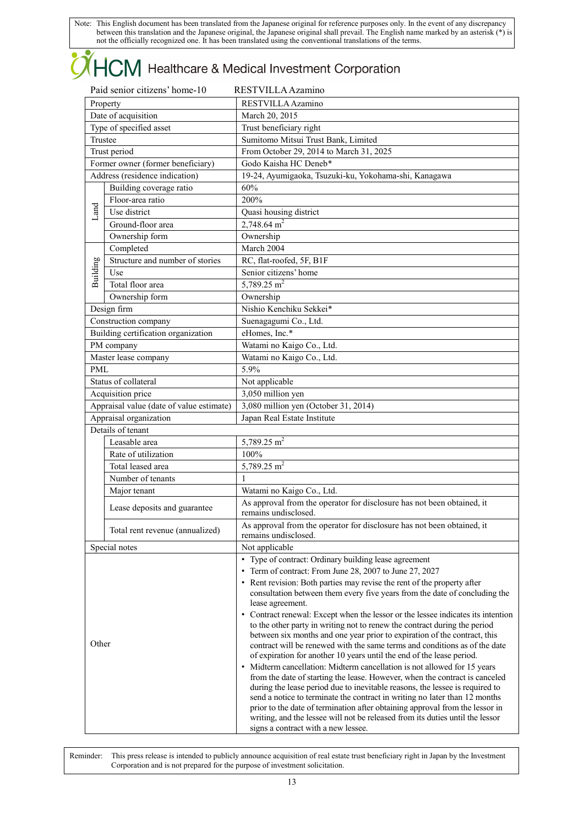# **OHCM** Healthcare & Medical Investment Corporation

|            | Paid senior citizens' home-10            | RESTVILLA Azamino                                                                                                                                             |  |  |
|------------|------------------------------------------|---------------------------------------------------------------------------------------------------------------------------------------------------------------|--|--|
| Property   |                                          | RESTVILLA Azamino                                                                                                                                             |  |  |
|            | Date of acquisition                      | March 20, 2015                                                                                                                                                |  |  |
|            | Type of specified asset                  | Trust beneficiary right                                                                                                                                       |  |  |
| Trustee    |                                          | Sumitomo Mitsui Trust Bank, Limited                                                                                                                           |  |  |
|            | Trust period                             | From October 29, 2014 to March 31, 2025                                                                                                                       |  |  |
|            | Former owner (former beneficiary)        | Godo Kaisha HC Deneb*                                                                                                                                         |  |  |
|            | Address (residence indication)           | 19-24, Ayumigaoka, Tsuzuki-ku, Yokohama-shi, Kanagawa                                                                                                         |  |  |
|            | Building coverage ratio                  | 60%                                                                                                                                                           |  |  |
|            | Floor-area ratio                         | 200%                                                                                                                                                          |  |  |
| Land       | Use district                             | Quasi housing district                                                                                                                                        |  |  |
|            | Ground-floor area                        | $2.748.64$ m <sup>2</sup>                                                                                                                                     |  |  |
|            | Ownership form                           | Ownership                                                                                                                                                     |  |  |
|            | Completed                                | March 2004                                                                                                                                                    |  |  |
|            | Structure and number of stories          | RC, flat-roofed, 5F, B1F                                                                                                                                      |  |  |
|            | Use                                      | Senior citizens' home                                                                                                                                         |  |  |
| Building   | Total floor area                         | $5,789.25 \text{ m}^2$                                                                                                                                        |  |  |
|            | Ownership form                           | Ownership                                                                                                                                                     |  |  |
|            | Design firm                              | Nishio Kenchiku Sekkei*                                                                                                                                       |  |  |
|            | Construction company                     | Suenagagumi Co., Ltd.                                                                                                                                         |  |  |
|            | Building certification organization      | eHomes, Inc.*                                                                                                                                                 |  |  |
|            | PM company                               | Watami no Kaigo Co., Ltd.                                                                                                                                     |  |  |
|            | Master lease company                     | Watami no Kaigo Co., Ltd.                                                                                                                                     |  |  |
| <b>PML</b> |                                          | 5.9%                                                                                                                                                          |  |  |
|            | Status of collateral                     | Not applicable                                                                                                                                                |  |  |
|            | Acquisition price                        | 3,050 million yen                                                                                                                                             |  |  |
|            | Appraisal value (date of value estimate) | 3,080 million yen (October 31, 2014)                                                                                                                          |  |  |
|            | Appraisal organization                   | Japan Real Estate Institute                                                                                                                                   |  |  |
|            | Details of tenant                        |                                                                                                                                                               |  |  |
|            | Leasable area                            | 5,789.25 $\overline{m^2}$                                                                                                                                     |  |  |
|            | Rate of utilization                      | 100%                                                                                                                                                          |  |  |
|            | Total leased area                        | 5,789.25 $m2$                                                                                                                                                 |  |  |
|            | Number of tenants                        | 1                                                                                                                                                             |  |  |
|            | Major tenant                             | Watami no Kaigo Co., Ltd.                                                                                                                                     |  |  |
|            | Lease deposits and guarantee             | As approval from the operator for disclosure has not been obtained, it<br>remains undisclosed.                                                                |  |  |
|            | Total rent revenue (annualized)          | As approval from the operator for disclosure has not been obtained, it<br>remains undisclosed.                                                                |  |  |
|            | Special notes                            | Not applicable                                                                                                                                                |  |  |
|            |                                          | • Type of contract: Ordinary building lease agreement                                                                                                         |  |  |
|            |                                          | • Term of contract: From June 28, 2007 to June 27, 2027                                                                                                       |  |  |
|            |                                          | • Rent revision: Both parties may revise the rent of the property after                                                                                       |  |  |
|            |                                          | consultation between them every five years from the date of concluding the                                                                                    |  |  |
|            |                                          | lease agreement.                                                                                                                                              |  |  |
|            |                                          | • Contract renewal: Except when the lessor or the lessee indicates its intention<br>to the other party in writing not to renew the contract during the period |  |  |
|            |                                          | between six months and one year prior to expiration of the contract, this                                                                                     |  |  |
| Other      |                                          | contract will be renewed with the same terms and conditions as of the date<br>of expiration for another 10 years until the end of the lease period.           |  |  |
|            |                                          | Midterm cancellation: Midterm cancellation is not allowed for 15 years<br>$\bullet$                                                                           |  |  |
|            |                                          | from the date of starting the lease. However, when the contract is canceled                                                                                   |  |  |
|            |                                          | during the lease period due to inevitable reasons, the lessee is required to                                                                                  |  |  |
|            |                                          | send a notice to terminate the contract in writing no later than 12 months<br>prior to the date of termination after obtaining approval from the lessor in    |  |  |
|            |                                          | writing, and the lessee will not be released from its duties until the lessor                                                                                 |  |  |
|            |                                          | signs a contract with a new lessee.                                                                                                                           |  |  |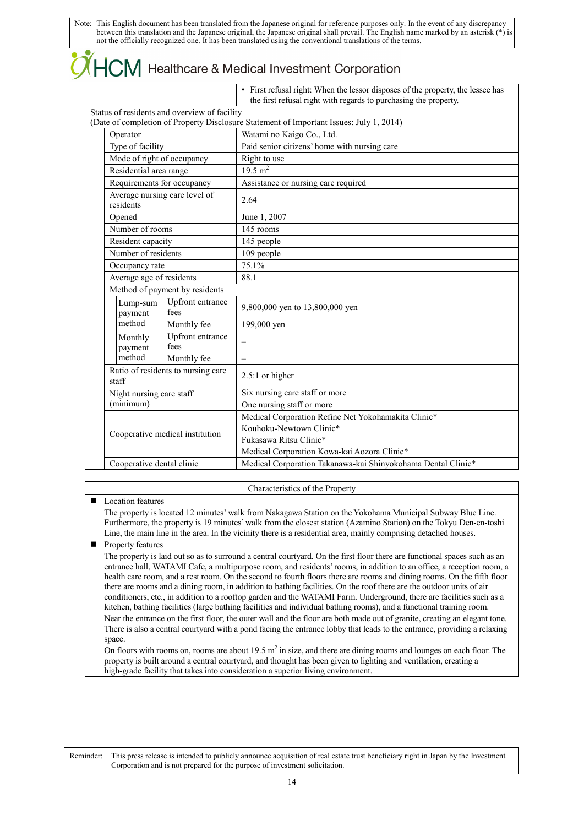|  |  | <b>OHCM</b> Healthcare & Medical Investment Corporation |  |
|--|--|---------------------------------------------------------|--|
|--|--|---------------------------------------------------------|--|

| • First refusal right: When the lessor disposes of the property, the lessee has |
|---------------------------------------------------------------------------------|
| the first refusal right with regards to purchasing the property.                |

|                                             | Status of residents and overview of facility |                                                                                         |
|---------------------------------------------|----------------------------------------------|-----------------------------------------------------------------------------------------|
|                                             |                                              | (Date of completion of Property Disclosure Statement of Important Issues: July 1, 2014) |
| Operator                                    |                                              | Watami no Kaigo Co., Ltd.                                                               |
| Type of facility                            |                                              | Paid senior citizens' home with nursing care                                            |
| Mode of right of occupancy                  |                                              | Right to use                                                                            |
| Residential area range                      |                                              | $19.5 \,\mathrm{m}^2$                                                                   |
| Requirements for occupancy                  |                                              | Assistance or nursing care required                                                     |
| Average nursing care level of<br>residents  |                                              | 2.64                                                                                    |
| Opened                                      |                                              | June 1, 2007                                                                            |
| Number of rooms                             |                                              | 145 rooms                                                                               |
| Resident capacity                           |                                              | 145 people                                                                              |
| Number of residents                         |                                              | 109 people                                                                              |
| Occupancy rate                              |                                              | 75.1%                                                                                   |
| Average age of residents                    |                                              | 88.1                                                                                    |
|                                             | Method of payment by residents               |                                                                                         |
| Lump-sum<br>payment                         | Upfront entrance<br>fees                     | 9,800,000 yen to 13,800,000 yen                                                         |
| method                                      | Monthly fee                                  | 199,000 yen                                                                             |
| Monthly<br>payment                          | Upfront entrance<br>fees                     | $\overline{\phantom{0}}$                                                                |
| method                                      | Monthly fee                                  | $\overline{\phantom{0}}$                                                                |
| Ratio of residents to nursing care<br>staff |                                              | $2.5:1$ or higher                                                                       |
| Night nursing care staff                    |                                              | Six nursing care staff or more                                                          |
| (minimum)                                   |                                              | One nursing staff or more                                                               |
|                                             |                                              | Medical Corporation Refine Net Yokohamakita Clinic*                                     |
|                                             |                                              | Kouhoku-Newtown Clinic*                                                                 |
|                                             | Cooperative medical institution              | Fukasawa Ritsu Clinic*                                                                  |
|                                             |                                              | Medical Corporation Kowa-kai Aozora Clinic*                                             |
| Cooperative dental clinic                   |                                              | Medical Corporation Takanawa-kai Shinyokohama Dental Clinic*                            |

#### Characteristics of the Property

#### **L** Location features

The property is located 12 minutes' walk from Nakagawa Station on the Yokohama Municipal Subway Blue Line. Furthermore, the property is 19 minutes' walk from the closest station (Azamino Station) on the Tokyu Den-en-toshi Line, the main line in the area. In the vicinity there is a residential area, mainly comprising detached houses.

**Property features** 

The property is laid out so as to surround a central courtyard. On the first floor there are functional spaces such as an entrance hall, WATAMI Cafe, a multipurpose room, and residents' rooms, in addition to an office, a reception room, a health care room, and a rest room. On the second to fourth floors there are rooms and dining rooms. On the fifth floor there are rooms and a dining room, in addition to bathing facilities. On the roof there are the outdoor units of air conditioners, etc., in addition to a rooftop garden and the WATAMI Farm. Underground, there are facilities such as a kitchen, bathing facilities (large bathing facilities and individual bathing rooms), and a functional training room. Near the entrance on the first floor, the outer wall and the floor are both made out of granite, creating an elegant tone. There is also a central courtyard with a pond facing the entrance lobby that leads to the entrance, providing a relaxing space.

On floors with rooms on, rooms are about  $19.5 \text{ m}^2$  in size, and there are dining rooms and lounges on each floor. The property is built around a central courtyard, and thought has been given to lighting and ventilation, creating a high-grade facility that takes into consideration a superior living environment.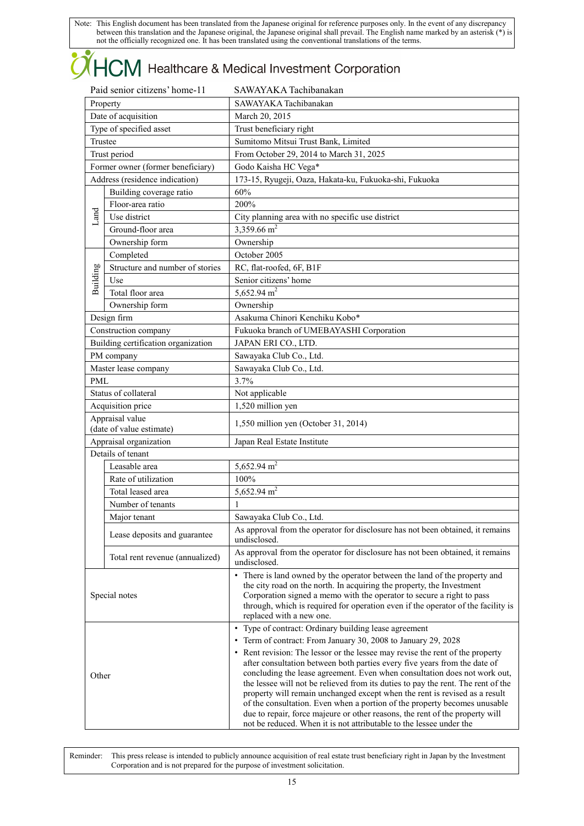# **OHCM** Healthcare & Medical Investment Corporation

| Property<br>Date of acquisition<br>Type of specified asset<br>Trustee<br>Trust period<br>Former owner (former beneficiary)<br>Address (residence indication)<br>Building coverage ratio<br>Floor-area ratio<br>Use district<br>Ground-floor area<br>Ownership form<br>Completed<br>Structure and number of stories<br>Use<br>Total floor area<br>Ownership form<br>Design firm | SAWAYAKA Tachibanakan<br>March 20, 2015<br>Trust beneficiary right<br>Sumitomo Mitsui Trust Bank, Limited<br>From October 29, 2014 to March 31, 2025<br>Godo Kaisha HC Vega*<br>173-15, Ryugeji, Oaza, Hakata-ku, Fukuoka-shi, Fukuoka<br>60%<br>200%<br>City planning area with no specific use district<br>3,359.66 $m2$<br>Ownership<br>October 2005<br>RC, flat-roofed, 6F, B1F<br>Senior citizens' home                                                                                                                                                                                                                                                                                     |
|--------------------------------------------------------------------------------------------------------------------------------------------------------------------------------------------------------------------------------------------------------------------------------------------------------------------------------------------------------------------------------|--------------------------------------------------------------------------------------------------------------------------------------------------------------------------------------------------------------------------------------------------------------------------------------------------------------------------------------------------------------------------------------------------------------------------------------------------------------------------------------------------------------------------------------------------------------------------------------------------------------------------------------------------------------------------------------------------|
|                                                                                                                                                                                                                                                                                                                                                                                |                                                                                                                                                                                                                                                                                                                                                                                                                                                                                                                                                                                                                                                                                                  |
|                                                                                                                                                                                                                                                                                                                                                                                |                                                                                                                                                                                                                                                                                                                                                                                                                                                                                                                                                                                                                                                                                                  |
|                                                                                                                                                                                                                                                                                                                                                                                |                                                                                                                                                                                                                                                                                                                                                                                                                                                                                                                                                                                                                                                                                                  |
|                                                                                                                                                                                                                                                                                                                                                                                |                                                                                                                                                                                                                                                                                                                                                                                                                                                                                                                                                                                                                                                                                                  |
|                                                                                                                                                                                                                                                                                                                                                                                |                                                                                                                                                                                                                                                                                                                                                                                                                                                                                                                                                                                                                                                                                                  |
|                                                                                                                                                                                                                                                                                                                                                                                |                                                                                                                                                                                                                                                                                                                                                                                                                                                                                                                                                                                                                                                                                                  |
|                                                                                                                                                                                                                                                                                                                                                                                |                                                                                                                                                                                                                                                                                                                                                                                                                                                                                                                                                                                                                                                                                                  |
|                                                                                                                                                                                                                                                                                                                                                                                |                                                                                                                                                                                                                                                                                                                                                                                                                                                                                                                                                                                                                                                                                                  |
|                                                                                                                                                                                                                                                                                                                                                                                |                                                                                                                                                                                                                                                                                                                                                                                                                                                                                                                                                                                                                                                                                                  |
|                                                                                                                                                                                                                                                                                                                                                                                |                                                                                                                                                                                                                                                                                                                                                                                                                                                                                                                                                                                                                                                                                                  |
|                                                                                                                                                                                                                                                                                                                                                                                |                                                                                                                                                                                                                                                                                                                                                                                                                                                                                                                                                                                                                                                                                                  |
|                                                                                                                                                                                                                                                                                                                                                                                |                                                                                                                                                                                                                                                                                                                                                                                                                                                                                                                                                                                                                                                                                                  |
|                                                                                                                                                                                                                                                                                                                                                                                |                                                                                                                                                                                                                                                                                                                                                                                                                                                                                                                                                                                                                                                                                                  |
|                                                                                                                                                                                                                                                                                                                                                                                |                                                                                                                                                                                                                                                                                                                                                                                                                                                                                                                                                                                                                                                                                                  |
|                                                                                                                                                                                                                                                                                                                                                                                |                                                                                                                                                                                                                                                                                                                                                                                                                                                                                                                                                                                                                                                                                                  |
|                                                                                                                                                                                                                                                                                                                                                                                | 5,652.94 $m2$                                                                                                                                                                                                                                                                                                                                                                                                                                                                                                                                                                                                                                                                                    |
|                                                                                                                                                                                                                                                                                                                                                                                | Ownership                                                                                                                                                                                                                                                                                                                                                                                                                                                                                                                                                                                                                                                                                        |
|                                                                                                                                                                                                                                                                                                                                                                                | Asakuma Chinori Kenchiku Kobo*                                                                                                                                                                                                                                                                                                                                                                                                                                                                                                                                                                                                                                                                   |
| Construction company                                                                                                                                                                                                                                                                                                                                                           | Fukuoka branch of UMEBAYASHI Corporation                                                                                                                                                                                                                                                                                                                                                                                                                                                                                                                                                                                                                                                         |
| Building certification organization                                                                                                                                                                                                                                                                                                                                            | JAPAN ERI CO., LTD.                                                                                                                                                                                                                                                                                                                                                                                                                                                                                                                                                                                                                                                                              |
| PM company                                                                                                                                                                                                                                                                                                                                                                     | Sawayaka Club Co., Ltd.                                                                                                                                                                                                                                                                                                                                                                                                                                                                                                                                                                                                                                                                          |
|                                                                                                                                                                                                                                                                                                                                                                                | Sawayaka Club Co., Ltd.                                                                                                                                                                                                                                                                                                                                                                                                                                                                                                                                                                                                                                                                          |
| <b>PML</b>                                                                                                                                                                                                                                                                                                                                                                     | 3.7%                                                                                                                                                                                                                                                                                                                                                                                                                                                                                                                                                                                                                                                                                             |
| Status of collateral                                                                                                                                                                                                                                                                                                                                                           | Not applicable                                                                                                                                                                                                                                                                                                                                                                                                                                                                                                                                                                                                                                                                                   |
|                                                                                                                                                                                                                                                                                                                                                                                | 1,520 million yen                                                                                                                                                                                                                                                                                                                                                                                                                                                                                                                                                                                                                                                                                |
| Appraisal value                                                                                                                                                                                                                                                                                                                                                                | 1,550 million yen (October 31, 2014)                                                                                                                                                                                                                                                                                                                                                                                                                                                                                                                                                                                                                                                             |
|                                                                                                                                                                                                                                                                                                                                                                                | Japan Real Estate Institute                                                                                                                                                                                                                                                                                                                                                                                                                                                                                                                                                                                                                                                                      |
| Details of tenant                                                                                                                                                                                                                                                                                                                                                              |                                                                                                                                                                                                                                                                                                                                                                                                                                                                                                                                                                                                                                                                                                  |
| Leasable area                                                                                                                                                                                                                                                                                                                                                                  | 5,652.94 $m2$                                                                                                                                                                                                                                                                                                                                                                                                                                                                                                                                                                                                                                                                                    |
| Rate of utilization                                                                                                                                                                                                                                                                                                                                                            | 100%                                                                                                                                                                                                                                                                                                                                                                                                                                                                                                                                                                                                                                                                                             |
| Total leased area                                                                                                                                                                                                                                                                                                                                                              | 5,652.94 $m2$                                                                                                                                                                                                                                                                                                                                                                                                                                                                                                                                                                                                                                                                                    |
| Number of tenants                                                                                                                                                                                                                                                                                                                                                              | 1                                                                                                                                                                                                                                                                                                                                                                                                                                                                                                                                                                                                                                                                                                |
| Major tenant                                                                                                                                                                                                                                                                                                                                                                   | Sawayaka Club Co., Ltd.                                                                                                                                                                                                                                                                                                                                                                                                                                                                                                                                                                                                                                                                          |
| Lease deposits and guarantee                                                                                                                                                                                                                                                                                                                                                   | As approval from the operator for disclosure has not been obtained, it remains<br>undisclosed.                                                                                                                                                                                                                                                                                                                                                                                                                                                                                                                                                                                                   |
| Total rent revenue (annualized)                                                                                                                                                                                                                                                                                                                                                | As approval from the operator for disclosure has not been obtained, it remains<br>undisclosed.                                                                                                                                                                                                                                                                                                                                                                                                                                                                                                                                                                                                   |
| Special notes                                                                                                                                                                                                                                                                                                                                                                  | • There is land owned by the operator between the land of the property and<br>the city road on the north. In acquiring the property, the Investment<br>Corporation signed a memo with the operator to secure a right to pass<br>through, which is required for operation even if the operator of the facility is<br>replaced with a new one.                                                                                                                                                                                                                                                                                                                                                     |
| Other                                                                                                                                                                                                                                                                                                                                                                          | • Type of contract: Ordinary building lease agreement<br>• Term of contract: From January 30, 2008 to January 29, 2028<br>• Rent revision: The lessor or the lessee may revise the rent of the property<br>after consultation between both parties every five years from the date of<br>concluding the lease agreement. Even when consultation does not work out,<br>the lessee will not be relieved from its duties to pay the rent. The rent of the<br>property will remain unchanged except when the rent is revised as a result<br>of the consultation. Even when a portion of the property becomes unusable<br>due to repair, force majeure or other reasons, the rent of the property will |
|                                                                                                                                                                                                                                                                                                                                                                                | Master lease company<br>Acquisition price<br>(date of value estimate)<br>Appraisal organization                                                                                                                                                                                                                                                                                                                                                                                                                                                                                                                                                                                                  |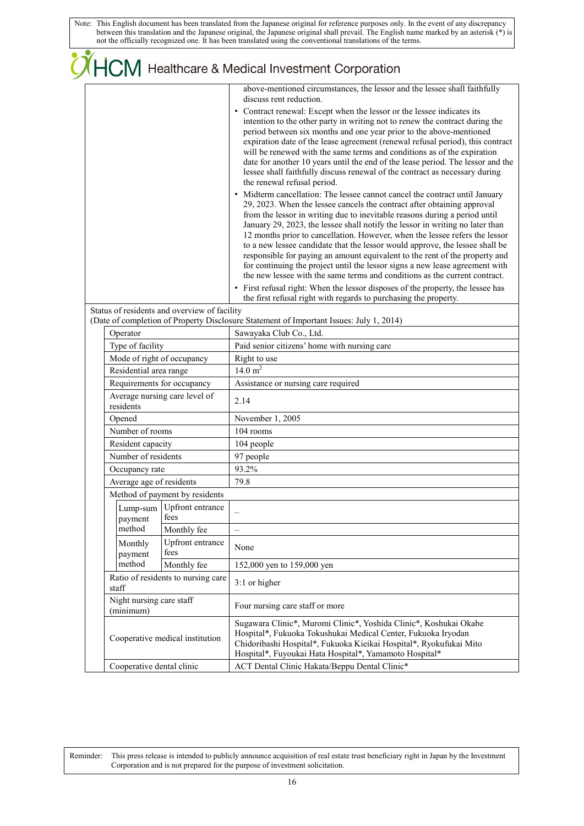|  |                                                                                                                                                                                                                    |                                    | <b>OHCM</b> Healthcare & Medical Investment Corporation                                                                                                                                                                                                                                                                                                                                                                                                                                                                                                                                                                                                                                                                                                                                                                                                                                                                                                                                                                                                                                                                                                                                                                                                                                                                                                                                                                                                                                                                                                                                         |
|--|--------------------------------------------------------------------------------------------------------------------------------------------------------------------------------------------------------------------|------------------------------------|-------------------------------------------------------------------------------------------------------------------------------------------------------------------------------------------------------------------------------------------------------------------------------------------------------------------------------------------------------------------------------------------------------------------------------------------------------------------------------------------------------------------------------------------------------------------------------------------------------------------------------------------------------------------------------------------------------------------------------------------------------------------------------------------------------------------------------------------------------------------------------------------------------------------------------------------------------------------------------------------------------------------------------------------------------------------------------------------------------------------------------------------------------------------------------------------------------------------------------------------------------------------------------------------------------------------------------------------------------------------------------------------------------------------------------------------------------------------------------------------------------------------------------------------------------------------------------------------------|
|  |                                                                                                                                                                                                                    |                                    | above-mentioned circumstances, the lessor and the lessee shall faithfully<br>discuss rent reduction.<br>• Contract renewal: Except when the lessor or the lessee indicates its<br>intention to the other party in writing not to renew the contract during the<br>period between six months and one year prior to the above-mentioned<br>expiration date of the lease agreement (renewal refusal period), this contract<br>will be renewed with the same terms and conditions as of the expiration<br>date for another 10 years until the end of the lease period. The lessor and the<br>lessee shall faithfully discuss renewal of the contract as necessary during<br>the renewal refusal period.<br>• Midterm cancellation: The lessee cannot cancel the contract until January<br>29, 2023. When the lessee cancels the contract after obtaining approval<br>from the lessor in writing due to inevitable reasons during a period until<br>January 29, 2023, the lessee shall notify the lessor in writing no later than<br>12 months prior to cancellation. However, when the lessee refers the lessor<br>to a new lessee candidate that the lessor would approve, the lessee shall be<br>responsible for paying an amount equivalent to the rent of the property and<br>for continuing the project until the lessor signs a new lease agreement with<br>the new lessee with the same terms and conditions as the current contract.<br>• First refusal right: When the lessor disposes of the property, the lessee has<br>the first refusal right with regards to purchasing the property. |
|  | Status of residents and overview of facility                                                                                                                                                                       |                                    |                                                                                                                                                                                                                                                                                                                                                                                                                                                                                                                                                                                                                                                                                                                                                                                                                                                                                                                                                                                                                                                                                                                                                                                                                                                                                                                                                                                                                                                                                                                                                                                                 |
|  |                                                                                                                                                                                                                    |                                    | (Date of completion of Property Disclosure Statement of Important Issues: July 1, 2014)                                                                                                                                                                                                                                                                                                                                                                                                                                                                                                                                                                                                                                                                                                                                                                                                                                                                                                                                                                                                                                                                                                                                                                                                                                                                                                                                                                                                                                                                                                         |
|  | Operator<br>Type of facility<br>Mode of right of occupancy<br>Residential area range<br>Requirements for occupancy<br>Average nursing care level of<br>residents<br>Opened<br>Number of rooms<br>Resident capacity |                                    | Sawayaka Club Co., Ltd.                                                                                                                                                                                                                                                                                                                                                                                                                                                                                                                                                                                                                                                                                                                                                                                                                                                                                                                                                                                                                                                                                                                                                                                                                                                                                                                                                                                                                                                                                                                                                                         |
|  |                                                                                                                                                                                                                    |                                    | Paid senior citizens' home with nursing care                                                                                                                                                                                                                                                                                                                                                                                                                                                                                                                                                                                                                                                                                                                                                                                                                                                                                                                                                                                                                                                                                                                                                                                                                                                                                                                                                                                                                                                                                                                                                    |
|  |                                                                                                                                                                                                                    |                                    | Right to use                                                                                                                                                                                                                                                                                                                                                                                                                                                                                                                                                                                                                                                                                                                                                                                                                                                                                                                                                                                                                                                                                                                                                                                                                                                                                                                                                                                                                                                                                                                                                                                    |
|  |                                                                                                                                                                                                                    |                                    | 14.0 $m^2$                                                                                                                                                                                                                                                                                                                                                                                                                                                                                                                                                                                                                                                                                                                                                                                                                                                                                                                                                                                                                                                                                                                                                                                                                                                                                                                                                                                                                                                                                                                                                                                      |
|  |                                                                                                                                                                                                                    |                                    | Assistance or nursing care required                                                                                                                                                                                                                                                                                                                                                                                                                                                                                                                                                                                                                                                                                                                                                                                                                                                                                                                                                                                                                                                                                                                                                                                                                                                                                                                                                                                                                                                                                                                                                             |
|  |                                                                                                                                                                                                                    |                                    | 2.14                                                                                                                                                                                                                                                                                                                                                                                                                                                                                                                                                                                                                                                                                                                                                                                                                                                                                                                                                                                                                                                                                                                                                                                                                                                                                                                                                                                                                                                                                                                                                                                            |
|  |                                                                                                                                                                                                                    |                                    | November 1, 2005                                                                                                                                                                                                                                                                                                                                                                                                                                                                                                                                                                                                                                                                                                                                                                                                                                                                                                                                                                                                                                                                                                                                                                                                                                                                                                                                                                                                                                                                                                                                                                                |
|  |                                                                                                                                                                                                                    |                                    | 104 rooms                                                                                                                                                                                                                                                                                                                                                                                                                                                                                                                                                                                                                                                                                                                                                                                                                                                                                                                                                                                                                                                                                                                                                                                                                                                                                                                                                                                                                                                                                                                                                                                       |
|  |                                                                                                                                                                                                                    |                                    | 104 people                                                                                                                                                                                                                                                                                                                                                                                                                                                                                                                                                                                                                                                                                                                                                                                                                                                                                                                                                                                                                                                                                                                                                                                                                                                                                                                                                                                                                                                                                                                                                                                      |
|  | Number of residents                                                                                                                                                                                                |                                    | 97 people                                                                                                                                                                                                                                                                                                                                                                                                                                                                                                                                                                                                                                                                                                                                                                                                                                                                                                                                                                                                                                                                                                                                                                                                                                                                                                                                                                                                                                                                                                                                                                                       |
|  | Occupancy rate                                                                                                                                                                                                     |                                    | 93.2%                                                                                                                                                                                                                                                                                                                                                                                                                                                                                                                                                                                                                                                                                                                                                                                                                                                                                                                                                                                                                                                                                                                                                                                                                                                                                                                                                                                                                                                                                                                                                                                           |
|  | Average age of residents                                                                                                                                                                                           |                                    | 79.8                                                                                                                                                                                                                                                                                                                                                                                                                                                                                                                                                                                                                                                                                                                                                                                                                                                                                                                                                                                                                                                                                                                                                                                                                                                                                                                                                                                                                                                                                                                                                                                            |
|  |                                                                                                                                                                                                                    | Method of payment by residents     |                                                                                                                                                                                                                                                                                                                                                                                                                                                                                                                                                                                                                                                                                                                                                                                                                                                                                                                                                                                                                                                                                                                                                                                                                                                                                                                                                                                                                                                                                                                                                                                                 |
|  | Lump-sum<br>payment                                                                                                                                                                                                | Upfront entrance<br>fees           |                                                                                                                                                                                                                                                                                                                                                                                                                                                                                                                                                                                                                                                                                                                                                                                                                                                                                                                                                                                                                                                                                                                                                                                                                                                                                                                                                                                                                                                                                                                                                                                                 |
|  | method                                                                                                                                                                                                             | Monthly fee                        | $\equiv$                                                                                                                                                                                                                                                                                                                                                                                                                                                                                                                                                                                                                                                                                                                                                                                                                                                                                                                                                                                                                                                                                                                                                                                                                                                                                                                                                                                                                                                                                                                                                                                        |
|  | Monthly<br>payment                                                                                                                                                                                                 | Upfront entrance<br>fees           | None                                                                                                                                                                                                                                                                                                                                                                                                                                                                                                                                                                                                                                                                                                                                                                                                                                                                                                                                                                                                                                                                                                                                                                                                                                                                                                                                                                                                                                                                                                                                                                                            |
|  | method                                                                                                                                                                                                             | Monthly fee                        | 152,000 yen to 159,000 yen                                                                                                                                                                                                                                                                                                                                                                                                                                                                                                                                                                                                                                                                                                                                                                                                                                                                                                                                                                                                                                                                                                                                                                                                                                                                                                                                                                                                                                                                                                                                                                      |
|  | staff                                                                                                                                                                                                              | Ratio of residents to nursing care | 3:1 or higher                                                                                                                                                                                                                                                                                                                                                                                                                                                                                                                                                                                                                                                                                                                                                                                                                                                                                                                                                                                                                                                                                                                                                                                                                                                                                                                                                                                                                                                                                                                                                                                   |
|  | Night nursing care staff<br>(minimum)<br>Cooperative medical institution                                                                                                                                           |                                    | Four nursing care staff or more                                                                                                                                                                                                                                                                                                                                                                                                                                                                                                                                                                                                                                                                                                                                                                                                                                                                                                                                                                                                                                                                                                                                                                                                                                                                                                                                                                                                                                                                                                                                                                 |
|  |                                                                                                                                                                                                                    |                                    | Sugawara Clinic*, Muromi Clinic*, Yoshida Clinic*, Koshukai Okabe<br>Hospital*, Fukuoka Tokushukai Medical Center, Fukuoka Iryodan<br>Chidoribashi Hospital*, Fukuoka Kieikai Hospital*, Ryokufukai Mito<br>Hospital*, Fuyoukai Hata Hospital*, Yamamoto Hospital*                                                                                                                                                                                                                                                                                                                                                                                                                                                                                                                                                                                                                                                                                                                                                                                                                                                                                                                                                                                                                                                                                                                                                                                                                                                                                                                              |
|  | Cooperative dental clinic                                                                                                                                                                                          |                                    | ACT Dental Clinic Hakata/Beppu Dental Clinic*                                                                                                                                                                                                                                                                                                                                                                                                                                                                                                                                                                                                                                                                                                                                                                                                                                                                                                                                                                                                                                                                                                                                                                                                                                                                                                                                                                                                                                                                                                                                                   |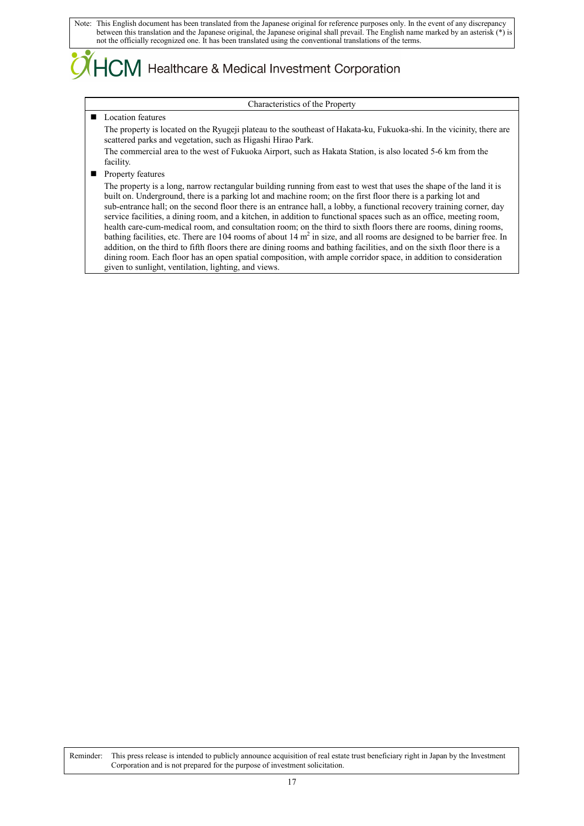## ICM Healthcare & Medical Investment Corporation

#### Characteristics of the Property

#### **Location features**

The property is located on the Ryugeji plateau to the southeast of Hakata-ku, Fukuoka-shi. In the vicinity, there are scattered parks and vegetation, such as Higashi Hirao Park.

The commercial area to the west of Fukuoka Airport, such as Hakata Station, is also located 5-6 km from the facility.

**Property features** 

The property is a long, narrow rectangular building running from east to west that uses the shape of the land it is built on. Underground, there is a parking lot and machine room; on the first floor there is a parking lot and sub-entrance hall; on the second floor there is an entrance hall, a lobby, a functional recovery training corner, day service facilities, a dining room, and a kitchen, in addition to functional spaces such as an office, meeting room, health care-cum-medical room, and consultation room; on the third to sixth floors there are rooms, dining rooms, bathing facilities, etc. There are 104 rooms of about  $14 \text{ m}^2$  in size, and all rooms are designed to be barrier free. In addition, on the third to fifth floors there are dining rooms and bathing facilities, and on the sixth floor there is a dining room. Each floor has an open spatial composition, with ample corridor space, in addition to consideration given to sunlight, ventilation, lighting, and views.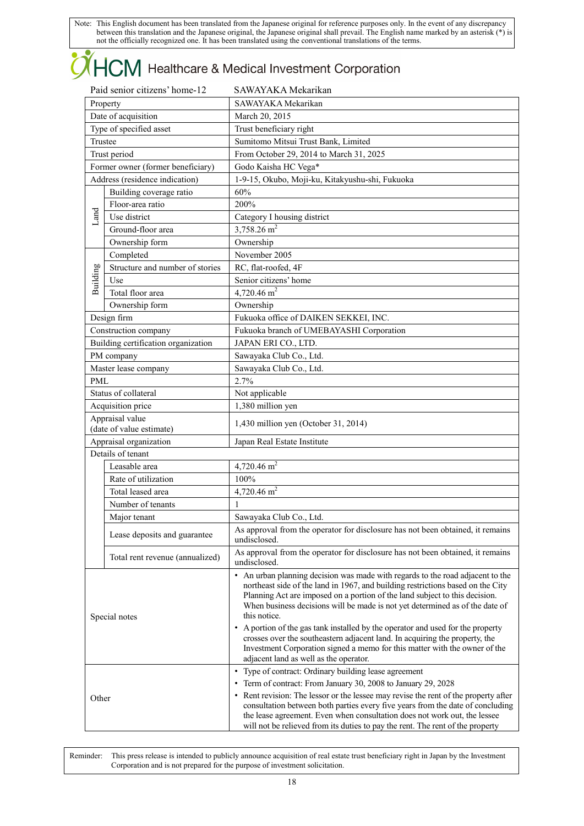# **OHCM** Healthcare & Medical Investment Corporation

| Paid senior citizens' home-12 |                                             | SAWAYAKA Mekarikan                                                                                                                                                                                                                                                                                                                                                                                                                                                                                                                                                                                                                         |  |  |
|-------------------------------|---------------------------------------------|--------------------------------------------------------------------------------------------------------------------------------------------------------------------------------------------------------------------------------------------------------------------------------------------------------------------------------------------------------------------------------------------------------------------------------------------------------------------------------------------------------------------------------------------------------------------------------------------------------------------------------------------|--|--|
| Property                      |                                             | SAWAYAKA Mekarikan                                                                                                                                                                                                                                                                                                                                                                                                                                                                                                                                                                                                                         |  |  |
|                               | Date of acquisition                         | March 20, 2015                                                                                                                                                                                                                                                                                                                                                                                                                                                                                                                                                                                                                             |  |  |
|                               | Type of specified asset                     | Trust beneficiary right                                                                                                                                                                                                                                                                                                                                                                                                                                                                                                                                                                                                                    |  |  |
| Trustee                       |                                             | Sumitomo Mitsui Trust Bank, Limited                                                                                                                                                                                                                                                                                                                                                                                                                                                                                                                                                                                                        |  |  |
|                               | Trust period                                | From October 29, 2014 to March 31, 2025                                                                                                                                                                                                                                                                                                                                                                                                                                                                                                                                                                                                    |  |  |
|                               | Former owner (former beneficiary)           | Godo Kaisha HC Vega*                                                                                                                                                                                                                                                                                                                                                                                                                                                                                                                                                                                                                       |  |  |
|                               | Address (residence indication)              | 1-9-15, Okubo, Moji-ku, Kitakyushu-shi, Fukuoka                                                                                                                                                                                                                                                                                                                                                                                                                                                                                                                                                                                            |  |  |
|                               | Building coverage ratio                     | 60%                                                                                                                                                                                                                                                                                                                                                                                                                                                                                                                                                                                                                                        |  |  |
|                               | Floor-area ratio                            | 200%                                                                                                                                                                                                                                                                                                                                                                                                                                                                                                                                                                                                                                       |  |  |
| Land                          | Use district                                | Category I housing district                                                                                                                                                                                                                                                                                                                                                                                                                                                                                                                                                                                                                |  |  |
|                               | Ground-floor area                           | 3,758.26 $m2$                                                                                                                                                                                                                                                                                                                                                                                                                                                                                                                                                                                                                              |  |  |
|                               | Ownership form                              | Ownership                                                                                                                                                                                                                                                                                                                                                                                                                                                                                                                                                                                                                                  |  |  |
|                               | Completed                                   | November 2005                                                                                                                                                                                                                                                                                                                                                                                                                                                                                                                                                                                                                              |  |  |
| Building                      | Structure and number of stories             | RC, flat-roofed, 4F                                                                                                                                                                                                                                                                                                                                                                                                                                                                                                                                                                                                                        |  |  |
|                               | Use                                         | Senior citizens' home                                                                                                                                                                                                                                                                                                                                                                                                                                                                                                                                                                                                                      |  |  |
|                               | Total floor area                            | 4,720.46 $m2$                                                                                                                                                                                                                                                                                                                                                                                                                                                                                                                                                                                                                              |  |  |
|                               | Ownership form                              | Ownership                                                                                                                                                                                                                                                                                                                                                                                                                                                                                                                                                                                                                                  |  |  |
|                               | Design firm                                 | Fukuoka office of DAIKEN SEKKEI, INC.                                                                                                                                                                                                                                                                                                                                                                                                                                                                                                                                                                                                      |  |  |
|                               | Construction company                        | Fukuoka branch of UMEBAYASHI Corporation                                                                                                                                                                                                                                                                                                                                                                                                                                                                                                                                                                                                   |  |  |
|                               | Building certification organization         | JAPAN ERI CO., LTD.                                                                                                                                                                                                                                                                                                                                                                                                                                                                                                                                                                                                                        |  |  |
|                               | PM company                                  | Sawayaka Club Co., Ltd.                                                                                                                                                                                                                                                                                                                                                                                                                                                                                                                                                                                                                    |  |  |
|                               | Master lease company                        | Sawayaka Club Co., Ltd.                                                                                                                                                                                                                                                                                                                                                                                                                                                                                                                                                                                                                    |  |  |
| <b>PML</b>                    |                                             | 2.7%                                                                                                                                                                                                                                                                                                                                                                                                                                                                                                                                                                                                                                       |  |  |
|                               | Status of collateral                        | Not applicable                                                                                                                                                                                                                                                                                                                                                                                                                                                                                                                                                                                                                             |  |  |
|                               | Acquisition price                           | 1,380 million yen                                                                                                                                                                                                                                                                                                                                                                                                                                                                                                                                                                                                                          |  |  |
|                               | Appraisal value<br>(date of value estimate) | 1,430 million yen (October 31, 2014)                                                                                                                                                                                                                                                                                                                                                                                                                                                                                                                                                                                                       |  |  |
| Appraisal organization        |                                             | Japan Real Estate Institute                                                                                                                                                                                                                                                                                                                                                                                                                                                                                                                                                                                                                |  |  |
|                               | Details of tenant                           |                                                                                                                                                                                                                                                                                                                                                                                                                                                                                                                                                                                                                                            |  |  |
|                               | Leasable area                               | 4,720.46 $m2$                                                                                                                                                                                                                                                                                                                                                                                                                                                                                                                                                                                                                              |  |  |
|                               | Rate of utilization                         | 100%                                                                                                                                                                                                                                                                                                                                                                                                                                                                                                                                                                                                                                       |  |  |
|                               | Total leased area                           | 4,720.46 $m2$                                                                                                                                                                                                                                                                                                                                                                                                                                                                                                                                                                                                                              |  |  |
|                               | Number of tenants                           | $\mathbf{1}$                                                                                                                                                                                                                                                                                                                                                                                                                                                                                                                                                                                                                               |  |  |
|                               | Major tenant                                | Sawayaka Club Co., Ltd.                                                                                                                                                                                                                                                                                                                                                                                                                                                                                                                                                                                                                    |  |  |
|                               | Lease deposits and guarantee                | As approval from the operator for disclosure has not been obtained, it remains<br>undisclosed.                                                                                                                                                                                                                                                                                                                                                                                                                                                                                                                                             |  |  |
|                               | Total rent revenue (annualized)             | As approval from the operator for disclosure has not been obtained, it remains<br>undisclosed.                                                                                                                                                                                                                                                                                                                                                                                                                                                                                                                                             |  |  |
|                               | Special notes                               | • An urban planning decision was made with regards to the road adjacent to the<br>northeast side of the land in 1967, and building restrictions based on the City<br>Planning Act are imposed on a portion of the land subject to this decision.<br>When business decisions will be made is not yet determined as of the date of<br>this notice.<br>• A portion of the gas tank installed by the operator and used for the property<br>crosses over the southeastern adjacent land. In acquiring the property, the<br>Investment Corporation signed a memo for this matter with the owner of the<br>adjacent land as well as the operator. |  |  |
| Other                         |                                             | • Type of contract: Ordinary building lease agreement<br>• Term of contract: From January 30, 2008 to January 29, 2028<br>• Rent revision: The lessor or the lessee may revise the rent of the property after<br>consultation between both parties every five years from the date of concluding<br>the lease agreement. Even when consultation does not work out, the lessee<br>will not be relieved from its duties to pay the rent. The rent of the property                                                                                                                                                                             |  |  |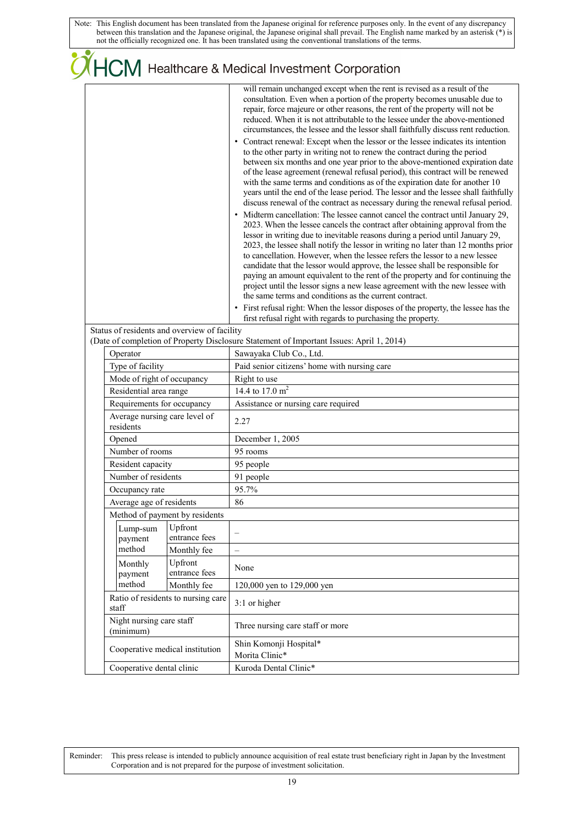|  |                                                                                                                                                      |                                              | <b>OHCM</b> Healthcare & Medical Investment Corporation                                                                                                                                                                                                                                                                                                                                                                                                                                                                                                                                                                                                                                                                                                                                                                                                                                                                                                                                                                                                                                                                                                                                                                                                                                                                                                                                                                                                                                                                                                                                                                                                                                                                                                                                                                                                                                          |  |
|--|------------------------------------------------------------------------------------------------------------------------------------------------------|----------------------------------------------|--------------------------------------------------------------------------------------------------------------------------------------------------------------------------------------------------------------------------------------------------------------------------------------------------------------------------------------------------------------------------------------------------------------------------------------------------------------------------------------------------------------------------------------------------------------------------------------------------------------------------------------------------------------------------------------------------------------------------------------------------------------------------------------------------------------------------------------------------------------------------------------------------------------------------------------------------------------------------------------------------------------------------------------------------------------------------------------------------------------------------------------------------------------------------------------------------------------------------------------------------------------------------------------------------------------------------------------------------------------------------------------------------------------------------------------------------------------------------------------------------------------------------------------------------------------------------------------------------------------------------------------------------------------------------------------------------------------------------------------------------------------------------------------------------------------------------------------------------------------------------------------------------|--|
|  |                                                                                                                                                      |                                              | will remain unchanged except when the rent is revised as a result of the<br>consultation. Even when a portion of the property becomes unusable due to<br>repair, force majeure or other reasons, the rent of the property will not be<br>reduced. When it is not attributable to the lessee under the above-mentioned<br>circumstances, the lessee and the lessor shall faithfully discuss rent reduction.<br>Contract renewal: Except when the lessor or the lessee indicates its intention<br>to the other party in writing not to renew the contract during the period<br>between six months and one year prior to the above-mentioned expiration date<br>of the lease agreement (renewal refusal period), this contract will be renewed<br>with the same terms and conditions as of the expiration date for another 10<br>years until the end of the lease period. The lessor and the lessee shall faithfully<br>discuss renewal of the contract as necessary during the renewal refusal period.<br>• Midterm cancellation: The lessee cannot cancel the contract until January 29,<br>2023. When the lessee cancels the contract after obtaining approval from the<br>lessor in writing due to inevitable reasons during a period until January 29,<br>2023, the lessee shall notify the lessor in writing no later than 12 months prior<br>to cancellation. However, when the lessee refers the lessor to a new lessee<br>candidate that the lessor would approve, the lessee shall be responsible for<br>paying an amount equivalent to the rent of the property and for continuing the<br>project until the lessor signs a new lease agreement with the new lessee with<br>the same terms and conditions as the current contract.<br>• First refusal right: When the lessor disposes of the property, the lessee has the<br>first refusal right with regards to purchasing the property. |  |
|  |                                                                                                                                                      | Status of residents and overview of facility | (Date of completion of Property Disclosure Statement of Important Issues: April 1, 2014)                                                                                                                                                                                                                                                                                                                                                                                                                                                                                                                                                                                                                                                                                                                                                                                                                                                                                                                                                                                                                                                                                                                                                                                                                                                                                                                                                                                                                                                                                                                                                                                                                                                                                                                                                                                                         |  |
|  | Operator                                                                                                                                             |                                              | Sawayaka Club Co., Ltd.                                                                                                                                                                                                                                                                                                                                                                                                                                                                                                                                                                                                                                                                                                                                                                                                                                                                                                                                                                                                                                                                                                                                                                                                                                                                                                                                                                                                                                                                                                                                                                                                                                                                                                                                                                                                                                                                          |  |
|  | Type of facility<br>Mode of right of occupancy<br>Residential area range<br>Requirements for occupancy<br>Average nursing care level of<br>residents |                                              | Paid senior citizens' home with nursing care                                                                                                                                                                                                                                                                                                                                                                                                                                                                                                                                                                                                                                                                                                                                                                                                                                                                                                                                                                                                                                                                                                                                                                                                                                                                                                                                                                                                                                                                                                                                                                                                                                                                                                                                                                                                                                                     |  |
|  |                                                                                                                                                      |                                              | Right to use                                                                                                                                                                                                                                                                                                                                                                                                                                                                                                                                                                                                                                                                                                                                                                                                                                                                                                                                                                                                                                                                                                                                                                                                                                                                                                                                                                                                                                                                                                                                                                                                                                                                                                                                                                                                                                                                                     |  |
|  |                                                                                                                                                      |                                              | 14.4 to 17.0 m <sup>2</sup>                                                                                                                                                                                                                                                                                                                                                                                                                                                                                                                                                                                                                                                                                                                                                                                                                                                                                                                                                                                                                                                                                                                                                                                                                                                                                                                                                                                                                                                                                                                                                                                                                                                                                                                                                                                                                                                                      |  |
|  |                                                                                                                                                      |                                              | Assistance or nursing care required                                                                                                                                                                                                                                                                                                                                                                                                                                                                                                                                                                                                                                                                                                                                                                                                                                                                                                                                                                                                                                                                                                                                                                                                                                                                                                                                                                                                                                                                                                                                                                                                                                                                                                                                                                                                                                                              |  |
|  |                                                                                                                                                      |                                              | 2.27                                                                                                                                                                                                                                                                                                                                                                                                                                                                                                                                                                                                                                                                                                                                                                                                                                                                                                                                                                                                                                                                                                                                                                                                                                                                                                                                                                                                                                                                                                                                                                                                                                                                                                                                                                                                                                                                                             |  |
|  | Opened                                                                                                                                               |                                              | December 1, 2005                                                                                                                                                                                                                                                                                                                                                                                                                                                                                                                                                                                                                                                                                                                                                                                                                                                                                                                                                                                                                                                                                                                                                                                                                                                                                                                                                                                                                                                                                                                                                                                                                                                                                                                                                                                                                                                                                 |  |
|  | Number of rooms                                                                                                                                      |                                              | 95 rooms                                                                                                                                                                                                                                                                                                                                                                                                                                                                                                                                                                                                                                                                                                                                                                                                                                                                                                                                                                                                                                                                                                                                                                                                                                                                                                                                                                                                                                                                                                                                                                                                                                                                                                                                                                                                                                                                                         |  |
|  | Resident capacity                                                                                                                                    |                                              | 95 people                                                                                                                                                                                                                                                                                                                                                                                                                                                                                                                                                                                                                                                                                                                                                                                                                                                                                                                                                                                                                                                                                                                                                                                                                                                                                                                                                                                                                                                                                                                                                                                                                                                                                                                                                                                                                                                                                        |  |
|  | Number of residents                                                                                                                                  |                                              | 91 people                                                                                                                                                                                                                                                                                                                                                                                                                                                                                                                                                                                                                                                                                                                                                                                                                                                                                                                                                                                                                                                                                                                                                                                                                                                                                                                                                                                                                                                                                                                                                                                                                                                                                                                                                                                                                                                                                        |  |
|  | Occupancy rate                                                                                                                                       |                                              | 95.7%                                                                                                                                                                                                                                                                                                                                                                                                                                                                                                                                                                                                                                                                                                                                                                                                                                                                                                                                                                                                                                                                                                                                                                                                                                                                                                                                                                                                                                                                                                                                                                                                                                                                                                                                                                                                                                                                                            |  |
|  | Average age of residents<br>Method of payment by residents<br>Upfront<br>Lump-sum<br>entrance fees                                                   |                                              | 86                                                                                                                                                                                                                                                                                                                                                                                                                                                                                                                                                                                                                                                                                                                                                                                                                                                                                                                                                                                                                                                                                                                                                                                                                                                                                                                                                                                                                                                                                                                                                                                                                                                                                                                                                                                                                                                                                               |  |
|  |                                                                                                                                                      |                                              |                                                                                                                                                                                                                                                                                                                                                                                                                                                                                                                                                                                                                                                                                                                                                                                                                                                                                                                                                                                                                                                                                                                                                                                                                                                                                                                                                                                                                                                                                                                                                                                                                                                                                                                                                                                                                                                                                                  |  |
|  |                                                                                                                                                      |                                              | $\qquad \qquad -$                                                                                                                                                                                                                                                                                                                                                                                                                                                                                                                                                                                                                                                                                                                                                                                                                                                                                                                                                                                                                                                                                                                                                                                                                                                                                                                                                                                                                                                                                                                                                                                                                                                                                                                                                                                                                                                                                |  |
|  | payment<br>method                                                                                                                                    | Monthly fee                                  | $\overline{\phantom{0}}$                                                                                                                                                                                                                                                                                                                                                                                                                                                                                                                                                                                                                                                                                                                                                                                                                                                                                                                                                                                                                                                                                                                                                                                                                                                                                                                                                                                                                                                                                                                                                                                                                                                                                                                                                                                                                                                                         |  |
|  | Monthly                                                                                                                                              | Upfront                                      |                                                                                                                                                                                                                                                                                                                                                                                                                                                                                                                                                                                                                                                                                                                                                                                                                                                                                                                                                                                                                                                                                                                                                                                                                                                                                                                                                                                                                                                                                                                                                                                                                                                                                                                                                                                                                                                                                                  |  |
|  | payment                                                                                                                                              | entrance fees                                | None                                                                                                                                                                                                                                                                                                                                                                                                                                                                                                                                                                                                                                                                                                                                                                                                                                                                                                                                                                                                                                                                                                                                                                                                                                                                                                                                                                                                                                                                                                                                                                                                                                                                                                                                                                                                                                                                                             |  |
|  | method                                                                                                                                               | Monthly fee                                  | 120,000 yen to 129,000 yen                                                                                                                                                                                                                                                                                                                                                                                                                                                                                                                                                                                                                                                                                                                                                                                                                                                                                                                                                                                                                                                                                                                                                                                                                                                                                                                                                                                                                                                                                                                                                                                                                                                                                                                                                                                                                                                                       |  |
|  | Ratio of residents to nursing care<br>staff                                                                                                          |                                              | 3:1 or higher                                                                                                                                                                                                                                                                                                                                                                                                                                                                                                                                                                                                                                                                                                                                                                                                                                                                                                                                                                                                                                                                                                                                                                                                                                                                                                                                                                                                                                                                                                                                                                                                                                                                                                                                                                                                                                                                                    |  |
|  | Night nursing care staff<br>(minimum)                                                                                                                |                                              | Three nursing care staff or more                                                                                                                                                                                                                                                                                                                                                                                                                                                                                                                                                                                                                                                                                                                                                                                                                                                                                                                                                                                                                                                                                                                                                                                                                                                                                                                                                                                                                                                                                                                                                                                                                                                                                                                                                                                                                                                                 |  |
|  |                                                                                                                                                      | Cooperative medical institution              | Shin Komonji Hospital*<br>Morita Clinic*                                                                                                                                                                                                                                                                                                                                                                                                                                                                                                                                                                                                                                                                                                                                                                                                                                                                                                                                                                                                                                                                                                                                                                                                                                                                                                                                                                                                                                                                                                                                                                                                                                                                                                                                                                                                                                                         |  |
|  | Cooperative dental clinic                                                                                                                            |                                              | Kuroda Dental Clinic*                                                                                                                                                                                                                                                                                                                                                                                                                                                                                                                                                                                                                                                                                                                                                                                                                                                                                                                                                                                                                                                                                                                                                                                                                                                                                                                                                                                                                                                                                                                                                                                                                                                                                                                                                                                                                                                                            |  |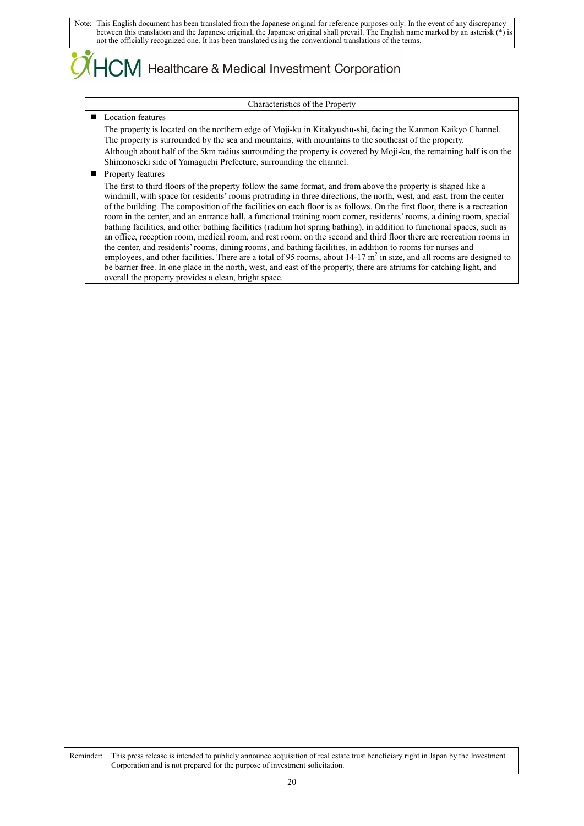## $\mathsf{ICM}\xspace$  Healthcare & Medical Investment Corporation

#### Characteristics of the Property

### Location features

The property is located on the northern edge of Moji-ku in Kitakyushu-shi, facing the Kanmon Kaikyo Channel. The property is surrounded by the sea and mountains, with mountains to the southeast of the property. Although about half of the 5km radius surrounding the property is covered by Moji-ku, the remaining half is on the Shimonoseki side of Yamaguchi Prefecture, surrounding the channel.

### **Property features**

The first to third floors of the property follow the same format, and from above the property is shaped like a windmill, with space for residents' rooms protruding in three directions, the north, west, and east, from the center of the building. The composition of the facilities on each floor is as follows. On the first floor, there is a recreation room in the center, and an entrance hall, a functional training room corner, residents' rooms, a dining room, special bathing facilities, and other bathing facilities (radium hot spring bathing), in addition to functional spaces, such as an office, reception room, medical room, and rest room; on the second and third floor there are recreation rooms in the center, and residents' rooms, dining rooms, and bathing facilities, in addition to rooms for nurses and employees, and other facilities. There are a total of 95 rooms, about 14-17 m<sup>2</sup> in size, and all rooms are designed to be barrier free. In one place in the north, west, and east of the property, there are atriums for catching light, and overall the property provides a clean, bright space.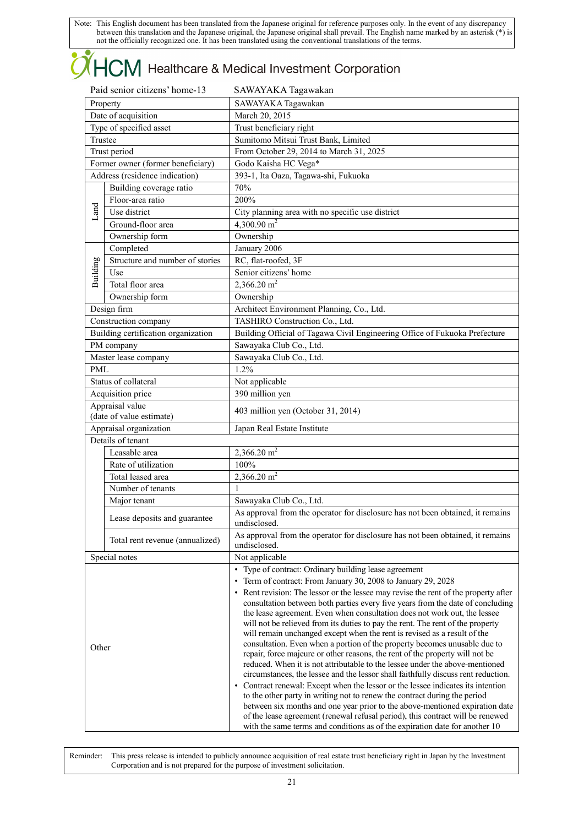# **OHCM** Healthcare & Medical Investment Corporation

| Paid senior citizens' home-13 |                                     | SAWAYAKA Tagawakan                                                                                                                                         |  |  |
|-------------------------------|-------------------------------------|------------------------------------------------------------------------------------------------------------------------------------------------------------|--|--|
| Property                      |                                     | SAWAYAKA Tagawakan                                                                                                                                         |  |  |
|                               | Date of acquisition                 | March 20, 2015                                                                                                                                             |  |  |
|                               | Type of specified asset             | Trust beneficiary right                                                                                                                                    |  |  |
|                               | Trustee                             | Sumitomo Mitsui Trust Bank, Limited                                                                                                                        |  |  |
|                               | Trust period                        | From October 29, 2014 to March 31, 2025                                                                                                                    |  |  |
|                               | Former owner (former beneficiary)   | Godo Kaisha HC Vega*                                                                                                                                       |  |  |
|                               | Address (residence indication)      | 393-1, Ita Oaza, Tagawa-shi, Fukuoka                                                                                                                       |  |  |
|                               | Building coverage ratio             | 70%                                                                                                                                                        |  |  |
|                               | Floor-area ratio                    | 200%                                                                                                                                                       |  |  |
| Land                          | Use district                        | City planning area with no specific use district                                                                                                           |  |  |
|                               | Ground-floor area                   | 4,300.90 $m2$                                                                                                                                              |  |  |
|                               | Ownership form                      | Ownership                                                                                                                                                  |  |  |
|                               | Completed                           | January 2006                                                                                                                                               |  |  |
| Building                      | Structure and number of stories     | RC, flat-roofed, 3F                                                                                                                                        |  |  |
|                               | Use                                 | Senior citizens' home                                                                                                                                      |  |  |
|                               | Total floor area                    | 2,366.20 $m2$                                                                                                                                              |  |  |
|                               | Ownership form                      | Ownership                                                                                                                                                  |  |  |
|                               | Design firm                         | Architect Environment Planning, Co., Ltd.                                                                                                                  |  |  |
|                               | Construction company                | TASHIRO Construction Co., Ltd.                                                                                                                             |  |  |
|                               | Building certification organization | Building Official of Tagawa Civil Engineering Office of Fukuoka Prefecture                                                                                 |  |  |
|                               | PM company                          | Sawayaka Club Co., Ltd.                                                                                                                                    |  |  |
|                               | Master lease company                | Sawayaka Club Co., Ltd.                                                                                                                                    |  |  |
| <b>PML</b>                    |                                     | 1.2%                                                                                                                                                       |  |  |
|                               | Status of collateral                | Not applicable                                                                                                                                             |  |  |
|                               | Acquisition price                   | 390 million yen                                                                                                                                            |  |  |
|                               | Appraisal value                     | 403 million yen (October 31, 2014)                                                                                                                         |  |  |
|                               | (date of value estimate)            |                                                                                                                                                            |  |  |
|                               | Appraisal organization              | Japan Real Estate Institute                                                                                                                                |  |  |
|                               | Details of tenant                   |                                                                                                                                                            |  |  |
|                               | Leasable area                       | 2,366.20 $m2$                                                                                                                                              |  |  |
|                               | Rate of utilization                 | 100%                                                                                                                                                       |  |  |
|                               | Total leased area                   | $2,366.20 \text{ m}^2$                                                                                                                                     |  |  |
|                               | Number of tenants                   | 1                                                                                                                                                          |  |  |
|                               | Major tenant                        | Sawayaka Club Co., Ltd.                                                                                                                                    |  |  |
|                               | Lease deposits and guarantee        | As approval from the operator for disclosure has not been obtained, it remains<br>undisclosed.                                                             |  |  |
|                               | Total rent revenue (annualized)     | As approval from the operator for disclosure has not been obtained, it remains<br>undisclosed.                                                             |  |  |
|                               | Special notes                       | Not applicable                                                                                                                                             |  |  |
|                               |                                     | • Type of contract: Ordinary building lease agreement                                                                                                      |  |  |
|                               |                                     | • Term of contract: From January 30, 2008 to January 29, 2028                                                                                              |  |  |
|                               |                                     | • Rent revision: The lessor or the lessee may revise the rent of the property after                                                                        |  |  |
|                               |                                     | consultation between both parties every five years from the date of concluding                                                                             |  |  |
|                               |                                     | the lease agreement. Even when consultation does not work out, the lessee                                                                                  |  |  |
|                               |                                     | will not be relieved from its duties to pay the rent. The rent of the property<br>will remain unchanged except when the rent is revised as a result of the |  |  |
|                               |                                     | consultation. Even when a portion of the property becomes unusable due to                                                                                  |  |  |
| Other                         |                                     | repair, force majeure or other reasons, the rent of the property will not be                                                                               |  |  |
|                               |                                     | reduced. When it is not attributable to the lessee under the above-mentioned                                                                               |  |  |
|                               |                                     | circumstances, the lessee and the lessor shall faithfully discuss rent reduction.                                                                          |  |  |
|                               |                                     | • Contract renewal: Except when the lessor or the lessee indicates its intention                                                                           |  |  |
|                               |                                     | to the other party in writing not to renew the contract during the period<br>between six months and one year prior to the above-mentioned expiration date  |  |  |
|                               |                                     | of the lease agreement (renewal refusal period), this contract will be renewed                                                                             |  |  |
|                               |                                     | with the same terms and conditions as of the expiration date for another 10                                                                                |  |  |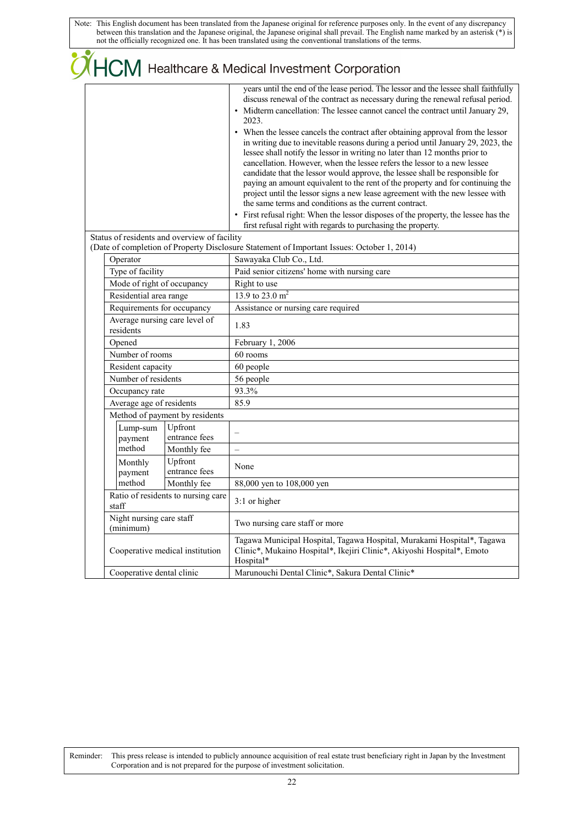|                                              |                          | COM Healthcare & Medical Investment Corporation                                                                                                                                                                                                                                                                                                                                                                                                                                                                                                                                                                                                                                                                                                                                                                                                                                                                                                                                                                                                                         |
|----------------------------------------------|--------------------------|-------------------------------------------------------------------------------------------------------------------------------------------------------------------------------------------------------------------------------------------------------------------------------------------------------------------------------------------------------------------------------------------------------------------------------------------------------------------------------------------------------------------------------------------------------------------------------------------------------------------------------------------------------------------------------------------------------------------------------------------------------------------------------------------------------------------------------------------------------------------------------------------------------------------------------------------------------------------------------------------------------------------------------------------------------------------------|
|                                              |                          | years until the end of the lease period. The lessor and the lessee shall faithfully<br>discuss renewal of the contract as necessary during the renewal refusal period.<br>• Midterm cancellation: The lessee cannot cancel the contract until January 29,<br>2023.<br>• When the lessee cancels the contract after obtaining approval from the lessor<br>in writing due to inevitable reasons during a period until January 29, 2023, the<br>lessee shall notify the lessor in writing no later than 12 months prior to<br>cancellation. However, when the lessee refers the lessor to a new lessee<br>candidate that the lessor would approve, the lessee shall be responsible for<br>paying an amount equivalent to the rent of the property and for continuing the<br>project until the lessor signs a new lease agreement with the new lessee with<br>the same terms and conditions as the current contract.<br>• First refusal right: When the lessor disposes of the property, the lessee has the<br>first refusal right with regards to purchasing the property. |
| Status of residents and overview of facility |                          | (Date of completion of Property Disclosure Statement of Important Issues: October 1, 2014)                                                                                                                                                                                                                                                                                                                                                                                                                                                                                                                                                                                                                                                                                                                                                                                                                                                                                                                                                                              |
| Operator                                     |                          | Sawayaka Club Co., Ltd.                                                                                                                                                                                                                                                                                                                                                                                                                                                                                                                                                                                                                                                                                                                                                                                                                                                                                                                                                                                                                                                 |
| Type of facility                             |                          | Paid senior citizens' home with nursing care                                                                                                                                                                                                                                                                                                                                                                                                                                                                                                                                                                                                                                                                                                                                                                                                                                                                                                                                                                                                                            |
| Mode of right of occupancy                   |                          | Right to use                                                                                                                                                                                                                                                                                                                                                                                                                                                                                                                                                                                                                                                                                                                                                                                                                                                                                                                                                                                                                                                            |
| Residential area range                       |                          | 13.9 to $23.0 \text{ m}^2$                                                                                                                                                                                                                                                                                                                                                                                                                                                                                                                                                                                                                                                                                                                                                                                                                                                                                                                                                                                                                                              |
| Requirements for occupancy                   |                          | Assistance or nursing care required                                                                                                                                                                                                                                                                                                                                                                                                                                                                                                                                                                                                                                                                                                                                                                                                                                                                                                                                                                                                                                     |
| Average nursing care level of<br>residents   |                          | 1.83                                                                                                                                                                                                                                                                                                                                                                                                                                                                                                                                                                                                                                                                                                                                                                                                                                                                                                                                                                                                                                                                    |
| Opened                                       |                          | February 1, 2006                                                                                                                                                                                                                                                                                                                                                                                                                                                                                                                                                                                                                                                                                                                                                                                                                                                                                                                                                                                                                                                        |
| Number of rooms                              |                          | 60 rooms                                                                                                                                                                                                                                                                                                                                                                                                                                                                                                                                                                                                                                                                                                                                                                                                                                                                                                                                                                                                                                                                |
| Resident capacity                            |                          | 60 people                                                                                                                                                                                                                                                                                                                                                                                                                                                                                                                                                                                                                                                                                                                                                                                                                                                                                                                                                                                                                                                               |
| Number of residents                          |                          | 56 people                                                                                                                                                                                                                                                                                                                                                                                                                                                                                                                                                                                                                                                                                                                                                                                                                                                                                                                                                                                                                                                               |
| Occupancy rate                               |                          | 93.3%                                                                                                                                                                                                                                                                                                                                                                                                                                                                                                                                                                                                                                                                                                                                                                                                                                                                                                                                                                                                                                                                   |
| Average age of residents                     |                          | 85.9                                                                                                                                                                                                                                                                                                                                                                                                                                                                                                                                                                                                                                                                                                                                                                                                                                                                                                                                                                                                                                                                    |
| Method of payment by residents               |                          |                                                                                                                                                                                                                                                                                                                                                                                                                                                                                                                                                                                                                                                                                                                                                                                                                                                                                                                                                                                                                                                                         |
| Lump-sum<br>payment                          | Upfront<br>entrance fees | $\overline{\phantom{0}}$                                                                                                                                                                                                                                                                                                                                                                                                                                                                                                                                                                                                                                                                                                                                                                                                                                                                                                                                                                                                                                                |
| method                                       | Monthly fee              | $\overline{\phantom{0}}$                                                                                                                                                                                                                                                                                                                                                                                                                                                                                                                                                                                                                                                                                                                                                                                                                                                                                                                                                                                                                                                |
| Monthly<br>payment                           | Upfront<br>entrance fees | None                                                                                                                                                                                                                                                                                                                                                                                                                                                                                                                                                                                                                                                                                                                                                                                                                                                                                                                                                                                                                                                                    |
| method                                       | Monthly fee              | 88,000 yen to 108,000 yen                                                                                                                                                                                                                                                                                                                                                                                                                                                                                                                                                                                                                                                                                                                                                                                                                                                                                                                                                                                                                                               |
| Ratio of residents to nursing care<br>staff  |                          | 3:1 or higher                                                                                                                                                                                                                                                                                                                                                                                                                                                                                                                                                                                                                                                                                                                                                                                                                                                                                                                                                                                                                                                           |
| Night nursing care staff<br>(minimum)        |                          | Two nursing care staff or more                                                                                                                                                                                                                                                                                                                                                                                                                                                                                                                                                                                                                                                                                                                                                                                                                                                                                                                                                                                                                                          |
| Cooperative medical institution              |                          | Tagawa Municipal Hospital, Tagawa Hospital, Murakami Hospital*, Tagawa<br>Clinic*, Mukaino Hospital*, Ikejiri Clinic*, Akiyoshi Hospital*, Emoto<br>Hospital*                                                                                                                                                                                                                                                                                                                                                                                                                                                                                                                                                                                                                                                                                                                                                                                                                                                                                                           |
| Cooperative dental clinic                    |                          | Marunouchi Dental Clinic*, Sakura Dental Clinic*                                                                                                                                                                                                                                                                                                                                                                                                                                                                                                                                                                                                                                                                                                                                                                                                                                                                                                                                                                                                                        |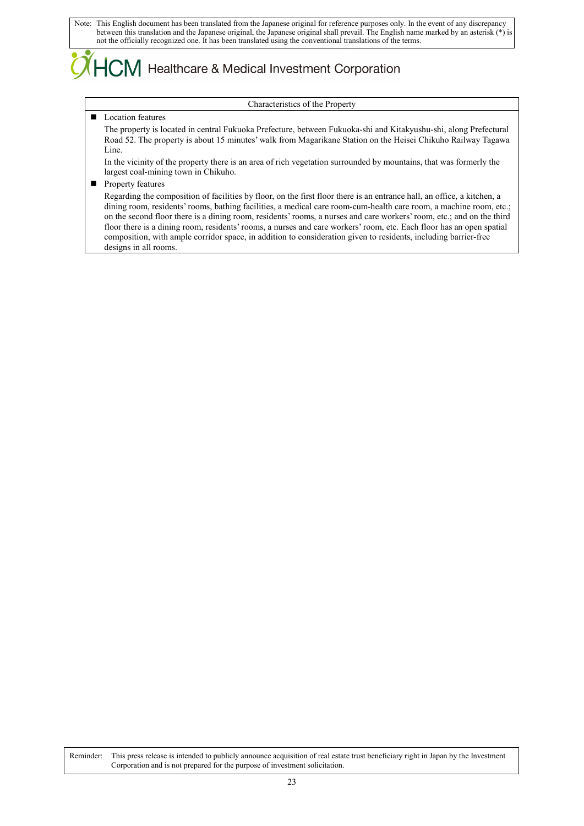## ICM Healthcare & Medical Investment Corporation

#### Characteristics of the Property

#### **Location features**

The property is located in central Fukuoka Prefecture, between Fukuoka-shi and Kitakyushu-shi, along Prefectural Road 52. The property is about 15 minutes' walk from Magarikane Station on the Heisei Chikuho Railway Tagawa Line.

In the vicinity of the property there is an area of rich vegetation surrounded by mountains, that was formerly the largest coal-mining town in Chikuho.

**Property features** 

Regarding the composition of facilities by floor, on the first floor there is an entrance hall, an office, a kitchen, a dining room, residents' rooms, bathing facilities, a medical care room-cum-health care room, a machine room, etc.; on the second floor there is a dining room, residents' rooms, a nurses and care workers' room, etc.; and on the third floor there is a dining room, residents' rooms, a nurses and care workers' room, etc. Each floor has an open spatial composition, with ample corridor space, in addition to consideration given to residents, including barrier-free designs in all rooms.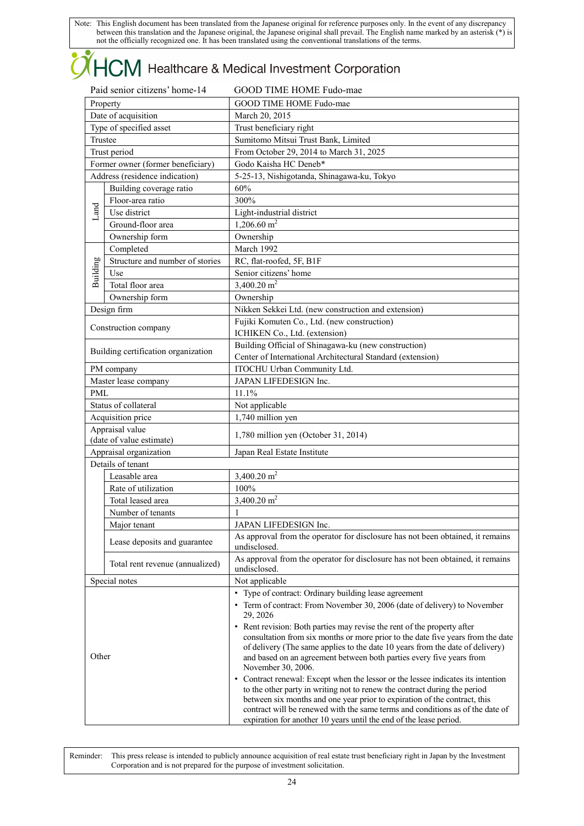## **OHCM** Healthcare & Medical Investment Corporation

| Paid senior citizens' home-14 |                                     | GOOD TIME HOME Fudo-mae                                                                                                                                                                                                                                                                                                                                                                           |  |  |
|-------------------------------|-------------------------------------|---------------------------------------------------------------------------------------------------------------------------------------------------------------------------------------------------------------------------------------------------------------------------------------------------------------------------------------------------------------------------------------------------|--|--|
| Property                      |                                     | GOOD TIME HOME Fudo-mae                                                                                                                                                                                                                                                                                                                                                                           |  |  |
| Date of acquisition           |                                     | March 20, 2015                                                                                                                                                                                                                                                                                                                                                                                    |  |  |
| Type of specified asset       |                                     | Trust beneficiary right                                                                                                                                                                                                                                                                                                                                                                           |  |  |
| Trustee                       |                                     | Sumitomo Mitsui Trust Bank, Limited                                                                                                                                                                                                                                                                                                                                                               |  |  |
|                               | Trust period                        | From October 29, 2014 to March 31, 2025                                                                                                                                                                                                                                                                                                                                                           |  |  |
|                               | Former owner (former beneficiary)   | Godo Kaisha HC Deneb*                                                                                                                                                                                                                                                                                                                                                                             |  |  |
|                               | Address (residence indication)      | 5-25-13, Nishigotanda, Shinagawa-ku, Tokyo                                                                                                                                                                                                                                                                                                                                                        |  |  |
|                               | Building coverage ratio             | 60%                                                                                                                                                                                                                                                                                                                                                                                               |  |  |
|                               | Floor-area ratio                    | 300%                                                                                                                                                                                                                                                                                                                                                                                              |  |  |
| Land                          | Use district                        | Light-industrial district                                                                                                                                                                                                                                                                                                                                                                         |  |  |
|                               | Ground-floor area                   | $1,206.60$ m <sup>2</sup>                                                                                                                                                                                                                                                                                                                                                                         |  |  |
|                               | Ownership form                      | Ownership                                                                                                                                                                                                                                                                                                                                                                                         |  |  |
|                               | Completed                           | March 1992                                                                                                                                                                                                                                                                                                                                                                                        |  |  |
|                               | Structure and number of stories     | RC, flat-roofed, 5F, B1F                                                                                                                                                                                                                                                                                                                                                                          |  |  |
| Building                      | Use                                 | Senior citizens' home                                                                                                                                                                                                                                                                                                                                                                             |  |  |
|                               | Total floor area                    | 3,400.20 $m2$                                                                                                                                                                                                                                                                                                                                                                                     |  |  |
|                               | Ownership form                      | Ownership                                                                                                                                                                                                                                                                                                                                                                                         |  |  |
|                               | Design firm                         | Nikken Sekkei Ltd. (new construction and extension)                                                                                                                                                                                                                                                                                                                                               |  |  |
|                               |                                     | Fujiki Komuten Co., Ltd. (new construction)                                                                                                                                                                                                                                                                                                                                                       |  |  |
|                               | Construction company                | ICHIKEN Co., Ltd. (extension)                                                                                                                                                                                                                                                                                                                                                                     |  |  |
|                               |                                     | Building Official of Shinagawa-ku (new construction)                                                                                                                                                                                                                                                                                                                                              |  |  |
|                               | Building certification organization | Center of International Architectural Standard (extension)                                                                                                                                                                                                                                                                                                                                        |  |  |
|                               | PM company                          | ITOCHU Urban Community Ltd.                                                                                                                                                                                                                                                                                                                                                                       |  |  |
|                               | Master lease company                | JAPAN LIFEDESIGN Inc.                                                                                                                                                                                                                                                                                                                                                                             |  |  |
| <b>PML</b>                    |                                     | 11.1%                                                                                                                                                                                                                                                                                                                                                                                             |  |  |
|                               | Status of collateral                | Not applicable                                                                                                                                                                                                                                                                                                                                                                                    |  |  |
|                               | Acquisition price                   | 1,740 million yen                                                                                                                                                                                                                                                                                                                                                                                 |  |  |
| Appraisal value               |                                     |                                                                                                                                                                                                                                                                                                                                                                                                   |  |  |
| (date of value estimate)      |                                     | 1,780 million yen (October 31, 2014)                                                                                                                                                                                                                                                                                                                                                              |  |  |
|                               | Appraisal organization              | Japan Real Estate Institute                                                                                                                                                                                                                                                                                                                                                                       |  |  |
|                               | Details of tenant                   |                                                                                                                                                                                                                                                                                                                                                                                                   |  |  |
|                               | Leasable area                       | 3,400.20 $m2$                                                                                                                                                                                                                                                                                                                                                                                     |  |  |
|                               | Rate of utilization                 | 100%                                                                                                                                                                                                                                                                                                                                                                                              |  |  |
|                               | Total leased area                   | 3,400.20 $m2$                                                                                                                                                                                                                                                                                                                                                                                     |  |  |
|                               | Number of tenants                   | 1                                                                                                                                                                                                                                                                                                                                                                                                 |  |  |
|                               | Major tenant                        | JAPAN LIFEDESIGN Inc.                                                                                                                                                                                                                                                                                                                                                                             |  |  |
|                               |                                     | As approval from the operator for disclosure has not been obtained, it remains                                                                                                                                                                                                                                                                                                                    |  |  |
|                               | Lease deposits and guarantee        | undisclosed.                                                                                                                                                                                                                                                                                                                                                                                      |  |  |
|                               | Total rent revenue (annualized)     | As approval from the operator for disclosure has not been obtained, it remains<br>undisclosed.                                                                                                                                                                                                                                                                                                    |  |  |
|                               | Special notes                       | Not applicable                                                                                                                                                                                                                                                                                                                                                                                    |  |  |
|                               |                                     | • Type of contract: Ordinary building lease agreement                                                                                                                                                                                                                                                                                                                                             |  |  |
|                               |                                     | • Term of contract: From November 30, 2006 (date of delivery) to November                                                                                                                                                                                                                                                                                                                         |  |  |
|                               |                                     | 29, 2026                                                                                                                                                                                                                                                                                                                                                                                          |  |  |
| Other                         |                                     | • Rent revision: Both parties may revise the rent of the property after<br>consultation from six months or more prior to the date five years from the date<br>of delivery (The same applies to the date 10 years from the date of delivery)<br>and based on an agreement between both parties every five years from<br>November 30, 2006.                                                         |  |  |
|                               |                                     | • Contract renewal: Except when the lessor or the lessee indicates its intention<br>to the other party in writing not to renew the contract during the period<br>between six months and one year prior to expiration of the contract, this<br>contract will be renewed with the same terms and conditions as of the date of<br>expiration for another 10 years until the end of the lease period. |  |  |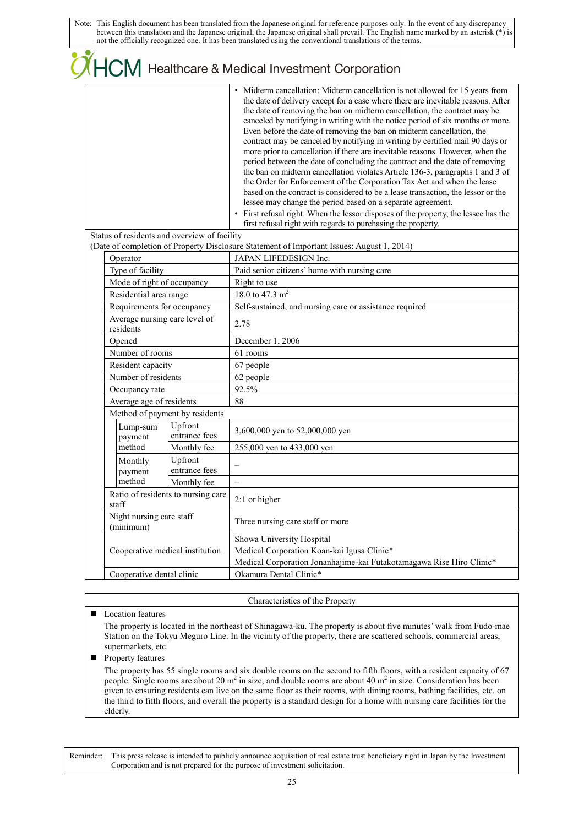|  |                                            |                                              | $\mathcal{\widetilde{I}}$ $\mathsf{HCM}$ Healthcare & Medical Investment Corporation                                                                                                                                                                                                                                                                                                                                                                                                                                                                                                                                                                                                                                                                                                                                                                                                                                                                                                                                                                                                                                             |
|--|--------------------------------------------|----------------------------------------------|----------------------------------------------------------------------------------------------------------------------------------------------------------------------------------------------------------------------------------------------------------------------------------------------------------------------------------------------------------------------------------------------------------------------------------------------------------------------------------------------------------------------------------------------------------------------------------------------------------------------------------------------------------------------------------------------------------------------------------------------------------------------------------------------------------------------------------------------------------------------------------------------------------------------------------------------------------------------------------------------------------------------------------------------------------------------------------------------------------------------------------|
|  |                                            |                                              | • Midterm cancellation: Midterm cancellation is not allowed for 15 years from<br>the date of delivery except for a case where there are inevitable reasons. After<br>the date of removing the ban on midterm cancellation, the contract may be<br>canceled by notifying in writing with the notice period of six months or more.<br>Even before the date of removing the ban on midterm cancellation, the<br>contract may be canceled by notifying in writing by certified mail 90 days or<br>more prior to cancellation if there are inevitable reasons. However, when the<br>period between the date of concluding the contract and the date of removing<br>the ban on midterm cancellation violates Article 136-3, paragraphs 1 and 3 of<br>the Order for Enforcement of the Corporation Tax Act and when the lease<br>based on the contract is considered to be a lease transaction, the lessor or the<br>lessee may change the period based on a separate agreement.<br>• First refusal right: When the lessor disposes of the property, the lessee has the<br>first refusal right with regards to purchasing the property. |
|  |                                            | Status of residents and overview of facility |                                                                                                                                                                                                                                                                                                                                                                                                                                                                                                                                                                                                                                                                                                                                                                                                                                                                                                                                                                                                                                                                                                                                  |
|  | Operator                                   |                                              | (Date of completion of Property Disclosure Statement of Important Issues: August 1, 2014)<br>JAPAN LIFEDESIGN Inc.                                                                                                                                                                                                                                                                                                                                                                                                                                                                                                                                                                                                                                                                                                                                                                                                                                                                                                                                                                                                               |
|  | Type of facility                           |                                              | Paid senior citizens' home with nursing care                                                                                                                                                                                                                                                                                                                                                                                                                                                                                                                                                                                                                                                                                                                                                                                                                                                                                                                                                                                                                                                                                     |
|  | Mode of right of occupancy                 |                                              | Right to use                                                                                                                                                                                                                                                                                                                                                                                                                                                                                                                                                                                                                                                                                                                                                                                                                                                                                                                                                                                                                                                                                                                     |
|  | Residential area range                     |                                              | 18.0 to 47.3 $m2$                                                                                                                                                                                                                                                                                                                                                                                                                                                                                                                                                                                                                                                                                                                                                                                                                                                                                                                                                                                                                                                                                                                |
|  | Requirements for occupancy                 |                                              | Self-sustained, and nursing care or assistance required                                                                                                                                                                                                                                                                                                                                                                                                                                                                                                                                                                                                                                                                                                                                                                                                                                                                                                                                                                                                                                                                          |
|  | Average nursing care level of<br>residents |                                              | 2.78                                                                                                                                                                                                                                                                                                                                                                                                                                                                                                                                                                                                                                                                                                                                                                                                                                                                                                                                                                                                                                                                                                                             |
|  | Opened                                     |                                              | December 1, 2006                                                                                                                                                                                                                                                                                                                                                                                                                                                                                                                                                                                                                                                                                                                                                                                                                                                                                                                                                                                                                                                                                                                 |
|  | Number of rooms                            |                                              | 61 rooms                                                                                                                                                                                                                                                                                                                                                                                                                                                                                                                                                                                                                                                                                                                                                                                                                                                                                                                                                                                                                                                                                                                         |
|  | Resident capacity                          |                                              | 67 people                                                                                                                                                                                                                                                                                                                                                                                                                                                                                                                                                                                                                                                                                                                                                                                                                                                                                                                                                                                                                                                                                                                        |
|  | Number of residents                        |                                              | 62 people                                                                                                                                                                                                                                                                                                                                                                                                                                                                                                                                                                                                                                                                                                                                                                                                                                                                                                                                                                                                                                                                                                                        |
|  | Occupancy rate                             |                                              | 92.5%                                                                                                                                                                                                                                                                                                                                                                                                                                                                                                                                                                                                                                                                                                                                                                                                                                                                                                                                                                                                                                                                                                                            |
|  | Average age of residents                   |                                              | 88                                                                                                                                                                                                                                                                                                                                                                                                                                                                                                                                                                                                                                                                                                                                                                                                                                                                                                                                                                                                                                                                                                                               |
|  | Method of payment by residents             |                                              |                                                                                                                                                                                                                                                                                                                                                                                                                                                                                                                                                                                                                                                                                                                                                                                                                                                                                                                                                                                                                                                                                                                                  |
|  | Lump-sum<br>payment                        | Upfront<br>entrance fees                     | 3,600,000 yen to 52,000,000 yen                                                                                                                                                                                                                                                                                                                                                                                                                                                                                                                                                                                                                                                                                                                                                                                                                                                                                                                                                                                                                                                                                                  |
|  | method                                     | Monthly fee                                  | 255,000 yen to 433,000 yen                                                                                                                                                                                                                                                                                                                                                                                                                                                                                                                                                                                                                                                                                                                                                                                                                                                                                                                                                                                                                                                                                                       |
|  | Monthly                                    | Upfront                                      |                                                                                                                                                                                                                                                                                                                                                                                                                                                                                                                                                                                                                                                                                                                                                                                                                                                                                                                                                                                                                                                                                                                                  |
|  | payment                                    | entrance fees                                |                                                                                                                                                                                                                                                                                                                                                                                                                                                                                                                                                                                                                                                                                                                                                                                                                                                                                                                                                                                                                                                                                                                                  |
|  | method                                     | Monthly fee                                  | $\overline{\phantom{0}}$                                                                                                                                                                                                                                                                                                                                                                                                                                                                                                                                                                                                                                                                                                                                                                                                                                                                                                                                                                                                                                                                                                         |
|  | staff                                      | Ratio of residents to nursing care           | $2:1$ or higher                                                                                                                                                                                                                                                                                                                                                                                                                                                                                                                                                                                                                                                                                                                                                                                                                                                                                                                                                                                                                                                                                                                  |
|  | Night nursing care staff<br>(minimum)      |                                              | Three nursing care staff or more                                                                                                                                                                                                                                                                                                                                                                                                                                                                                                                                                                                                                                                                                                                                                                                                                                                                                                                                                                                                                                                                                                 |
|  |                                            |                                              | Showa University Hospital                                                                                                                                                                                                                                                                                                                                                                                                                                                                                                                                                                                                                                                                                                                                                                                                                                                                                                                                                                                                                                                                                                        |
|  | Cooperative medical institution            |                                              | Medical Corporation Koan-kai Igusa Clinic*                                                                                                                                                                                                                                                                                                                                                                                                                                                                                                                                                                                                                                                                                                                                                                                                                                                                                                                                                                                                                                                                                       |
|  |                                            |                                              | Medical Corporation Jonanhajime-kai Futakotamagawa Rise Hiro Clinic*                                                                                                                                                                                                                                                                                                                                                                                                                                                                                                                                                                                                                                                                                                                                                                                                                                                                                                                                                                                                                                                             |
|  | Cooperative dental clinic                  |                                              | Okamura Dental Clinic*                                                                                                                                                                                                                                                                                                                                                                                                                                                                                                                                                                                                                                                                                                                                                                                                                                                                                                                                                                                                                                                                                                           |
|  |                                            |                                              |                                                                                                                                                                                                                                                                                                                                                                                                                                                                                                                                                                                                                                                                                                                                                                                                                                                                                                                                                                                                                                                                                                                                  |

Characteristics of the Property

### **Location features**

The property is located in the northeast of Shinagawa-ku. The property is about five minutes' walk from Fudo-mae Station on the Tokyu Meguro Line. In the vicinity of the property, there are scattered schools, commercial areas, supermarkets, etc.

### **Property features**

The property has 55 single rooms and six double rooms on the second to fifth floors, with a resident capacity of 67 people. Single rooms are about 20  $m^2$  in size, and double rooms are about 40  $m^2$  in size. Consideration has been given to ensuring residents can live on the same floor as their rooms, with dining rooms, bathing facilities, etc. on the third to fifth floors, and overall the property is a standard design for a home with nursing care facilities for the elderly.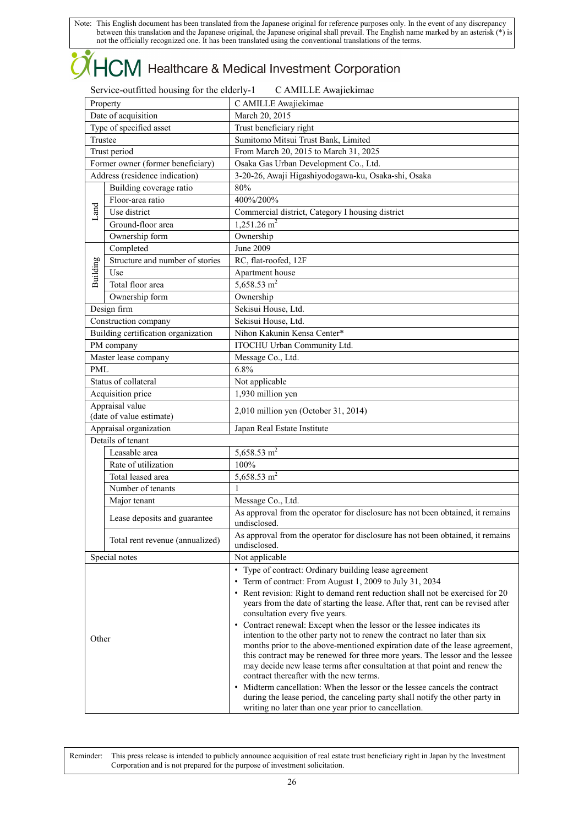# **OHCM** Healthcare & Medical Investment Corporation

| Service-outfitted housing for the elderly-1 | C AMILLE Awajiekimae |
|---------------------------------------------|----------------------|
|---------------------------------------------|----------------------|

| Property                |                                                   | C AMILLE Awajiekimae                                                                                                                                              |  |  |
|-------------------------|---------------------------------------------------|-------------------------------------------------------------------------------------------------------------------------------------------------------------------|--|--|
| Date of acquisition     |                                                   | March 20, 2015                                                                                                                                                    |  |  |
| Type of specified asset |                                                   | Trust beneficiary right                                                                                                                                           |  |  |
| Trustee                 |                                                   | Sumitomo Mitsui Trust Bank, Limited                                                                                                                               |  |  |
| Trust period            |                                                   | From March 20, 2015 to March 31, 2025                                                                                                                             |  |  |
|                         | Former owner (former beneficiary)                 | Osaka Gas Urban Development Co., Ltd.                                                                                                                             |  |  |
|                         | Address (residence indication)                    | 3-20-26, Awaji Higashiyodogawa-ku, Osaka-shi, Osaka                                                                                                               |  |  |
|                         | Building coverage ratio                           | 80%                                                                                                                                                               |  |  |
|                         | Floor-area ratio                                  | 400%/200%                                                                                                                                                         |  |  |
| Land                    | Use district                                      | Commercial district, Category I housing district                                                                                                                  |  |  |
|                         | Ground-floor area                                 | $1,251.26$ m <sup>2</sup>                                                                                                                                         |  |  |
|                         | Ownership form                                    | Ownership                                                                                                                                                         |  |  |
|                         | Completed                                         | June 2009                                                                                                                                                         |  |  |
|                         | Structure and number of stories                   | RC, flat-roofed, 12F                                                                                                                                              |  |  |
| Building                | Use                                               | Apartment house                                                                                                                                                   |  |  |
|                         | Total floor area                                  | 5,658.53 $m2$                                                                                                                                                     |  |  |
|                         | Ownership form                                    | Ownership                                                                                                                                                         |  |  |
|                         | Design firm                                       | Sekisui House, Ltd.                                                                                                                                               |  |  |
|                         |                                                   | Sekisui House, Ltd.                                                                                                                                               |  |  |
|                         | Construction company                              | Nihon Kakunin Kensa Center*                                                                                                                                       |  |  |
|                         | Building certification organization<br>PM company | ITOCHU Urban Community Ltd.                                                                                                                                       |  |  |
|                         |                                                   |                                                                                                                                                                   |  |  |
|                         | Master lease company                              | Message Co., Ltd.                                                                                                                                                 |  |  |
| <b>PML</b>              |                                                   | 6.8%                                                                                                                                                              |  |  |
|                         | Status of collateral                              | Not applicable                                                                                                                                                    |  |  |
|                         | Acquisition price                                 | 1,930 million yen                                                                                                                                                 |  |  |
|                         | Appraisal value<br>(date of value estimate)       | 2,010 million yen (October 31, 2014)                                                                                                                              |  |  |
|                         |                                                   |                                                                                                                                                                   |  |  |
|                         | Appraisal organization<br>Details of tenant       | Japan Real Estate Institute                                                                                                                                       |  |  |
|                         | Leasable area                                     | 5,658.53 $m2$                                                                                                                                                     |  |  |
|                         | Rate of utilization                               | 100%                                                                                                                                                              |  |  |
|                         | Total leased area                                 | 5,658.53 $m2$                                                                                                                                                     |  |  |
|                         | Number of tenants                                 | $\mathbf{1}$                                                                                                                                                      |  |  |
|                         |                                                   |                                                                                                                                                                   |  |  |
|                         | Major tenant                                      | Message Co., Ltd.                                                                                                                                                 |  |  |
|                         | Lease deposits and guarantee                      | As approval from the operator for disclosure has not been obtained, it remains<br>undisclosed.                                                                    |  |  |
|                         | Total rent revenue (annualized)                   | As approval from the operator for disclosure has not been obtained, it remains                                                                                    |  |  |
|                         |                                                   | undisclosed.                                                                                                                                                      |  |  |
|                         | Special notes                                     | Not applicable                                                                                                                                                    |  |  |
|                         |                                                   | • Type of contract: Ordinary building lease agreement                                                                                                             |  |  |
| Other                   |                                                   | • Term of contract: From August 1, 2009 to July 31, 2034                                                                                                          |  |  |
|                         |                                                   | • Rent revision: Right to demand rent reduction shall not be exercised for 20<br>years from the date of starting the lease. After that, rent can be revised after |  |  |
|                         |                                                   | consultation every five years.                                                                                                                                    |  |  |
|                         |                                                   | • Contract renewal: Except when the lessor or the lessee indicates its                                                                                            |  |  |
|                         |                                                   | intention to the other party not to renew the contract no later than six                                                                                          |  |  |
|                         |                                                   | months prior to the above-mentioned expiration date of the lease agreement,                                                                                       |  |  |
|                         |                                                   | this contract may be renewed for three more years. The lessor and the lessee                                                                                      |  |  |
|                         |                                                   | may decide new lease terms after consultation at that point and renew the<br>contract thereafter with the new terms.                                              |  |  |
|                         |                                                   | • Midterm cancellation: When the lessor or the lessee cancels the contract                                                                                        |  |  |
|                         |                                                   | during the lease period, the canceling party shall notify the other party in                                                                                      |  |  |
|                         |                                                   | writing no later than one year prior to cancellation.                                                                                                             |  |  |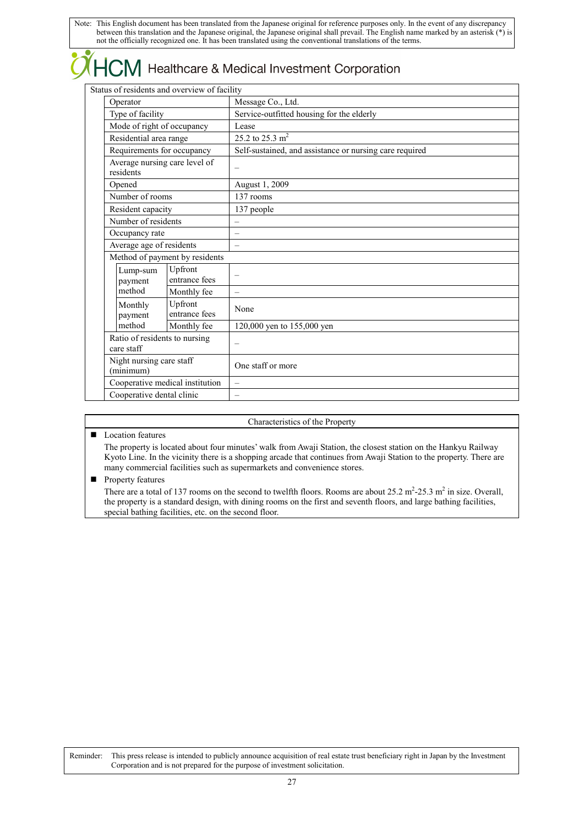### Healthcare & Medical Investment Corporation

Status of residents and overview of facility

|  | status of residents and overview of facility                                                                                                                    |                                 |                                                         |  |
|--|-----------------------------------------------------------------------------------------------------------------------------------------------------------------|---------------------------------|---------------------------------------------------------|--|
|  | Operator                                                                                                                                                        |                                 | Message Co., Ltd.                                       |  |
|  | Type of facility                                                                                                                                                |                                 | Service-outfitted housing for the elderly               |  |
|  | Mode of right of occupancy                                                                                                                                      |                                 | Lease                                                   |  |
|  | Residential area range                                                                                                                                          |                                 | 25.2 to 25.3 $m2$                                       |  |
|  | Requirements for occupancy                                                                                                                                      |                                 | Self-sustained, and assistance or nursing care required |  |
|  | Average nursing care level of<br>residents                                                                                                                      |                                 | $\overline{\phantom{0}}$                                |  |
|  | Opened                                                                                                                                                          |                                 | August 1, 2009                                          |  |
|  | Number of rooms                                                                                                                                                 |                                 | 137 rooms                                               |  |
|  | Resident capacity                                                                                                                                               |                                 | 137 people                                              |  |
|  | Number of residents                                                                                                                                             |                                 |                                                         |  |
|  | Occupancy rate                                                                                                                                                  |                                 | $\overline{\phantom{0}}$                                |  |
|  | Average age of residents                                                                                                                                        |                                 |                                                         |  |
|  |                                                                                                                                                                 | Method of payment by residents  |                                                         |  |
|  | Upfront<br>Lump-sum<br>entrance fees<br>payment                                                                                                                 |                                 |                                                         |  |
|  | method                                                                                                                                                          | Monthly fee                     | $\overline{\phantom{0}}$                                |  |
|  | Upfront<br>Monthly<br>entrance fees<br>payment<br>method<br>Monthly fee<br>Ratio of residents to nursing<br>care staff<br>Night nursing care staff<br>(minimum) |                                 | None                                                    |  |
|  |                                                                                                                                                                 |                                 | 120,000 yen to 155,000 yen                              |  |
|  |                                                                                                                                                                 |                                 | $\overline{\phantom{0}}$                                |  |
|  |                                                                                                                                                                 |                                 | One staff or more                                       |  |
|  |                                                                                                                                                                 | Cooperative medical institution |                                                         |  |
|  | Cooperative dental clinic                                                                                                                                       |                                 | $\overline{\phantom{0}}$                                |  |
|  |                                                                                                                                                                 |                                 |                                                         |  |

#### Characteristics of the Property

### **Location features**

The property is located about four minutes' walk from Awaji Station, the closest station on the Hankyu Railway Kyoto Line. In the vicinity there is a shopping arcade that continues from Awaji Station to the property. There are many commercial facilities such as supermarkets and convenience stores.

 $\blacksquare$  Property features

There are a total of 137 rooms on the second to twelfth floors. Rooms are about  $25.2 \text{ m}^2\text{-}25.3 \text{ m}^2$  in size. Overall, the property is a standard design, with dining rooms on the first and seventh floors, and large bathing facilities, special bathing facilities, etc. on the second floor.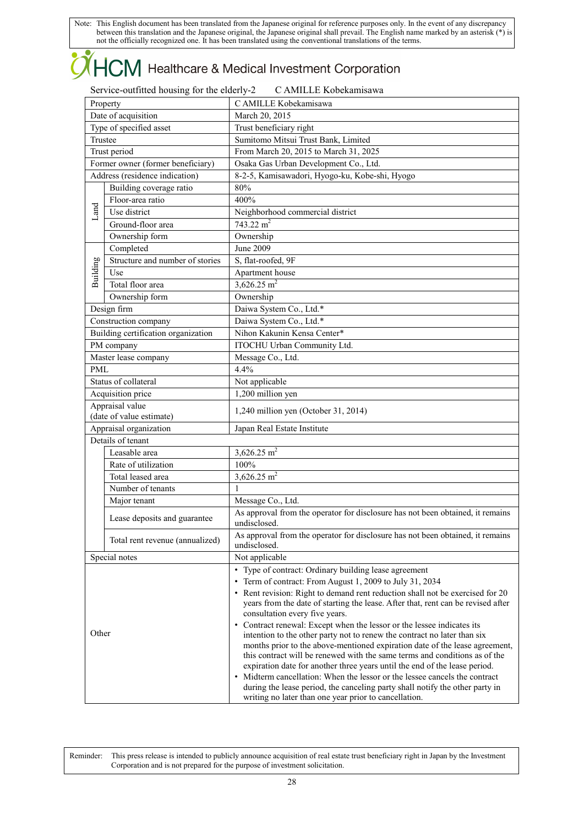# **OHCM** Healthcare & Medical Investment Corporation

| Service-outfitted housing for the elderly-2 | C AMILLE Kobekamisawa |
|---------------------------------------------|-----------------------|
|---------------------------------------------|-----------------------|

| Property                          |                                             | C AMILLE Kobekamisawa                                                                                                                                                                                                                                                                                           |  |  |
|-----------------------------------|---------------------------------------------|-----------------------------------------------------------------------------------------------------------------------------------------------------------------------------------------------------------------------------------------------------------------------------------------------------------------|--|--|
| Date of acquisition               |                                             | March 20, 2015                                                                                                                                                                                                                                                                                                  |  |  |
| Type of specified asset           |                                             | Trust beneficiary right                                                                                                                                                                                                                                                                                         |  |  |
| Trustee                           |                                             | Sumitomo Mitsui Trust Bank, Limited                                                                                                                                                                                                                                                                             |  |  |
| Trust period                      |                                             | From March 20, 2015 to March 31, 2025                                                                                                                                                                                                                                                                           |  |  |
| Former owner (former beneficiary) |                                             | Osaka Gas Urban Development Co., Ltd.                                                                                                                                                                                                                                                                           |  |  |
|                                   | Address (residence indication)              | 8-2-5, Kamisawadori, Hyogo-ku, Kobe-shi, Hyogo                                                                                                                                                                                                                                                                  |  |  |
|                                   | Building coverage ratio                     | 80%                                                                                                                                                                                                                                                                                                             |  |  |
|                                   | Floor-area ratio                            | 400%                                                                                                                                                                                                                                                                                                            |  |  |
| Land                              | Use district                                | Neighborhood commercial district                                                                                                                                                                                                                                                                                |  |  |
|                                   | Ground-floor area                           | 743.22 $m^2$                                                                                                                                                                                                                                                                                                    |  |  |
|                                   | Ownership form                              | Ownership                                                                                                                                                                                                                                                                                                       |  |  |
|                                   | Completed                                   | June 2009                                                                                                                                                                                                                                                                                                       |  |  |
|                                   | Structure and number of stories             | S, flat-roofed, 9F                                                                                                                                                                                                                                                                                              |  |  |
| Building                          | Use                                         | Apartment house                                                                                                                                                                                                                                                                                                 |  |  |
|                                   | Total floor area                            | 3,626.25 $m2$                                                                                                                                                                                                                                                                                                   |  |  |
|                                   | Ownership form                              | Ownership                                                                                                                                                                                                                                                                                                       |  |  |
|                                   | Design firm                                 | Daiwa System Co., Ltd.*                                                                                                                                                                                                                                                                                         |  |  |
|                                   | Construction company                        | Daiwa System Co., Ltd.*                                                                                                                                                                                                                                                                                         |  |  |
|                                   | Building certification organization         | Nihon Kakunin Kensa Center*                                                                                                                                                                                                                                                                                     |  |  |
|                                   | PM company                                  | ITOCHU Urban Community Ltd.                                                                                                                                                                                                                                                                                     |  |  |
|                                   | Master lease company                        | Message Co., Ltd.                                                                                                                                                                                                                                                                                               |  |  |
| PML                               |                                             | 4.4%                                                                                                                                                                                                                                                                                                            |  |  |
|                                   | Status of collateral                        | Not applicable                                                                                                                                                                                                                                                                                                  |  |  |
|                                   | Acquisition price                           | 1,200 million yen                                                                                                                                                                                                                                                                                               |  |  |
|                                   | Appraisal value<br>(date of value estimate) | 1,240 million yen (October 31, 2014)                                                                                                                                                                                                                                                                            |  |  |
|                                   | Appraisal organization                      | Japan Real Estate Institute                                                                                                                                                                                                                                                                                     |  |  |
|                                   | Details of tenant                           |                                                                                                                                                                                                                                                                                                                 |  |  |
|                                   | Leasable area                               | $3,626.25$ m <sup>2</sup>                                                                                                                                                                                                                                                                                       |  |  |
|                                   | Rate of utilization                         | 100%                                                                                                                                                                                                                                                                                                            |  |  |
|                                   | Total leased area                           | 3,626.25 $m2$                                                                                                                                                                                                                                                                                                   |  |  |
|                                   | Number of tenants                           | $\mathbf{1}$                                                                                                                                                                                                                                                                                                    |  |  |
|                                   | Major tenant                                | Message Co., Ltd.                                                                                                                                                                                                                                                                                               |  |  |
|                                   | Lease deposits and guarantee                | As approval from the operator for disclosure has not been obtained, it remains<br>undisclosed.                                                                                                                                                                                                                  |  |  |
| Total rent revenue (annualized)   |                                             | As approval from the operator for disclosure has not been obtained, it remains<br>undisclosed.                                                                                                                                                                                                                  |  |  |
|                                   | Special notes                               | Not applicable                                                                                                                                                                                                                                                                                                  |  |  |
|                                   |                                             | • Type of contract: Ordinary building lease agreement                                                                                                                                                                                                                                                           |  |  |
| Other                             |                                             | • Term of contract: From August 1, 2009 to July 31, 2034                                                                                                                                                                                                                                                        |  |  |
|                                   |                                             | • Rent revision: Right to demand rent reduction shall not be exercised for 20<br>years from the date of starting the lease. After that, rent can be revised after                                                                                                                                               |  |  |
|                                   |                                             | consultation every five years.                                                                                                                                                                                                                                                                                  |  |  |
|                                   |                                             | • Contract renewal: Except when the lessor or the lessee indicates its<br>intention to the other party not to renew the contract no later than six<br>months prior to the above-mentioned expiration date of the lease agreement,<br>this contract will be renewed with the same terms and conditions as of the |  |  |
|                                   |                                             | expiration date for another three years until the end of the lease period.                                                                                                                                                                                                                                      |  |  |
|                                   |                                             | • Midterm cancellation: When the lessor or the lessee cancels the contract<br>during the lease period, the canceling party shall notify the other party in<br>writing no later than one year prior to cancellation.                                                                                             |  |  |
|                                   |                                             |                                                                                                                                                                                                                                                                                                                 |  |  |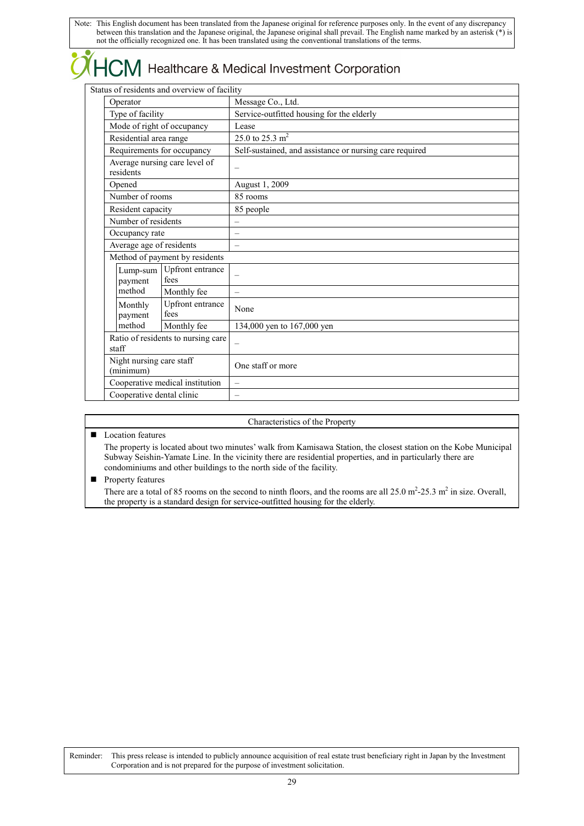### Healthcare & Medical Investment Corporation

Status of residents and overview of facility

| Status of residents and overview of facility |                                                                                                                                                                 |                                 |                                                         |  |
|----------------------------------------------|-----------------------------------------------------------------------------------------------------------------------------------------------------------------|---------------------------------|---------------------------------------------------------|--|
|                                              | Operator                                                                                                                                                        |                                 | Message Co., Ltd.                                       |  |
|                                              | Type of facility                                                                                                                                                |                                 | Service-outfitted housing for the elderly               |  |
|                                              | Mode of right of occupancy                                                                                                                                      |                                 | Lease                                                   |  |
|                                              | Residential area range                                                                                                                                          |                                 | 25.0 to 25.3 $m2$                                       |  |
|                                              |                                                                                                                                                                 | Requirements for occupancy      | Self-sustained, and assistance or nursing care required |  |
|                                              | Average nursing care level of<br>residents                                                                                                                      |                                 | -                                                       |  |
|                                              | Opened                                                                                                                                                          |                                 | August 1, 2009                                          |  |
|                                              | Number of rooms                                                                                                                                                 |                                 | 85 rooms                                                |  |
|                                              | Resident capacity                                                                                                                                               |                                 | 85 people                                               |  |
|                                              | Number of residents                                                                                                                                             |                                 | $\overline{\phantom{0}}$                                |  |
|                                              | Occupancy rate                                                                                                                                                  |                                 | $\overline{\phantom{0}}$                                |  |
|                                              | Average age of residents                                                                                                                                        |                                 | $\overline{\phantom{0}}$                                |  |
|                                              |                                                                                                                                                                 | Method of payment by residents  |                                                         |  |
|                                              | Upfront entrance<br>Lump-sum<br>fees<br>payment                                                                                                                 |                                 | $\overline{\phantom{0}}$                                |  |
|                                              | method                                                                                                                                                          | Monthly fee                     | $\overline{\phantom{0}}$                                |  |
|                                              | Upfront entrance<br>Monthly<br>fees<br>payment<br>method<br>Monthly fee<br>Ratio of residents to nursing care<br>staff<br>Night nursing care staff<br>(minimum) |                                 | None                                                    |  |
|                                              |                                                                                                                                                                 |                                 | 134,000 yen to 167,000 yen                              |  |
|                                              |                                                                                                                                                                 |                                 |                                                         |  |
|                                              |                                                                                                                                                                 |                                 | One staff or more                                       |  |
|                                              |                                                                                                                                                                 | Cooperative medical institution | $\equiv$                                                |  |
|                                              | Cooperative dental clinic                                                                                                                                       |                                 |                                                         |  |
|                                              |                                                                                                                                                                 |                                 |                                                         |  |

### Characteristics of the Property

**Location features** 

The property is located about two minutes' walk from Kamisawa Station, the closest station on the Kobe Municipal Subway Seishin-Yamate Line. In the vicinity there are residential properties, and in particularly there are condominiums and other buildings to the north side of the facility.

 $\blacksquare$  Property features

There are a total of 85 rooms on the second to ninth floors, and the rooms are all  $25.0 \text{ m}^2$ - $25.3 \text{ m}^2$  in size. Overall, the property is a standard design for service-outfitted housing for the elderly.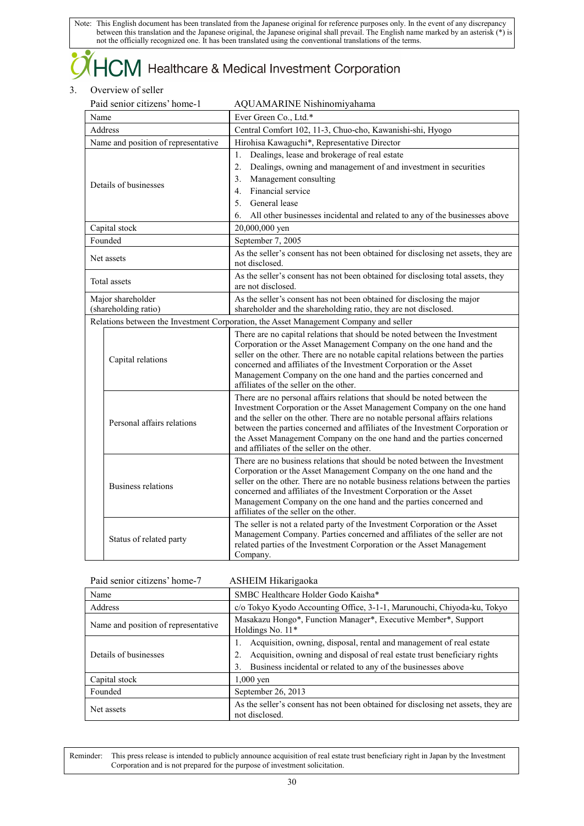### $\mathsf{ICM}\xspace$  Healthcare & Medical Investment Corporation

### 3. Overview of seller

| Paid senior citizens' home-1        |                            | AQUAMARINE Nishinomiyahama                                                                                                                                    |  |
|-------------------------------------|----------------------------|---------------------------------------------------------------------------------------------------------------------------------------------------------------|--|
| Name                                |                            | Ever Green Co., Ltd.*                                                                                                                                         |  |
| Address                             |                            | Central Comfort 102, 11-3, Chuo-cho, Kawanishi-shi, Hyogo                                                                                                     |  |
| Name and position of representative |                            | Hirohisa Kawaguchi*, Representative Director                                                                                                                  |  |
|                                     |                            | Dealings, lease and brokerage of real estate<br>$\mathbf{1}$ .                                                                                                |  |
|                                     |                            | $\overline{2}$ .<br>Dealings, owning and management of and investment in securities                                                                           |  |
|                                     | Details of businesses      | 3.<br>Management consulting                                                                                                                                   |  |
|                                     |                            | Financial service<br>$\overline{4}$ .                                                                                                                         |  |
|                                     |                            | General lease<br>5 <sub>1</sub>                                                                                                                               |  |
|                                     |                            | 6.<br>All other businesses incidental and related to any of the businesses above                                                                              |  |
|                                     | Capital stock              | 20,000,000 yen                                                                                                                                                |  |
|                                     | Founded                    | September 7, 2005                                                                                                                                             |  |
|                                     | Net assets                 | As the seller's consent has not been obtained for disclosing net assets, they are                                                                             |  |
|                                     |                            | not disclosed.                                                                                                                                                |  |
|                                     | Total assets               | As the seller's consent has not been obtained for disclosing total assets, they                                                                               |  |
|                                     |                            | are not disclosed.                                                                                                                                            |  |
|                                     | Major shareholder          | As the seller's consent has not been obtained for disclosing the major                                                                                        |  |
|                                     | (shareholding ratio)       | shareholder and the shareholding ratio, they are not disclosed.                                                                                               |  |
|                                     |                            | Relations between the Investment Corporation, the Asset Management Company and seller                                                                         |  |
|                                     |                            |                                                                                                                                                               |  |
|                                     |                            | There are no capital relations that should be noted between the Investment                                                                                    |  |
|                                     |                            | Corporation or the Asset Management Company on the one hand and the<br>seller on the other. There are no notable capital relations between the parties        |  |
|                                     | Capital relations          | concerned and affiliates of the Investment Corporation or the Asset                                                                                           |  |
|                                     |                            | Management Company on the one hand and the parties concerned and                                                                                              |  |
|                                     |                            | affiliates of the seller on the other.                                                                                                                        |  |
|                                     |                            | There are no personal affairs relations that should be noted between the                                                                                      |  |
|                                     |                            | Investment Corporation or the Asset Management Company on the one hand                                                                                        |  |
|                                     | Personal affairs relations | and the seller on the other. There are no notable personal affairs relations<br>between the parties concerned and affiliates of the Investment Corporation or |  |
|                                     |                            | the Asset Management Company on the one hand and the parties concerned                                                                                        |  |
|                                     |                            | and affiliates of the seller on the other.                                                                                                                    |  |
|                                     |                            | There are no business relations that should be noted between the Investment                                                                                   |  |
|                                     |                            | Corporation or the Asset Management Company on the one hand and the                                                                                           |  |
|                                     | <b>Business relations</b>  | seller on the other. There are no notable business relations between the parties                                                                              |  |
|                                     |                            | concerned and affiliates of the Investment Corporation or the Asset<br>Management Company on the one hand and the parties concerned and                       |  |
|                                     |                            | affiliates of the seller on the other.                                                                                                                        |  |
|                                     |                            | The seller is not a related party of the Investment Corporation or the Asset                                                                                  |  |
|                                     |                            | Management Company. Parties concerned and affiliates of the seller are not                                                                                    |  |
|                                     | Status of related party    | related parties of the Investment Corporation or the Asset Management<br>Company.                                                                             |  |

| Paid senior citizens' home-7                                                                                              | ASHEIM Hikarigaoka                                                                                                                                          |  |
|---------------------------------------------------------------------------------------------------------------------------|-------------------------------------------------------------------------------------------------------------------------------------------------------------|--|
| SMBC Healthcare Holder Godo Kaisha*<br>Name                                                                               |                                                                                                                                                             |  |
| Address                                                                                                                   | c/o Tokyo Kyodo Accounting Office, 3-1-1, Marunouchi, Chiyoda-ku, Tokyo                                                                                     |  |
| Masakazu Hongo*, Function Manager*, Executive Member*, Support<br>Name and position of representative<br>Holdings No. 11* |                                                                                                                                                             |  |
| Details of businesses                                                                                                     | Acquisition, owning, disposal, rental and management of real estate<br>1.<br>Acquisition, owning and disposal of real estate trust beneficiary rights<br>2. |  |
|                                                                                                                           | Business incidental or related to any of the businesses above<br>3.                                                                                         |  |
| Capital stock<br>$1,000$ yen                                                                                              |                                                                                                                                                             |  |
| Founded                                                                                                                   | September 26, 2013                                                                                                                                          |  |
| Net assets                                                                                                                | As the seller's consent has not been obtained for disclosing net assets, they are<br>not disclosed.                                                         |  |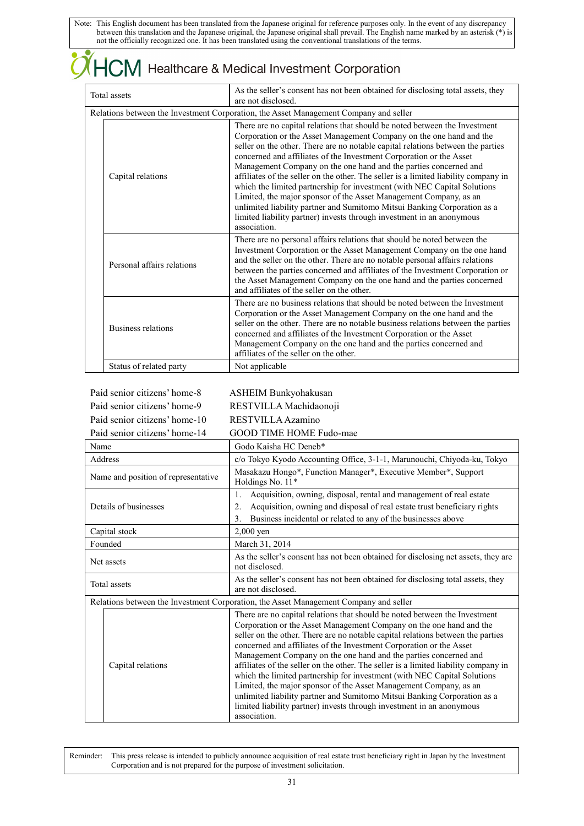#### $J$  $\mathsf{W}$  Healthcare & Medical Investment Corporation Total assets As the seller's consent has not been obtained for disclosing total assets, they are not disclosed. Relations between the Investment Corporation, the Asset Management Company and seller There are no capital relations that should be noted between the Investment Corporation or the Asset Management Company on the one hand and the seller on the other. There are no notable capital relations between the parties concerned and affiliates of the Investment Corporation or the Asset Management Company on the one hand and the parties concerned and affiliates of the seller on the other. The seller is a limited liability company in Capital relations which the limited partnership for investment (with NEC Capital Solutions Limited, the major sponsor of the Asset Management Company, as an unlimited liability partner and Sumitomo Mitsui Banking Corporation as a limited liability partner) invests through investment in an anonymous association. There are no personal affairs relations that should be noted between the Investment Corporation or the Asset Management Company on the one hand and the seller on the other. There are no notable personal affairs relations Personal affairs relations between the parties concerned and affiliates of the Investment Corporation or the Asset Management Company on the one hand and the parties concerned and affiliates of the seller on the other. There are no business relations that should be noted between the Investment Corporation or the Asset Management Company on the one hand and the seller on the other. There are no notable business relations between the parties Business relations concerned and affiliates of the Investment Corporation or the Asset Management Company on the one hand and the parties concerned and affiliates of the seller on the other. Status of related party Not applicable

| Paid senior citizens' home-8        | <b>ASHEIM Bunkyohakusan</b>                                                                                                                                                                                                                                                                                                                                                                                                                                                                                                                                                                                                                                                                                                                                                                  |  |
|-------------------------------------|----------------------------------------------------------------------------------------------------------------------------------------------------------------------------------------------------------------------------------------------------------------------------------------------------------------------------------------------------------------------------------------------------------------------------------------------------------------------------------------------------------------------------------------------------------------------------------------------------------------------------------------------------------------------------------------------------------------------------------------------------------------------------------------------|--|
| Paid senior citizens' home-9        | RESTVILLA Machidaonoji                                                                                                                                                                                                                                                                                                                                                                                                                                                                                                                                                                                                                                                                                                                                                                       |  |
| Paid senior citizens' home-10       | RESTVILLA Azamino                                                                                                                                                                                                                                                                                                                                                                                                                                                                                                                                                                                                                                                                                                                                                                            |  |
| Paid senior citizens' home-14       | GOOD TIME HOME Fudo-mae                                                                                                                                                                                                                                                                                                                                                                                                                                                                                                                                                                                                                                                                                                                                                                      |  |
| Name                                | Godo Kaisha HC Deneb*                                                                                                                                                                                                                                                                                                                                                                                                                                                                                                                                                                                                                                                                                                                                                                        |  |
| <b>Address</b>                      | c/o Tokyo Kyodo Accounting Office, 3-1-1, Marunouchi, Chiyoda-ku, Tokyo                                                                                                                                                                                                                                                                                                                                                                                                                                                                                                                                                                                                                                                                                                                      |  |
| Name and position of representative | Masakazu Hongo*, Function Manager*, Executive Member*, Support<br>Holdings No. 11*                                                                                                                                                                                                                                                                                                                                                                                                                                                                                                                                                                                                                                                                                                           |  |
| Details of businesses               | Acquisition, owning, disposal, rental and management of real estate<br>1.<br>Acquisition, owning and disposal of real estate trust beneficiary rights<br>2.<br>Business incidental or related to any of the businesses above<br>3.                                                                                                                                                                                                                                                                                                                                                                                                                                                                                                                                                           |  |
| Capital stock                       | $2,000$ yen                                                                                                                                                                                                                                                                                                                                                                                                                                                                                                                                                                                                                                                                                                                                                                                  |  |
| Founded                             | March 31, 2014                                                                                                                                                                                                                                                                                                                                                                                                                                                                                                                                                                                                                                                                                                                                                                               |  |
| Net assets                          | As the seller's consent has not been obtained for disclosing net assets, they are<br>not disclosed.                                                                                                                                                                                                                                                                                                                                                                                                                                                                                                                                                                                                                                                                                          |  |
| <b>Total</b> assets                 | As the seller's consent has not been obtained for disclosing total assets, they<br>are not disclosed.                                                                                                                                                                                                                                                                                                                                                                                                                                                                                                                                                                                                                                                                                        |  |
|                                     | Relations between the Investment Corporation, the Asset Management Company and seller                                                                                                                                                                                                                                                                                                                                                                                                                                                                                                                                                                                                                                                                                                        |  |
| Capital relations                   | There are no capital relations that should be noted between the Investment<br>Corporation or the Asset Management Company on the one hand and the<br>seller on the other. There are no notable capital relations between the parties<br>concerned and affiliates of the Investment Corporation or the Asset<br>Management Company on the one hand and the parties concerned and<br>affiliates of the seller on the other. The seller is a limited liability company in<br>which the limited partnership for investment (with NEC Capital Solutions<br>Limited, the major sponsor of the Asset Management Company, as an<br>unlimited liability partner and Sumitomo Mitsui Banking Corporation as a<br>limited liability partner) invests through investment in an anonymous<br>association. |  |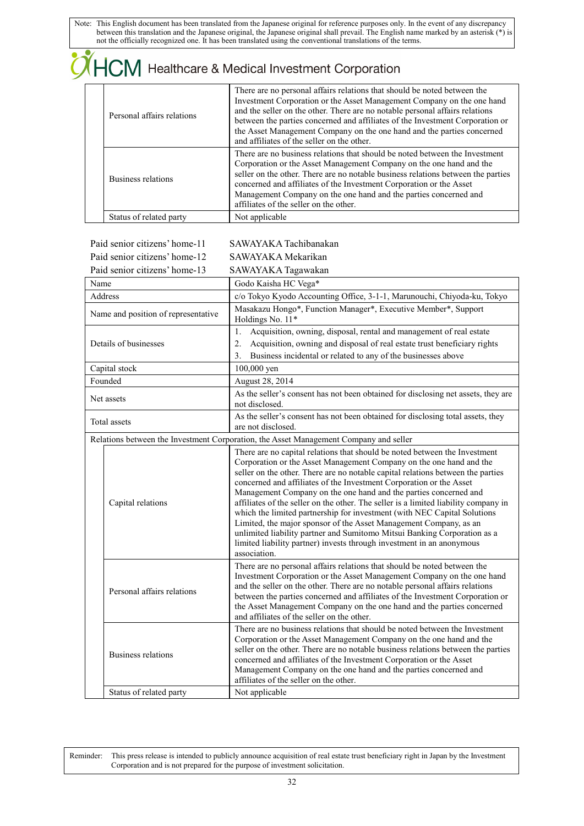|                            | $\bigwedge$ HCM Healthcare & Medical Investment Corporation                                                                                                                                                                                                                                                                                                                                                                                 |
|----------------------------|---------------------------------------------------------------------------------------------------------------------------------------------------------------------------------------------------------------------------------------------------------------------------------------------------------------------------------------------------------------------------------------------------------------------------------------------|
| Personal affairs relations | There are no personal affairs relations that should be noted between the<br>Investment Corporation or the Asset Management Company on the one hand<br>and the seller on the other. There are no notable personal affairs relations<br>between the parties concerned and affiliates of the Investment Corporation or<br>the Asset Management Company on the one hand and the parties concerned<br>and affiliates of the seller on the other. |
| Business relations         | There are no business relations that should be noted between the Investment<br>Corporation or the Asset Management Company on the one hand and the<br>seller on the other. There are no notable business relations between the parties<br>concerned and affiliates of the Investment Corporation or the Asset<br>Management Company on the one hand and the parties concerned and<br>affiliates of the seller on the other.                 |
| Status of related party    | Not applicable                                                                                                                                                                                                                                                                                                                                                                                                                              |

| Paid senior citizens' home-11       |                            | SAWAYAKA Tachibanakan                                                                                                                                                                                                                                                                                                                                                                                                                                                                                                                                                                                                                                                                                                                                                                        |  |
|-------------------------------------|----------------------------|----------------------------------------------------------------------------------------------------------------------------------------------------------------------------------------------------------------------------------------------------------------------------------------------------------------------------------------------------------------------------------------------------------------------------------------------------------------------------------------------------------------------------------------------------------------------------------------------------------------------------------------------------------------------------------------------------------------------------------------------------------------------------------------------|--|
| Paid senior citizens' home-12       |                            | SAWAYAK A Mekarikan                                                                                                                                                                                                                                                                                                                                                                                                                                                                                                                                                                                                                                                                                                                                                                          |  |
| Paid senior citizens' home-13       |                            | SAWAYAKA Tagawakan                                                                                                                                                                                                                                                                                                                                                                                                                                                                                                                                                                                                                                                                                                                                                                           |  |
| Name                                |                            | Godo Kaisha HC Vega*                                                                                                                                                                                                                                                                                                                                                                                                                                                                                                                                                                                                                                                                                                                                                                         |  |
|                                     | Address                    | c/o Tokyo Kyodo Accounting Office, 3-1-1, Marunouchi, Chiyoda-ku, Tokyo                                                                                                                                                                                                                                                                                                                                                                                                                                                                                                                                                                                                                                                                                                                      |  |
| Name and position of representative |                            | Masakazu Hongo*, Function Manager*, Executive Member*, Support<br>Holdings No. 11*                                                                                                                                                                                                                                                                                                                                                                                                                                                                                                                                                                                                                                                                                                           |  |
|                                     |                            | Acquisition, owning, disposal, rental and management of real estate<br>1.                                                                                                                                                                                                                                                                                                                                                                                                                                                                                                                                                                                                                                                                                                                    |  |
|                                     | Details of businesses      | Acquisition, owning and disposal of real estate trust beneficiary rights<br>2.                                                                                                                                                                                                                                                                                                                                                                                                                                                                                                                                                                                                                                                                                                               |  |
|                                     |                            | Business incidental or related to any of the businesses above<br>3.                                                                                                                                                                                                                                                                                                                                                                                                                                                                                                                                                                                                                                                                                                                          |  |
|                                     | Capital stock              | 100,000 yen                                                                                                                                                                                                                                                                                                                                                                                                                                                                                                                                                                                                                                                                                                                                                                                  |  |
|                                     | Founded                    | August 28, 2014                                                                                                                                                                                                                                                                                                                                                                                                                                                                                                                                                                                                                                                                                                                                                                              |  |
|                                     | Net assets                 | As the seller's consent has not been obtained for disclosing net assets, they are<br>not disclosed.                                                                                                                                                                                                                                                                                                                                                                                                                                                                                                                                                                                                                                                                                          |  |
|                                     | Total assets               | As the seller's consent has not been obtained for disclosing total assets, they<br>are not disclosed.                                                                                                                                                                                                                                                                                                                                                                                                                                                                                                                                                                                                                                                                                        |  |
|                                     |                            | Relations between the Investment Corporation, the Asset Management Company and seller                                                                                                                                                                                                                                                                                                                                                                                                                                                                                                                                                                                                                                                                                                        |  |
| Capital relations                   |                            | There are no capital relations that should be noted between the Investment<br>Corporation or the Asset Management Company on the one hand and the<br>seller on the other. There are no notable capital relations between the parties<br>concerned and affiliates of the Investment Corporation or the Asset<br>Management Company on the one hand and the parties concerned and<br>affiliates of the seller on the other. The seller is a limited liability company in<br>which the limited partnership for investment (with NEC Capital Solutions<br>Limited, the major sponsor of the Asset Management Company, as an<br>unlimited liability partner and Sumitomo Mitsui Banking Corporation as a<br>limited liability partner) invests through investment in an anonymous<br>association. |  |
|                                     | Personal affairs relations | There are no personal affairs relations that should be noted between the<br>Investment Corporation or the Asset Management Company on the one hand<br>and the seller on the other. There are no notable personal affairs relations<br>between the parties concerned and affiliates of the Investment Corporation or<br>the Asset Management Company on the one hand and the parties concerned<br>and affiliates of the seller on the other.                                                                                                                                                                                                                                                                                                                                                  |  |
|                                     | Business relations         | There are no business relations that should be noted between the Investment<br>Corporation or the Asset Management Company on the one hand and the<br>seller on the other. There are no notable business relations between the parties<br>concerned and affiliates of the Investment Corporation or the Asset<br>Management Company on the one hand and the parties concerned and<br>affiliates of the seller on the other.                                                                                                                                                                                                                                                                                                                                                                  |  |
|                                     | Status of related party    | Not applicable                                                                                                                                                                                                                                                                                                                                                                                                                                                                                                                                                                                                                                                                                                                                                                               |  |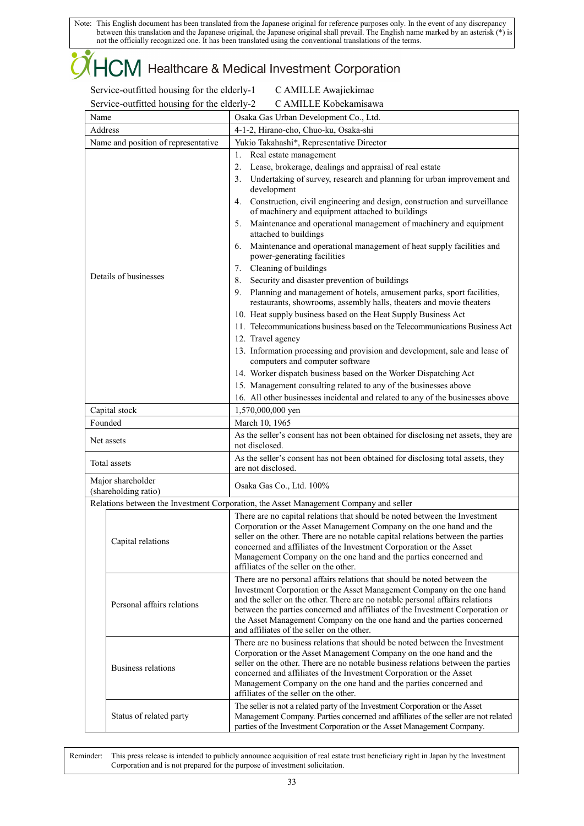### ICM Healthcare & Medical Investment Corporation

Service-outfitted housing for the elderly-1 C AMILLE Awajiekimae Service-outfitted housing for the elderly-2 C AMILLE Kobekamisawa

| $\frac{1}{2}$ of the building to the call $\frac{1}{2}$<br>$C_{I}$ members inducidently way<br>Osaka Gas Urban Development Co., Ltd.<br>Name |                                                  |                                                                                                                                                                                                                                                                                                                                                                                                                                             |  |
|----------------------------------------------------------------------------------------------------------------------------------------------|--------------------------------------------------|---------------------------------------------------------------------------------------------------------------------------------------------------------------------------------------------------------------------------------------------------------------------------------------------------------------------------------------------------------------------------------------------------------------------------------------------|--|
|                                                                                                                                              | Address<br>4-1-2, Hirano-cho, Chuo-ku, Osaka-shi |                                                                                                                                                                                                                                                                                                                                                                                                                                             |  |
| Name and position of representative                                                                                                          |                                                  | Yukio Takahashi*, Representative Director                                                                                                                                                                                                                                                                                                                                                                                                   |  |
|                                                                                                                                              |                                                  | Real estate management<br>1.                                                                                                                                                                                                                                                                                                                                                                                                                |  |
|                                                                                                                                              |                                                  | Lease, brokerage, dealings and appraisal of real estate<br>2.                                                                                                                                                                                                                                                                                                                                                                               |  |
|                                                                                                                                              |                                                  | Undertaking of survey, research and planning for urban improvement and<br>3.<br>development                                                                                                                                                                                                                                                                                                                                                 |  |
|                                                                                                                                              |                                                  | 4. Construction, civil engineering and design, construction and surveillance<br>of machinery and equipment attached to buildings                                                                                                                                                                                                                                                                                                            |  |
|                                                                                                                                              |                                                  | Maintenance and operational management of machinery and equipment<br>5.<br>attached to buildings                                                                                                                                                                                                                                                                                                                                            |  |
|                                                                                                                                              |                                                  | Maintenance and operational management of heat supply facilities and<br>6.<br>power-generating facilities                                                                                                                                                                                                                                                                                                                                   |  |
|                                                                                                                                              |                                                  | Cleaning of buildings<br>7.                                                                                                                                                                                                                                                                                                                                                                                                                 |  |
|                                                                                                                                              | Details of businesses                            | Security and disaster prevention of buildings<br>8.                                                                                                                                                                                                                                                                                                                                                                                         |  |
|                                                                                                                                              |                                                  | 9. Planning and management of hotels, amusement parks, sport facilities,<br>restaurants, showrooms, assembly halls, theaters and movie theaters                                                                                                                                                                                                                                                                                             |  |
|                                                                                                                                              |                                                  | 10. Heat supply business based on the Heat Supply Business Act                                                                                                                                                                                                                                                                                                                                                                              |  |
|                                                                                                                                              |                                                  | 11. Telecommunications business based on the Telecommunications Business Act                                                                                                                                                                                                                                                                                                                                                                |  |
|                                                                                                                                              |                                                  | 12. Travel agency                                                                                                                                                                                                                                                                                                                                                                                                                           |  |
|                                                                                                                                              |                                                  | 13. Information processing and provision and development, sale and lease of<br>computers and computer software                                                                                                                                                                                                                                                                                                                              |  |
|                                                                                                                                              |                                                  | 14. Worker dispatch business based on the Worker Dispatching Act                                                                                                                                                                                                                                                                                                                                                                            |  |
|                                                                                                                                              |                                                  | 15. Management consulting related to any of the businesses above                                                                                                                                                                                                                                                                                                                                                                            |  |
|                                                                                                                                              |                                                  | 16. All other businesses incidental and related to any of the businesses above                                                                                                                                                                                                                                                                                                                                                              |  |
|                                                                                                                                              | Capital stock                                    | 1,570,000,000 yen                                                                                                                                                                                                                                                                                                                                                                                                                           |  |
| Founded                                                                                                                                      |                                                  | March 10, 1965                                                                                                                                                                                                                                                                                                                                                                                                                              |  |
| Net assets                                                                                                                                   |                                                  | As the seller's consent has not been obtained for disclosing net assets, they are<br>not disclosed.                                                                                                                                                                                                                                                                                                                                         |  |
|                                                                                                                                              | Total assets                                     | As the seller's consent has not been obtained for disclosing total assets, they<br>are not disclosed.                                                                                                                                                                                                                                                                                                                                       |  |
|                                                                                                                                              | Major shareholder<br>(shareholding ratio)        | Osaka Gas Co., Ltd. 100%                                                                                                                                                                                                                                                                                                                                                                                                                    |  |
|                                                                                                                                              |                                                  | Relations between the Investment Corporation, the Asset Management Company and seller                                                                                                                                                                                                                                                                                                                                                       |  |
|                                                                                                                                              |                                                  | There are no capital relations that should be noted between the Investment<br>Corporation or the Asset Management Company on the one hand and the<br>seller on the other. There are no notable capital relations between the parties                                                                                                                                                                                                        |  |
|                                                                                                                                              | Capital relations                                | concerned and affiliates of the Investment Corporation or the Asset                                                                                                                                                                                                                                                                                                                                                                         |  |
|                                                                                                                                              |                                                  | Management Company on the one hand and the parties concerned and<br>affiliates of the seller on the other.                                                                                                                                                                                                                                                                                                                                  |  |
|                                                                                                                                              | Personal affairs relations                       | There are no personal affairs relations that should be noted between the<br>Investment Corporation or the Asset Management Company on the one hand<br>and the seller on the other. There are no notable personal affairs relations<br>between the parties concerned and affiliates of the Investment Corporation or<br>the Asset Management Company on the one hand and the parties concerned<br>and affiliates of the seller on the other. |  |
|                                                                                                                                              |                                                  | There are no business relations that should be noted between the Investment                                                                                                                                                                                                                                                                                                                                                                 |  |
|                                                                                                                                              | Business relations                               | Corporation or the Asset Management Company on the one hand and the<br>seller on the other. There are no notable business relations between the parties<br>concerned and affiliates of the Investment Corporation or the Asset<br>Management Company on the one hand and the parties concerned and                                                                                                                                          |  |
|                                                                                                                                              |                                                  | affiliates of the seller on the other.                                                                                                                                                                                                                                                                                                                                                                                                      |  |
| Status of related party                                                                                                                      |                                                  | The seller is not a related party of the Investment Corporation or the Asset<br>Management Company. Parties concerned and affiliates of the seller are not related<br>parties of the Investment Corporation or the Asset Management Company.                                                                                                                                                                                                |  |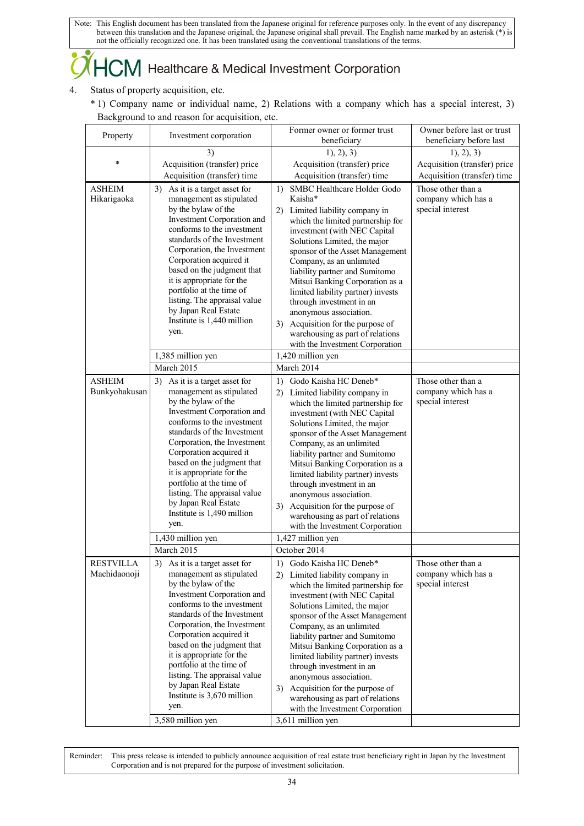### $+C\!M$  Healthcare & Medical Investment Corporation

- 4. Status of property acquisition, etc.
	- \* 1) Company name or individual name, 2) Relations with a company which has a special interest, 3) Background to and reason for acquisition, etc.

| Property         | Investment corporation                                     | Former owner or former trust<br>beneficiary                           | Owner before last or trust<br>beneficiary before last |
|------------------|------------------------------------------------------------|-----------------------------------------------------------------------|-------------------------------------------------------|
|                  | 3)                                                         | 1), 2), 3)                                                            | 1, 2, 3)                                              |
| $\ast$           | Acquisition (transfer) price                               | Acquisition (transfer) price                                          | Acquisition (transfer) price                          |
|                  | Acquisition (transfer) time                                | Acquisition (transfer) time                                           | Acquisition (transfer) time                           |
| <b>ASHEIM</b>    | 3) As it is a target asset for                             | SMBC Healthcare Holder Godo<br>1)                                     | Those other than a                                    |
| Hikarigaoka      | management as stipulated                                   | Kaisha*                                                               | company which has a                                   |
|                  | by the bylaw of the                                        | 2) Limited liability company in                                       | special interest                                      |
|                  | Investment Corporation and                                 | which the limited partnership for                                     |                                                       |
|                  | conforms to the investment                                 | investment (with NEC Capital                                          |                                                       |
|                  | standards of the Investment<br>Corporation, the Investment | Solutions Limited, the major                                          |                                                       |
|                  | Corporation acquired it                                    | sponsor of the Asset Management<br>Company, as an unlimited           |                                                       |
|                  | based on the judgment that                                 | liability partner and Sumitomo                                        |                                                       |
|                  | it is appropriate for the                                  | Mitsui Banking Corporation as a                                       |                                                       |
|                  | portfolio at the time of                                   | limited liability partner) invests                                    |                                                       |
|                  | listing. The appraisal value<br>by Japan Real Estate       | through investment in an                                              |                                                       |
|                  | Institute is 1,440 million                                 | anonymous association.                                                |                                                       |
|                  | yen.                                                       | 3) Acquisition for the purpose of<br>warehousing as part of relations |                                                       |
|                  |                                                            | with the Investment Corporation                                       |                                                       |
|                  | 1,385 million yen                                          | 1,420 million yen                                                     |                                                       |
|                  | March 2015                                                 | March 2014                                                            |                                                       |
| <b>ASHEIM</b>    | 3) As it is a target asset for                             | Godo Kaisha HC Deneb*<br>1)                                           | Those other than a                                    |
| Bunkyohakusan    | management as stipulated                                   | Limited liability company in<br>2)                                    | company which has a                                   |
|                  | by the bylaw of the                                        | which the limited partnership for                                     | special interest                                      |
|                  | Investment Corporation and<br>conforms to the investment   | investment (with NEC Capital                                          |                                                       |
|                  | standards of the Investment                                | Solutions Limited, the major<br>sponsor of the Asset Management       |                                                       |
|                  | Corporation, the Investment                                | Company, as an unlimited                                              |                                                       |
|                  | Corporation acquired it                                    | liability partner and Sumitomo                                        |                                                       |
|                  | based on the judgment that                                 | Mitsui Banking Corporation as a                                       |                                                       |
|                  | it is appropriate for the<br>portfolio at the time of      | limited liability partner) invests                                    |                                                       |
|                  | listing. The appraisal value                               | through investment in an<br>anonymous association.                    |                                                       |
|                  | by Japan Real Estate                                       | 3) Acquisition for the purpose of                                     |                                                       |
|                  | Institute is 1,490 million                                 | warehousing as part of relations                                      |                                                       |
|                  | yen.                                                       | with the Investment Corporation                                       |                                                       |
|                  | 1,430 million yen                                          | 1,427 million yen                                                     |                                                       |
|                  | March 2015                                                 | October 2014                                                          |                                                       |
| <b>RESTVILLA</b> | As it is a target asset for<br>3)                          | 1) Godo Kaisha HC Deneb*                                              | Those other than a                                    |
| Machidaonoji     | management as stipulated                                   | 2) Limited liability company in                                       | company which has a                                   |
|                  | by the bylaw of the<br>Investment Corporation and          | which the limited partnership for                                     | special interest                                      |
|                  | conforms to the investment                                 | investment (with NEC Capital<br>Solutions Limited, the major          |                                                       |
|                  | standards of the Investment                                | sponsor of the Asset Management                                       |                                                       |
|                  | Corporation, the Investment                                | Company, as an unlimited                                              |                                                       |
|                  | Corporation acquired it                                    | liability partner and Sumitomo                                        |                                                       |
|                  | based on the judgment that<br>it is appropriate for the    | Mitsui Banking Corporation as a                                       |                                                       |
|                  | portfolio at the time of                                   | limited liability partner) invests<br>through investment in an        |                                                       |
|                  | listing. The appraisal value                               | anonymous association.                                                |                                                       |
|                  | by Japan Real Estate                                       | 3) Acquisition for the purpose of                                     |                                                       |
|                  | Institute is 3,670 million                                 | warehousing as part of relations                                      |                                                       |
|                  | yen.                                                       | with the Investment Corporation                                       |                                                       |
|                  | 3,580 million yen                                          | 3,611 million yen                                                     |                                                       |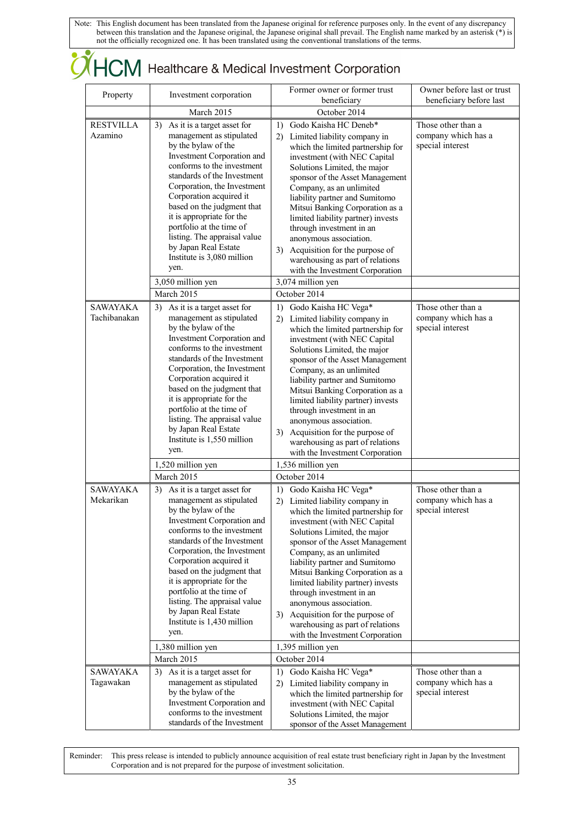# CHCM Healthcare & Medical Investment Corporation

| Property                        | Investment corporation                                                                                                                                                                                                                                                                                                                                                                                                                              | Former owner or former trust<br>beneficiary                                                                                                                                                                                                                                                                                                                                                                                                                                                                                             | Owner before last or trust<br>beneficiary before last         |
|---------------------------------|-----------------------------------------------------------------------------------------------------------------------------------------------------------------------------------------------------------------------------------------------------------------------------------------------------------------------------------------------------------------------------------------------------------------------------------------------------|-----------------------------------------------------------------------------------------------------------------------------------------------------------------------------------------------------------------------------------------------------------------------------------------------------------------------------------------------------------------------------------------------------------------------------------------------------------------------------------------------------------------------------------------|---------------------------------------------------------------|
|                                 | March 2015                                                                                                                                                                                                                                                                                                                                                                                                                                          | October 2014                                                                                                                                                                                                                                                                                                                                                                                                                                                                                                                            |                                                               |
| <b>RESTVILLA</b><br>Azamino     | As it is a target asset for<br>3)<br>management as stipulated<br>by the bylaw of the<br>Investment Corporation and<br>conforms to the investment<br>standards of the Investment<br>Corporation, the Investment<br>Corporation acquired it<br>based on the judgment that<br>it is appropriate for the<br>portfolio at the time of<br>listing. The appraisal value<br>by Japan Real Estate<br>Institute is 3,080 million<br>yen.<br>3,050 million yen | Godo Kaisha HC Deneb*<br>1)<br>Limited liability company in<br>2)<br>which the limited partnership for<br>investment (with NEC Capital<br>Solutions Limited, the major<br>sponsor of the Asset Management<br>Company, as an unlimited<br>liability partner and Sumitomo<br>Mitsui Banking Corporation as a<br>limited liability partner) invests<br>through investment in an<br>anonymous association.<br>3) Acquisition for the purpose of<br>warehousing as part of relations<br>with the Investment Corporation<br>3,074 million yen | Those other than a<br>company which has a<br>special interest |
|                                 | March 2015                                                                                                                                                                                                                                                                                                                                                                                                                                          | October 2014                                                                                                                                                                                                                                                                                                                                                                                                                                                                                                                            |                                                               |
| <b>SAWAYAKA</b><br>Tachibanakan | As it is a target asset for<br>3)<br>management as stipulated<br>by the bylaw of the<br>Investment Corporation and<br>conforms to the investment<br>standards of the Investment<br>Corporation, the Investment<br>Corporation acquired it<br>based on the judgment that<br>it is appropriate for the<br>portfolio at the time of<br>listing. The appraisal value<br>by Japan Real Estate<br>Institute is 1,550 million<br>yen.                      | Godo Kaisha HC Vega*<br>1)<br>2) Limited liability company in<br>which the limited partnership for<br>investment (with NEC Capital<br>Solutions Limited, the major<br>sponsor of the Asset Management<br>Company, as an unlimited<br>liability partner and Sumitomo<br>Mitsui Banking Corporation as a<br>limited liability partner) invests<br>through investment in an<br>anonymous association.<br>3) Acquisition for the purpose of<br>warehousing as part of relations<br>with the Investment Corporation                          | Those other than a<br>company which has a<br>special interest |
|                                 | 1,520 million yen                                                                                                                                                                                                                                                                                                                                                                                                                                   | 1,536 million yen                                                                                                                                                                                                                                                                                                                                                                                                                                                                                                                       |                                                               |
|                                 | March 2015                                                                                                                                                                                                                                                                                                                                                                                                                                          | October 2014                                                                                                                                                                                                                                                                                                                                                                                                                                                                                                                            |                                                               |
| SAWAYAKA<br>Mekarikan           | 3) As it is a target asset for<br>management as stipulated<br>by the bylaw of the<br>Investment Corporation and<br>conforms to the investment<br>standards of the Investment<br>Corporation, the Investment<br>Corporation acquired it<br>based on the judgment that<br>it is appropriate for the<br>portfolio at the time of<br>listing. The appraisal value<br>by Japan Real Estate<br>Institute is 1,430 million<br>yen.<br>1,380 million yen    | 1) Godo Kaisha HC Vega*<br>2) Limited liability company in<br>which the limited partnership for<br>investment (with NEC Capital<br>Solutions Limited, the major<br>sponsor of the Asset Management<br>Company, as an unlimited<br>liability partner and Sumitomo<br>Mitsui Banking Corporation as a<br>limited liability partner) invests<br>through investment in an<br>anonymous association.<br>3) Acquisition for the purpose of<br>warehousing as part of relations<br>with the Investment Corporation<br>1,395 million yen        | Those other than a<br>company which has a<br>special interest |
|                                 | March 2015                                                                                                                                                                                                                                                                                                                                                                                                                                          | October 2014                                                                                                                                                                                                                                                                                                                                                                                                                                                                                                                            |                                                               |
| <b>SAWAYAKA</b><br>Tagawakan    | 3) As it is a target asset for<br>management as stipulated<br>by the bylaw of the<br>Investment Corporation and<br>conforms to the investment<br>standards of the Investment                                                                                                                                                                                                                                                                        | Godo Kaisha HC Vega*<br>1)<br>2) Limited liability company in<br>which the limited partnership for<br>investment (with NEC Capital<br>Solutions Limited, the major<br>sponsor of the Asset Management                                                                                                                                                                                                                                                                                                                                   | Those other than a<br>company which has a<br>special interest |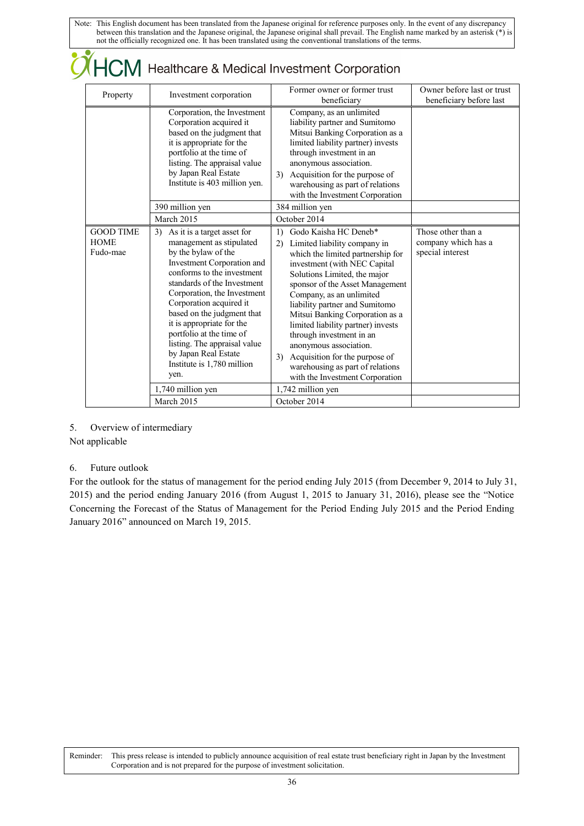| Property                                    | Investment corporation                                                                                                                                                                                                                                                                                                                                                                                                         | Former owner or former trust<br>beneficiary                                                                                                                                                                                                                                                                                                                                                                                                                                                                                         | Owner before last or trust<br>beneficiary before last         |
|---------------------------------------------|--------------------------------------------------------------------------------------------------------------------------------------------------------------------------------------------------------------------------------------------------------------------------------------------------------------------------------------------------------------------------------------------------------------------------------|-------------------------------------------------------------------------------------------------------------------------------------------------------------------------------------------------------------------------------------------------------------------------------------------------------------------------------------------------------------------------------------------------------------------------------------------------------------------------------------------------------------------------------------|---------------------------------------------------------------|
|                                             | Corporation, the Investment<br>Corporation acquired it<br>based on the judgment that<br>it is appropriate for the<br>portfolio at the time of<br>listing. The appraisal value<br>by Japan Real Estate<br>Institute is 403 million yen.                                                                                                                                                                                         | Company, as an unlimited<br>liability partner and Sumitomo<br>Mitsui Banking Corporation as a<br>limited liability partner) invests<br>through investment in an<br>anonymous association.<br>Acquisition for the purpose of<br>3)<br>warehousing as part of relations<br>with the Investment Corporation                                                                                                                                                                                                                            |                                                               |
|                                             | 390 million yen                                                                                                                                                                                                                                                                                                                                                                                                                | 384 million yen                                                                                                                                                                                                                                                                                                                                                                                                                                                                                                                     |                                                               |
|                                             | March 2015                                                                                                                                                                                                                                                                                                                                                                                                                     | October 2014                                                                                                                                                                                                                                                                                                                                                                                                                                                                                                                        |                                                               |
| <b>GOOD TIME</b><br><b>HOME</b><br>Fudo-mae | As it is a target asset for<br>3)<br>management as stipulated<br>by the bylaw of the<br>Investment Corporation and<br>conforms to the investment<br>standards of the Investment<br>Corporation, the Investment<br>Corporation acquired it<br>based on the judgment that<br>it is appropriate for the<br>portfolio at the time of<br>listing. The appraisal value<br>by Japan Real Estate<br>Institute is 1,780 million<br>yen. | Godo Kaisha HC Deneb*<br>$\left( \right)$<br>Limited liability company in<br>2)<br>which the limited partnership for<br>investment (with NEC Capital<br>Solutions Limited, the major<br>sponsor of the Asset Management<br>Company, as an unlimited<br>liability partner and Sumitomo<br>Mitsui Banking Corporation as a<br>limited liability partner) invests<br>through investment in an<br>anonymous association.<br>Acquisition for the purpose of<br>3)<br>warehousing as part of relations<br>with the Investment Corporation | Those other than a<br>company which has a<br>special interest |
|                                             | 1,740 million yen                                                                                                                                                                                                                                                                                                                                                                                                              | 1,742 million yen                                                                                                                                                                                                                                                                                                                                                                                                                                                                                                                   |                                                               |
|                                             | March 2015                                                                                                                                                                                                                                                                                                                                                                                                                     | October 2014                                                                                                                                                                                                                                                                                                                                                                                                                                                                                                                        |                                                               |

5. Overview of intermediary

Not applicable

### 6. Future outlook

For the outlook for the status of management for the period ending July 2015 (from December 9, 2014 to July 31, 2015) and the period ending January 2016 (from August 1, 2015 to January 31, 2016), please see the "Notice Concerning the Forecast of the Status of Management for the Period Ending July 2015 and the Period Ending January 2016" announced on March 19, 2015.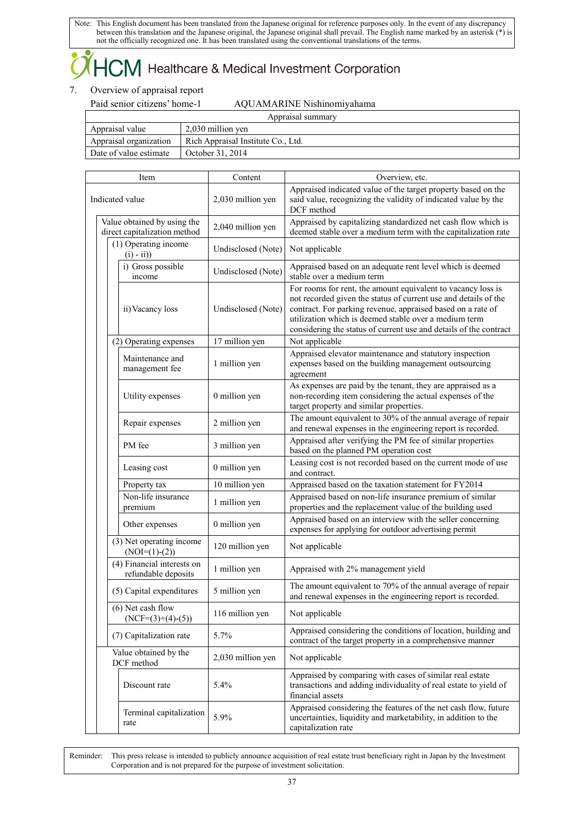### $+C\!M$  Healthcare & Medical Investment Corporation

### 7. Overview of appraisal report

### Paid senior citizens' home-1 AQUAMARINE Nishinomiyahama

| Appraisal summary      |                                    |  |  |
|------------------------|------------------------------------|--|--|
| Appraisal value        | 2,030 million yen                  |  |  |
| Appraisal organization | Rich Appraisal Institute Co., Ltd. |  |  |
| Date of value estimate | October 31, 2014                   |  |  |

| Item                    |                                                             |                                                   | Content            | Overview, etc.                                                                                                                                                                                                                                                                                                               |
|-------------------------|-------------------------------------------------------------|---------------------------------------------------|--------------------|------------------------------------------------------------------------------------------------------------------------------------------------------------------------------------------------------------------------------------------------------------------------------------------------------------------------------|
| Indicated value         |                                                             |                                                   | 2,030 million yen  | Appraised indicated value of the target property based on the<br>said value, recognizing the validity of indicated value by the<br>DCF method                                                                                                                                                                                |
|                         | Value obtained by using the<br>direct capitalization method |                                                   | 2,040 million yen  | Appraised by capitalizing standardized net cash flow which is<br>deemed stable over a medium term with the capitalization rate                                                                                                                                                                                               |
|                         |                                                             | (1) Operating income<br>$(i) - ii)$               | Undisclosed (Note) | Not applicable                                                                                                                                                                                                                                                                                                               |
|                         |                                                             | i) Gross possible<br>income                       | Undisclosed (Note) | Appraised based on an adequate rent level which is deemed<br>stable over a medium term                                                                                                                                                                                                                                       |
|                         |                                                             | ii) Vacancy loss                                  | Undisclosed (Note) | For rooms for rent, the amount equivalent to vacancy loss is<br>not recorded given the status of current use and details of the<br>contract. For parking revenue, appraised based on a rate of<br>utilization which is deemed stable over a medium term<br>considering the status of current use and details of the contract |
|                         |                                                             | (2) Operating expenses                            | 17 million yen     | Not applicable                                                                                                                                                                                                                                                                                                               |
|                         |                                                             | Maintenance and<br>management fee                 | 1 million yen      | Appraised elevator maintenance and statutory inspection<br>expenses based on the building management outsourcing<br>agreement                                                                                                                                                                                                |
|                         |                                                             | Utility expenses                                  | 0 million yen      | As expenses are paid by the tenant, they are appraised as a<br>non-recording item considering the actual expenses of the<br>target property and similar properties.                                                                                                                                                          |
|                         |                                                             | Repair expenses                                   | 2 million yen      | The amount equivalent to 30% of the annual average of repair<br>and renewal expenses in the engineering report is recorded.                                                                                                                                                                                                  |
|                         |                                                             | PM fee                                            | 3 million yen      | Appraised after verifying the PM fee of similar properties<br>based on the planned PM operation cost                                                                                                                                                                                                                         |
|                         |                                                             | Leasing cost                                      | 0 million yen      | Leasing cost is not recorded based on the current mode of use<br>and contract.                                                                                                                                                                                                                                               |
|                         |                                                             | Property tax                                      | 10 million yen     | Appraised based on the taxation statement for FY2014                                                                                                                                                                                                                                                                         |
|                         |                                                             | Non-life insurance<br>premium                     | 1 million yen      | Appraised based on non-life insurance premium of similar<br>properties and the replacement value of the building used                                                                                                                                                                                                        |
|                         |                                                             | Other expenses                                    | 0 million yen      | Appraised based on an interview with the seller concerning<br>expenses for applying for outdoor advertising permit                                                                                                                                                                                                           |
|                         |                                                             | (3) Net operating income<br>$(NOI=(1)-(2))$       | 120 million yen    | Not applicable                                                                                                                                                                                                                                                                                                               |
|                         |                                                             | (4) Financial interests on<br>refundable deposits | 1 million yen      | Appraised with 2% management yield                                                                                                                                                                                                                                                                                           |
|                         | (5) Capital expenditures                                    |                                                   | 5 million yen      | The amount equivalent to 70% of the annual average of repair<br>and renewal expenses in the engineering report is recorded.                                                                                                                                                                                                  |
|                         | (6) Net cash flow<br>$(NCF=(3)+(4)-(5))$                    |                                                   | 116 million yen    | Not applicable                                                                                                                                                                                                                                                                                                               |
| (7) Capitalization rate |                                                             |                                                   | 5.7%               | Appraised considering the conditions of location, building and<br>contract of the target property in a comprehensive manner                                                                                                                                                                                                  |
|                         | Value obtained by the<br>DCF method                         |                                                   | 2,030 million yen  | Not applicable                                                                                                                                                                                                                                                                                                               |
|                         |                                                             | Discount rate                                     | 5.4%               | Appraised by comparing with cases of similar real estate<br>transactions and adding individuality of real estate to yield of<br>financial assets                                                                                                                                                                             |
|                         |                                                             | Terminal capitalization<br>rate                   | 5.9%               | Appraised considering the features of the net cash flow, future<br>uncertainties, liquidity and marketability, in addition to the<br>capitalization rate                                                                                                                                                                     |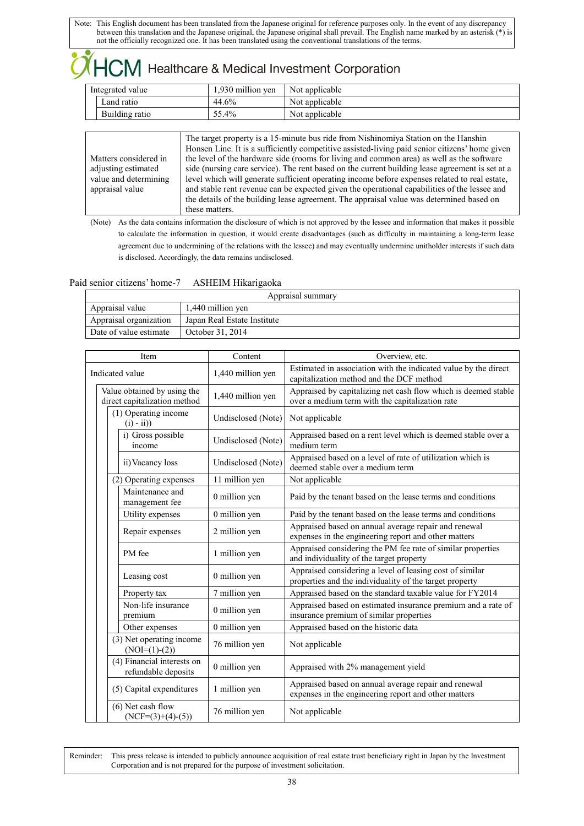## HCM Healthcare & Medical Investment Corporation

| Integrated value |                | 1.930 million ven | Not applicable |
|------------------|----------------|-------------------|----------------|
|                  | Land ratio     | 44.6%             | Not applicable |
|                  | Building ratio | 55.4%             | Not applicable |

|                       | The target property is a 15-minute bus ride from Nishinomiya Station on the Hanshin             |
|-----------------------|-------------------------------------------------------------------------------------------------|
|                       | Honsen Line. It is a sufficiently competitive assisted-living paid senior citizens' home given  |
| Matters considered in | the level of the hardware side (rooms for living and common area) as well as the software       |
| adjusting estimated   | side (nursing care service). The rent based on the current building lease agreement is set at a |
| value and determining | level which will generate sufficient operating income before expenses related to real estate,   |
| appraisal value       | and stable rent revenue can be expected given the operational capabilities of the lessee and    |
|                       | the details of the building lease agreement. The appraisal value was determined based on        |
|                       | these matters.                                                                                  |
|                       |                                                                                                 |

(Note) As the data contains information the disclosure of which is not approved by the lessee and information that makes it possible to calculate the information in question, it would create disadvantages (such as difficulty in maintaining a long-term lease agreement due to undermining of the relations with the lessee) and may eventually undermine unitholder interests if such data is disclosed. Accordingly, the data remains undisclosed.

### Paid senior citizens' home-7 ASHEIM Hikarigaoka

| Appraisal summary      |                             |  |
|------------------------|-----------------------------|--|
| Appraisal value        | 1,440 million yen           |  |
| Appraisal organization | Japan Real Estate Institute |  |
| Date of value estimate | October 31, 2014            |  |

| Item                                                        | Content            | Overview, etc.                                                                                                      |
|-------------------------------------------------------------|--------------------|---------------------------------------------------------------------------------------------------------------------|
| Indicated value                                             | 1,440 million yen  | Estimated in association with the indicated value by the direct<br>capitalization method and the DCF method         |
| Value obtained by using the<br>direct capitalization method | 1,440 million yen  | Appraised by capitalizing net cash flow which is deemed stable<br>over a medium term with the capitalization rate   |
| (1) Operating income<br>$(i) - ii)$                         | Undisclosed (Note) | Not applicable                                                                                                      |
| i) Gross possible<br>income                                 | Undisclosed (Note) | Appraised based on a rent level which is deemed stable over a<br>medium term                                        |
| ii) Vacancy loss                                            | Undisclosed (Note) | Appraised based on a level of rate of utilization which is<br>deemed stable over a medium term                      |
| (2) Operating expenses                                      | 11 million yen     | Not applicable                                                                                                      |
| Maintenance and<br>management fee                           | 0 million yen      | Paid by the tenant based on the lease terms and conditions                                                          |
| Utility expenses                                            | 0 million yen      | Paid by the tenant based on the lease terms and conditions                                                          |
| Repair expenses                                             | 2 million yen      | Appraised based on annual average repair and renewal<br>expenses in the engineering report and other matters        |
| PM fee                                                      | 1 million yen      | Appraised considering the PM fee rate of similar properties<br>and individuality of the target property             |
| Leasing cost                                                | 0 million yen      | Appraised considering a level of leasing cost of similar<br>properties and the individuality of the target property |
| Property tax                                                | 7 million yen      | Appraised based on the standard taxable value for FY2014                                                            |
| Non-life insurance<br>premium                               | 0 million yen      | Appraised based on estimated insurance premium and a rate of<br>insurance premium of similar properties             |
| Other expenses                                              | 0 million yen      | Appraised based on the historic data                                                                                |
| (3) Net operating income<br>$(NOI=(1)-(2))$                 | 76 million yen     | Not applicable                                                                                                      |
| (4) Financial interests on<br>refundable deposits           | 0 million yen      | Appraised with 2% management yield                                                                                  |
| (5) Capital expenditures                                    | 1 million yen      | Appraised based on annual average repair and renewal<br>expenses in the engineering report and other matters        |
| $(6)$ Net cash flow<br>$(NCF=(3)+(4)-(5))$                  | 76 million yen     | Not applicable                                                                                                      |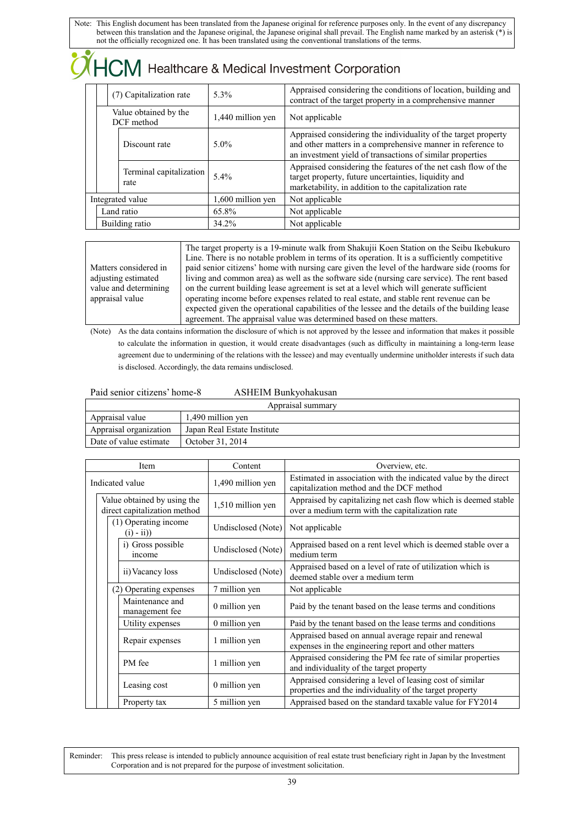| $\sqrt{\text{HCM}}$ Healthcare & Medical Investment Corporation |                                 |                   |                                                                                                                                                                                            |  |
|-----------------------------------------------------------------|---------------------------------|-------------------|--------------------------------------------------------------------------------------------------------------------------------------------------------------------------------------------|--|
|                                                                 | (7) Capitalization rate         | 5.3%              | Appraised considering the conditions of location, building and<br>contract of the target property in a comprehensive manner                                                                |  |
| Value obtained by the<br>DCF method                             |                                 | 1,440 million yen | Not applicable                                                                                                                                                                             |  |
|                                                                 | Discount rate                   | $5.0\%$           | Appraised considering the individuality of the target property<br>and other matters in a comprehensive manner in reference to<br>an investment yield of transactions of similar properties |  |
|                                                                 | Terminal capitalization<br>rate | 5.4%              | Appraised considering the features of the net cash flow of the<br>target property, future uncertainties, liquidity and<br>marketability, in addition to the capitalization rate            |  |
| Integrated value                                                |                                 | 1,600 million yen | Not applicable                                                                                                                                                                             |  |
| Land ratio                                                      |                                 | 65.8%             | Not applicable                                                                                                                                                                             |  |
| Building ratio                                                  |                                 | 34.2%             | Not applicable                                                                                                                                                                             |  |

|                       | The target property is a 19-minute walk from Shakujii Koen Station on the Seibu Ikebukuro       |
|-----------------------|-------------------------------------------------------------------------------------------------|
|                       | Line. There is no notable problem in terms of its operation. It is a sufficiently competitive   |
| Matters considered in | paid senior citizens' home with nursing care given the level of the hardware side (rooms for    |
| adjusting estimated   | living and common area) as well as the software side (nursing care service). The rent based     |
| value and determining | on the current building lease agreement is set at a level which will generate sufficient        |
| appraisal value       | operating income before expenses related to real estate, and stable rent revenue can be         |
|                       | expected given the operational capabilities of the lessee and the details of the building lease |
|                       | agreement. The appraisal value was determined based on these matters.                           |

(Note) As the data contains information the disclosure of which is not approved by the lessee and information that makes it possible to calculate the information in question, it would create disadvantages (such as difficulty in maintaining a long-term lease agreement due to undermining of the relations with the lessee) and may eventually undermine unitholder interests if such data is disclosed. Accordingly, the data remains undisclosed.

### Paid senior citizens' home-8 ASHEIM Bunkyohakusan

| Appraisal summary      |                             |  |  |
|------------------------|-----------------------------|--|--|
| Appraisal value        | 1,490 million yen           |  |  |
| Appraisal organization | Japan Real Estate Institute |  |  |
| Date of value estimate | October 31, 2014            |  |  |

| Item                                                        | Content            | Overview, etc.                                                                                                      |
|-------------------------------------------------------------|--------------------|---------------------------------------------------------------------------------------------------------------------|
| Indicated value                                             | 1,490 million yen  | Estimated in association with the indicated value by the direct<br>capitalization method and the DCF method         |
| Value obtained by using the<br>direct capitalization method | 1,510 million yen  | Appraised by capitalizing net cash flow which is deemed stable<br>over a medium term with the capitalization rate   |
| (1) Operating income<br>$(i) - ii)$                         | Undisclosed (Note) | Not applicable                                                                                                      |
| i) Gross possible<br>income                                 | Undisclosed (Note) | Appraised based on a rent level which is deemed stable over a<br>medium term                                        |
| ii) Vacancy loss                                            | Undisclosed (Note) | Appraised based on a level of rate of utilization which is<br>deemed stable over a medium term                      |
| (2) Operating expenses                                      | 7 million yen      | Not applicable                                                                                                      |
| Maintenance and<br>management fee                           | 0 million yen      | Paid by the tenant based on the lease terms and conditions                                                          |
| Utility expenses                                            | 0 million yen      | Paid by the tenant based on the lease terms and conditions                                                          |
| Repair expenses                                             | 1 million yen      | Appraised based on annual average repair and renewal<br>expenses in the engineering report and other matters        |
| PM fee                                                      | 1 million yen      | Appraised considering the PM fee rate of similar properties<br>and individuality of the target property             |
| Leasing cost                                                | 0 million yen      | Appraised considering a level of leasing cost of similar<br>properties and the individuality of the target property |
| Property tax                                                | 5 million yen      | Appraised based on the standard taxable value for FY2014                                                            |

Reminder: This press release is intended to publicly announce acquisition of real estate trust beneficiary right in Japan by the Investment Corporation and is not prepared for the purpose of investment solicitation.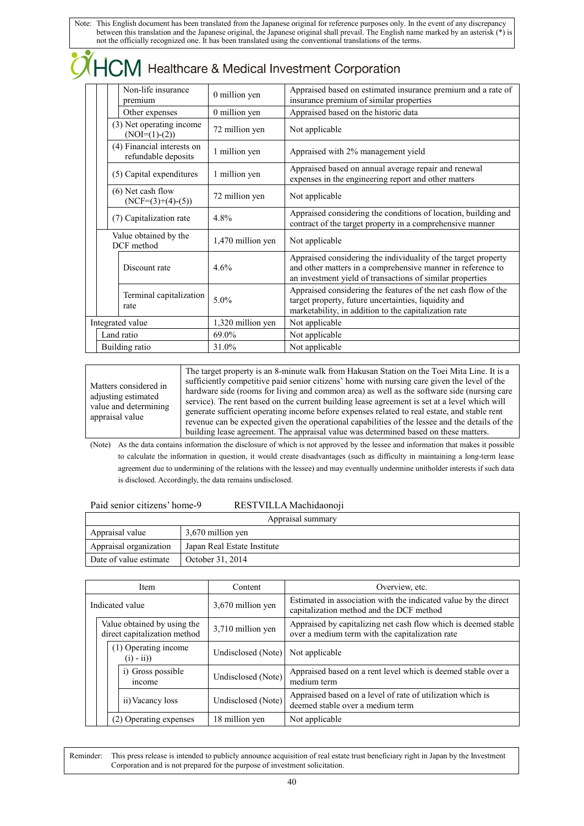| Healthcare & Medical Investment Corporation |                                                   |                   |                                                                                                                                                                                            |
|---------------------------------------------|---------------------------------------------------|-------------------|--------------------------------------------------------------------------------------------------------------------------------------------------------------------------------------------|
|                                             | Non-life insurance<br>premium                     | 0 million yen     | Appraised based on estimated insurance premium and a rate of<br>insurance premium of similar properties                                                                                    |
|                                             | Other expenses                                    | 0 million yen     | Appraised based on the historic data                                                                                                                                                       |
|                                             | (3) Net operating income<br>$(NOI=(1)-(2))$       | 72 million yen    | Not applicable                                                                                                                                                                             |
|                                             | (4) Financial interests on<br>refundable deposits | 1 million yen     | Appraised with 2% management yield                                                                                                                                                         |
|                                             | (5) Capital expenditures                          | 1 million yen     | Appraised based on annual average repair and renewal<br>expenses in the engineering report and other matters                                                                               |
|                                             | $(6)$ Net cash flow<br>$(NCF=(3)+(4)-(5))$        | 72 million yen    | Not applicable                                                                                                                                                                             |
|                                             | (7) Capitalization rate                           | 4.8%              | Appraised considering the conditions of location, building and<br>contract of the target property in a comprehensive manner                                                                |
|                                             | Value obtained by the<br>DCF method               | 1,470 million yen | Not applicable                                                                                                                                                                             |
|                                             | Discount rate                                     | 4.6%              | Appraised considering the individuality of the target property<br>and other matters in a comprehensive manner in reference to<br>an investment yield of transactions of similar properties |
|                                             | Terminal capitalization<br>rate                   | 5.0%              | Appraised considering the features of the net cash flow of the<br>target property, future uncertainties, liquidity and<br>marketability, in addition to the capitalization rate            |
|                                             | Integrated value                                  | 1,320 million yen | Not applicable                                                                                                                                                                             |
|                                             | Land ratio                                        | 69.0%             | Not applicable                                                                                                                                                                             |
| Building ratio                              |                                                   | 31.0%             | Not applicable                                                                                                                                                                             |

| Matters considered in |
|-----------------------|
| adjusting estimated   |
| value and determining |
| appraisal value       |
|                       |

The target property is an 8-minute walk from Hakusan Station on the Toei Mita Line. It is a sufficiently competitive paid senior citizens' home with nursing care given the level of the hardware side (rooms for living and common area) as well as the software side (nursing care service). The rent based on the current building lease agreement is set at a level which will generate sufficient operating income before expenses related to real estate, and stable rent revenue can be expected given the operational capabilities of the lessee and the details of the building lease agreement. The appraisal value was determined based on these matters.

(Note) As the data contains information the disclosure of which is not approved by the lessee and information that makes it possible to calculate the information in question, it would create disadvantages (such as difficulty in maintaining a long-term lease agreement due to undermining of the relations with the lessee) and may eventually undermine unitholder interests if such data is disclosed. Accordingly, the data remains undisclosed.

| Paid senior citizens' home-9 | RESTVILLA Machidaonoji |
|------------------------------|------------------------|
|------------------------------|------------------------|

| Appraisal summary                          |                             |  |
|--------------------------------------------|-----------------------------|--|
| Appraisal value<br>3,670 million yen       |                             |  |
| Appraisal organization                     | Japan Real Estate Institute |  |
| Date of value estimate<br>October 31, 2014 |                             |  |

| <b>Item</b>                                                 |  |                                     | Content            | Overview, etc.                                                                                                    |
|-------------------------------------------------------------|--|-------------------------------------|--------------------|-------------------------------------------------------------------------------------------------------------------|
| Indicated value                                             |  |                                     | 3,670 million yen  | Estimated in association with the indicated value by the direct<br>capitalization method and the DCF method       |
| Value obtained by using the<br>direct capitalization method |  |                                     | 3,710 million yen  | Appraised by capitalizing net cash flow which is deemed stable<br>over a medium term with the capitalization rate |
|                                                             |  | (1) Operating income<br>$(i) - ii)$ | Undisclosed (Note) | Not applicable                                                                                                    |
|                                                             |  | i) Gross possible<br>income         | Undisclosed (Note) | Appraised based on a rent level which is deemed stable over a<br>medium term                                      |
|                                                             |  | ii) Vacancy loss                    | Undisclosed (Note) | Appraised based on a level of rate of utilization which is<br>deemed stable over a medium term                    |
|                                                             |  | (2) Operating expenses              | 18 million yen     | Not applicable                                                                                                    |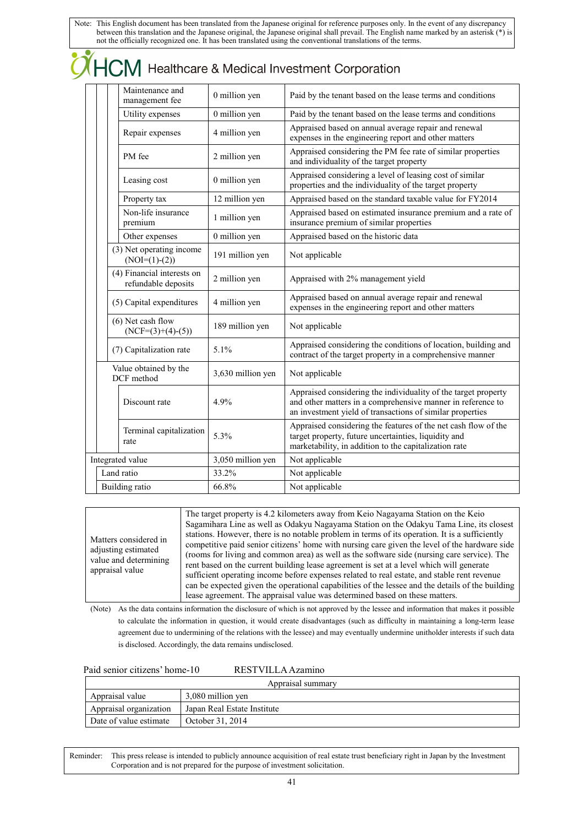| Maintenance and<br>management fee                 | 0 million yen     | Paid by the tenant based on the lease terms and conditions                                                                                                                                                  |
|---------------------------------------------------|-------------------|-------------------------------------------------------------------------------------------------------------------------------------------------------------------------------------------------------------|
| Utility expenses                                  | 0 million yen     | Paid by the tenant based on the lease terms and conditions                                                                                                                                                  |
| Repair expenses                                   | 4 million yen     | Appraised based on annual average repair and renewal<br>expenses in the engineering report and other matters                                                                                                |
| PM fee                                            | 2 million yen     | Appraised considering the PM fee rate of similar properties<br>and individuality of the target property                                                                                                     |
| Leasing cost                                      | 0 million yen     | Appraised considering a level of leasing cost of similar<br>properties and the individuality of the target property                                                                                         |
| Property tax                                      | 12 million yen    | Appraised based on the standard taxable value for FY2014                                                                                                                                                    |
| Non-life insurance<br>premium                     | 1 million yen     | Appraised based on estimated insurance premium and a rate of<br>insurance premium of similar properties                                                                                                     |
| Other expenses                                    | 0 million yen     | Appraised based on the historic data                                                                                                                                                                        |
| (3) Net operating income<br>$(NOI=(1)-(2))$       | 191 million yen   | Not applicable                                                                                                                                                                                              |
| (4) Financial interests on<br>refundable deposits | 2 million yen     | Appraised with 2% management yield                                                                                                                                                                          |
| (5) Capital expenditures                          | 4 million yen     | Appraised based on annual average repair and renewal<br>expenses in the engineering report and other matters                                                                                                |
| $(6)$ Net cash flow<br>$(NCF=(3)+(4)-(5))$        | 189 million yen   | Not applicable                                                                                                                                                                                              |
| (7) Capitalization rate                           | 5.1%              | Appraised considering the conditions of location, building and<br>contract of the target property in a comprehensive manner                                                                                 |
| Value obtained by the<br>DCF method               | 3,630 million yen | Not applicable                                                                                                                                                                                              |
| Discount rate                                     | 4.9%              | Appraised considering the individuality of the target property<br>and other matters in a comprehensive manner in reference to<br>an investment yield of transactions of similar properties                  |
| Terminal capitalization<br>rate                   | 5.3%              | Appraised considering the features of the net cash flow of the<br>target property, future uncertainties, liquidity and<br>وليمس ويماثلهما فالمتقاومة والمنافر والمتابية فالتلق والمنافذ والتقاول والمعاونات |

| Matters considered in<br>adjusting estimated<br>value and determining<br>appraisal value | The target property is 4.2 kilometers away from Keio Nagayama Station on the Keio<br>Sagamihara Line as well as Odakyu Nagayama Station on the Odakyu Tama Line, its closest<br>stations. However, there is no notable problem in terms of its operation. It is a sufficiently<br>competitive paid senior citizens' home with nursing care given the level of the hardware side<br>(rooms for living and common area) as well as the software side (nursing care service). The<br>rent based on the current building lease agreement is set at a level which will generate<br>sufficient operating income before expenses related to real estate, and stable rent revenue<br>can be expected given the operational capabilities of the lessee and the details of the building<br>lease agreement. The appraisal value was determined based on these matters. |
|------------------------------------------------------------------------------------------|--------------------------------------------------------------------------------------------------------------------------------------------------------------------------------------------------------------------------------------------------------------------------------------------------------------------------------------------------------------------------------------------------------------------------------------------------------------------------------------------------------------------------------------------------------------------------------------------------------------------------------------------------------------------------------------------------------------------------------------------------------------------------------------------------------------------------------------------------------------|

Integrated value 3,050 million yen Not applicable Land ratio 33.2% Not applicable Building ratio 66.8% Not applicable

marketability, in addition to the capitalization rate

(Note) As the data contains information the disclosure of which is not approved by the lessee and information that makes it possible to calculate the information in question, it would create disadvantages (such as difficulty in maintaining a long-term lease agreement due to undermining of the relations with the lessee) and may eventually undermine unitholder interests if such data is disclosed. Accordingly, the data remains undisclosed.

| Paid senior citizens' home-10 |  |  |
|-------------------------------|--|--|
|-------------------------------|--|--|

 $\bullet$ 

0 RESTVILLA Azamino

| Appraisal summary                          |                             |  |
|--------------------------------------------|-----------------------------|--|
| 3,080 million yen<br>Appraisal value       |                             |  |
| Appraisal organization                     | Japan Real Estate Institute |  |
| Date of value estimate<br>October 31, 2014 |                             |  |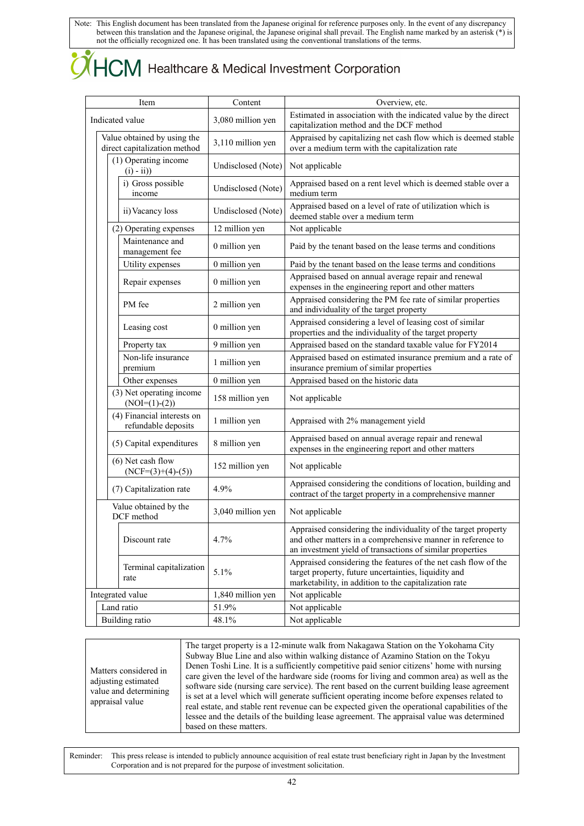## $HCM$  Healthcare & Medical Investment Corporation

| Item                                                        | Content            | Overview, etc.                                                                                                                                                                             |  |
|-------------------------------------------------------------|--------------------|--------------------------------------------------------------------------------------------------------------------------------------------------------------------------------------------|--|
| Indicated value                                             | 3,080 million yen  | Estimated in association with the indicated value by the direct<br>capitalization method and the DCF method                                                                                |  |
| Value obtained by using the<br>direct capitalization method | 3,110 million yen  | Appraised by capitalizing net cash flow which is deemed stable<br>over a medium term with the capitalization rate                                                                          |  |
| (1) Operating income<br>$(i) - ii)$                         | Undisclosed (Note) | Not applicable                                                                                                                                                                             |  |
| i) Gross possible<br>income                                 | Undisclosed (Note) | Appraised based on a rent level which is deemed stable over a<br>medium term                                                                                                               |  |
| ii) Vacancy loss                                            | Undisclosed (Note) | Appraised based on a level of rate of utilization which is<br>deemed stable over a medium term                                                                                             |  |
| (2) Operating expenses                                      | 12 million yen     | Not applicable                                                                                                                                                                             |  |
| Maintenance and<br>management fee                           | 0 million yen      | Paid by the tenant based on the lease terms and conditions                                                                                                                                 |  |
| Utility expenses                                            | 0 million yen      | Paid by the tenant based on the lease terms and conditions                                                                                                                                 |  |
| Repair expenses                                             | 0 million yen      | Appraised based on annual average repair and renewal<br>expenses in the engineering report and other matters                                                                               |  |
| PM fee                                                      | 2 million yen      | Appraised considering the PM fee rate of similar properties<br>and individuality of the target property                                                                                    |  |
| Leasing cost                                                | 0 million yen      | Appraised considering a level of leasing cost of similar<br>properties and the individuality of the target property                                                                        |  |
| Property tax                                                | 9 million yen      | Appraised based on the standard taxable value for FY2014                                                                                                                                   |  |
| Non-life insurance<br>premium                               | 1 million yen      | Appraised based on estimated insurance premium and a rate of<br>insurance premium of similar properties                                                                                    |  |
| Other expenses                                              | 0 million yen      | Appraised based on the historic data                                                                                                                                                       |  |
| (3) Net operating income<br>$(NOI=(1)-(2))$                 | 158 million yen    | Not applicable                                                                                                                                                                             |  |
| (4) Financial interests on<br>refundable deposits           | 1 million yen      | Appraised with 2% management yield                                                                                                                                                         |  |
| (5) Capital expenditures                                    | 8 million yen      | Appraised based on annual average repair and renewal<br>expenses in the engineering report and other matters                                                                               |  |
| $(6)$ Net cash flow<br>$(NCF=(3)+(4)-(5))$                  | 152 million yen    | Not applicable                                                                                                                                                                             |  |
| (7) Capitalization rate                                     | 4.9%               | Appraised considering the conditions of location, building and<br>contract of the target property in a comprehensive manner                                                                |  |
| Value obtained by the<br>DCF method                         | 3,040 million yen  | Not applicable                                                                                                                                                                             |  |
| Discount rate                                               | 4.7%               | Appraised considering the individuality of the target property<br>and other matters in a comprehensive manner in reference to<br>an investment yield of transactions of similar properties |  |
| Terminal capitalization<br>rate                             | 5.1%               | Appraised considering the features of the net cash flow of the<br>target property, future uncertainties, liquidity and<br>marketability, in addition to the capitalization rate            |  |
| Integrated value                                            | 1,840 million yen  | Not applicable                                                                                                                                                                             |  |
| Land ratio                                                  | 51.9%              | Not applicable                                                                                                                                                                             |  |
| <b>Building</b> ratio<br>48.1%                              |                    | Not applicable                                                                                                                                                                             |  |

Matters considered in adjusting estimated value and determining appraisal value

The target property is a 12-minute walk from Nakagawa Station on the Yokohama City Subway Blue Line and also within walking distance of Azamino Station on the Tokyu Denen Toshi Line. It is a sufficiently competitive paid senior citizens' home with nursing care given the level of the hardware side (rooms for living and common area) as well as the software side (nursing care service). The rent based on the current building lease agreement is set at a level which will generate sufficient operating income before expenses related to real estate, and stable rent revenue can be expected given the operational capabilities of the lessee and the details of the building lease agreement. The appraisal value was determined based on these matters.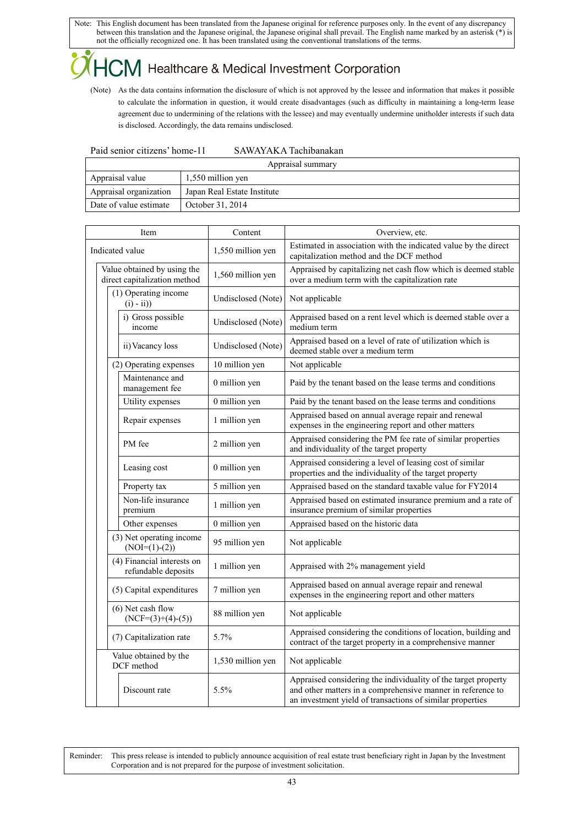### $\mathsf{CM}\,$  Healthcare & Medical Investment Corporation

(Note) As the data contains information the disclosure of which is not approved by the lessee and information that makes it possible to calculate the information in question, it would create disadvantages (such as difficulty in maintaining a long-term lease agreement due to undermining of the relations with the lessee) and may eventually undermine unitholder interests if such data is disclosed. Accordingly, the data remains undisclosed.

| Paid senior citizens' home-11 |  |
|-------------------------------|--|
|                               |  |

SAWAYAKA Tachibanakan

| Appraisal summary                    |                             |  |
|--------------------------------------|-----------------------------|--|
| Appraisal value<br>1,550 million yen |                             |  |
| Appraisal organization               | Japan Real Estate Institute |  |
| Date of value estimate               | October 31, 2014            |  |

| Item                                                        | Content            | Overview, etc.                                                                                                                                                                             |
|-------------------------------------------------------------|--------------------|--------------------------------------------------------------------------------------------------------------------------------------------------------------------------------------------|
| Indicated value                                             | 1,550 million yen  | Estimated in association with the indicated value by the direct<br>capitalization method and the DCF method                                                                                |
| Value obtained by using the<br>direct capitalization method | 1,560 million yen  | Appraised by capitalizing net cash flow which is deemed stable<br>over a medium term with the capitalization rate                                                                          |
| (1) Operating income<br>$(i) - ii)$                         | Undisclosed (Note) | Not applicable                                                                                                                                                                             |
| i) Gross possible<br>income                                 | Undisclosed (Note) | Appraised based on a rent level which is deemed stable over a<br>medium term                                                                                                               |
| ii) Vacancy loss                                            | Undisclosed (Note) | Appraised based on a level of rate of utilization which is<br>deemed stable over a medium term                                                                                             |
| (2) Operating expenses                                      | 10 million yen     | Not applicable                                                                                                                                                                             |
| Maintenance and<br>management fee                           | 0 million yen      | Paid by the tenant based on the lease terms and conditions                                                                                                                                 |
| Utility expenses                                            | 0 million yen      | Paid by the tenant based on the lease terms and conditions                                                                                                                                 |
| Repair expenses                                             | 1 million yen      | Appraised based on annual average repair and renewal<br>expenses in the engineering report and other matters                                                                               |
| PM fee                                                      | 2 million yen      | Appraised considering the PM fee rate of similar properties<br>and individuality of the target property                                                                                    |
| Leasing cost                                                | 0 million yen      | Appraised considering a level of leasing cost of similar<br>properties and the individuality of the target property                                                                        |
| Property tax                                                | 5 million yen      | Appraised based on the standard taxable value for FY2014                                                                                                                                   |
| Non-life insurance<br>premium                               | 1 million yen      | Appraised based on estimated insurance premium and a rate of<br>insurance premium of similar properties                                                                                    |
| Other expenses                                              | 0 million yen      | Appraised based on the historic data                                                                                                                                                       |
| (3) Net operating income<br>$(NOI=(1)-(2))$                 | 95 million yen     | Not applicable                                                                                                                                                                             |
| (4) Financial interests on<br>refundable deposits           | 1 million yen      | Appraised with 2% management yield                                                                                                                                                         |
| (5) Capital expenditures                                    | 7 million yen      | Appraised based on annual average repair and renewal<br>expenses in the engineering report and other matters                                                                               |
| $(6)$ Net cash flow<br>$(NCF=(3)+(4)-(5))$                  | 88 million yen     | Not applicable                                                                                                                                                                             |
| (7) Capitalization rate                                     | 5.7%               | Appraised considering the conditions of location, building and<br>contract of the target property in a comprehensive manner                                                                |
| Value obtained by the<br>DCF method                         | 1,530 million yen  | Not applicable                                                                                                                                                                             |
| Discount rate                                               | 5.5%               | Appraised considering the individuality of the target property<br>and other matters in a comprehensive manner in reference to<br>an investment yield of transactions of similar properties |

Reminder: This press release is intended to publicly announce acquisition of real estate trust beneficiary right in Japan by the Investment Corporation and is not prepared for the purpose of investment solicitation.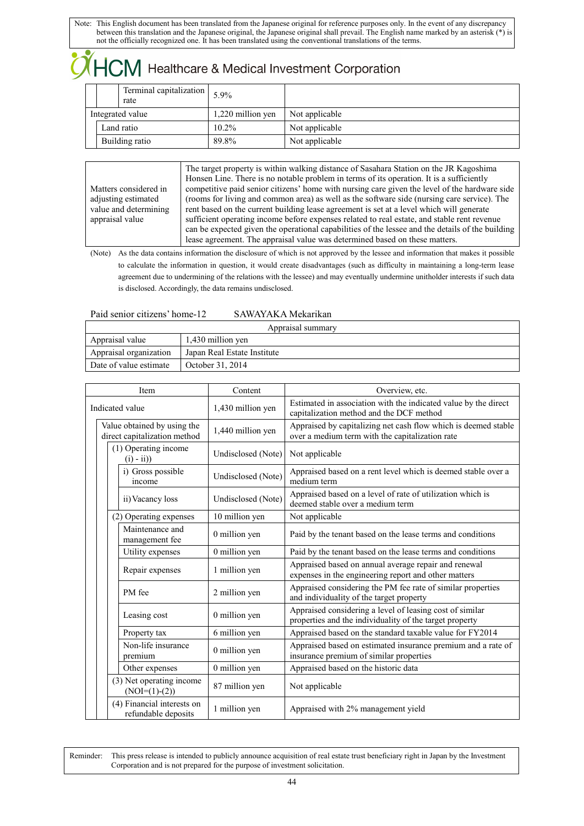## $\mathsf{ICM}\xspace$  Healthcare & Medical Investment Corporation

|                  | Terminal capitalization<br>rate | $5.9\%$           |                |
|------------------|---------------------------------|-------------------|----------------|
| Integrated value |                                 | 1,220 million yen | Not applicable |
| Land ratio       |                                 | $10.2\%$          | Not applicable |
| Building ratio   |                                 | 89.8%             | Not applicable |

Matters considered in adjusting estimated value and determining appraisal value The target property is within walking distance of Sasahara Station on the JR Kagoshima Honsen Line. There is no notable problem in terms of its operation. It is a sufficiently competitive paid senior citizens' home with nursing care given the level of the hardware side (rooms for living and common area) as well as the software side (nursing care service). The rent based on the current building lease agreement is set at a level which will generate sufficient operating income before expenses related to real estate, and stable rent revenue can be expected given the operational capabilities of the lessee and the details of the building lease agreement. The appraisal value was determined based on these matters.

(Note) As the data contains information the disclosure of which is not approved by the lessee and information that makes it possible to calculate the information in question, it would create disadvantages (such as difficulty in maintaining a long-term lease agreement due to undermining of the relations with the lessee) and may eventually undermine unitholder interests if such data is disclosed. Accordingly, the data remains undisclosed.

SAWAYAKA Mekarikan

| Appraisal summary      |                             |  |  |
|------------------------|-----------------------------|--|--|
| Appraisal value        | 1,430 million yen           |  |  |
| Appraisal organization | Japan Real Estate Institute |  |  |
| Date of value estimate | October 31, 2014            |  |  |

| Item                                                        | Content            | Overview, etc.                                                                                                      |
|-------------------------------------------------------------|--------------------|---------------------------------------------------------------------------------------------------------------------|
| Indicated value                                             | 1,430 million yen  | Estimated in association with the indicated value by the direct<br>capitalization method and the DCF method         |
| Value obtained by using the<br>direct capitalization method | 1,440 million yen  | Appraised by capitalizing net cash flow which is deemed stable<br>over a medium term with the capitalization rate   |
| (1) Operating income<br>$(i) - ii)$                         | Undisclosed (Note) | Not applicable                                                                                                      |
| i) Gross possible<br>income                                 | Undisclosed (Note) | Appraised based on a rent level which is deemed stable over a<br>medium term                                        |
| ii) Vacancy loss                                            | Undisclosed (Note) | Appraised based on a level of rate of utilization which is<br>deemed stable over a medium term                      |
| (2) Operating expenses                                      | 10 million yen     | Not applicable                                                                                                      |
| Maintenance and<br>management fee                           | 0 million yen      | Paid by the tenant based on the lease terms and conditions                                                          |
| Utility expenses                                            | 0 million yen      | Paid by the tenant based on the lease terms and conditions                                                          |
| Repair expenses                                             | 1 million yen      | Appraised based on annual average repair and renewal<br>expenses in the engineering report and other matters        |
| PM fee                                                      | 2 million yen      | Appraised considering the PM fee rate of similar properties<br>and individuality of the target property             |
| Leasing cost                                                | 0 million yen      | Appraised considering a level of leasing cost of similar<br>properties and the individuality of the target property |
| Property tax                                                | 6 million yen      | Appraised based on the standard taxable value for FY2014                                                            |
| Non-life insurance<br>premium                               | 0 million yen      | Appraised based on estimated insurance premium and a rate of<br>insurance premium of similar properties             |
| Other expenses                                              | 0 million yen      | Appraised based on the historic data                                                                                |
| (3) Net operating income<br>$(NOI=(1)-(2))$                 | 87 million yen     | Not applicable                                                                                                      |
| (4) Financial interests on<br>refundable deposits           | 1 million yen      | Appraised with 2% management yield                                                                                  |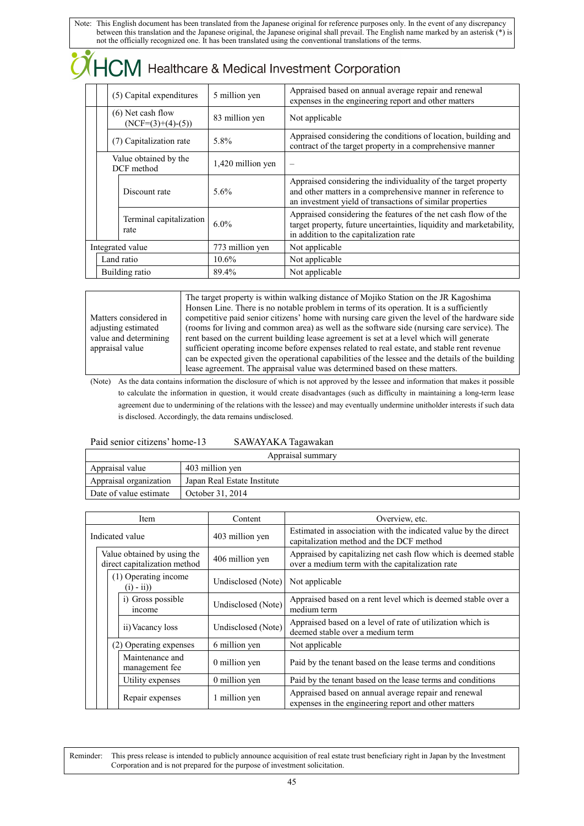| $\sqrt{H}$ HCM Healthcare & Medical Investment Corporation |                   |                                                                                                                                                                                            |  |  |
|------------------------------------------------------------|-------------------|--------------------------------------------------------------------------------------------------------------------------------------------------------------------------------------------|--|--|
| (5) Capital expenditures                                   | 5 million yen     | Appraised based on annual average repair and renewal<br>expenses in the engineering report and other matters                                                                               |  |  |
| $(6)$ Net cash flow<br>$(NCF=(3)+(4)-(5))$                 | 83 million yen    | Not applicable                                                                                                                                                                             |  |  |
| (7) Capitalization rate                                    | 5.8%              | Appraised considering the conditions of location, building and<br>contract of the target property in a comprehensive manner                                                                |  |  |
| Value obtained by the<br>DCF method                        | 1,420 million yen |                                                                                                                                                                                            |  |  |
| Discount rate                                              | $5.6\%$           | Appraised considering the individuality of the target property<br>and other matters in a comprehensive manner in reference to<br>an investment yield of transactions of similar properties |  |  |
| Terminal capitalization<br>rate                            | $6.0\%$           | Appraised considering the features of the net cash flow of the<br>target property, future uncertainties, liquidity and marketability,<br>in addition to the capitalization rate            |  |  |
| Integrated value                                           | 773 million yen   | Not applicable                                                                                                                                                                             |  |  |
| Land ratio                                                 | 10.6%             | Not applicable                                                                                                                                                                             |  |  |
| Building ratio                                             | 89.4%             | Not applicable                                                                                                                                                                             |  |  |

Matters considered in adjusting estimated value and determining appraisal value

The target property is within walking distance of Mojiko Station on the JR Kagoshima Honsen Line. There is no notable problem in terms of its operation. It is a sufficiently competitive paid senior citizens' home with nursing care given the level of the hardware side (rooms for living and common area) as well as the software side (nursing care service). The rent based on the current building lease agreement is set at a level which will generate sufficient operating income before expenses related to real estate, and stable rent revenue can be expected given the operational capabilities of the lessee and the details of the building lease agreement. The appraisal value was determined based on these matters.

(Note) As the data contains information the disclosure of which is not approved by the lessee and information that makes it possible to calculate the information in question, it would create disadvantages (such as difficulty in maintaining a long-term lease agreement due to undermining of the relations with the lessee) and may eventually undermine unitholder interests if such data is disclosed. Accordingly, the data remains undisclosed.

### Paid senior citizens' home-13 SAWAYAKA Tagawakan

| Appraisal summary      |                             |  |  |
|------------------------|-----------------------------|--|--|
| Appraisal value        | 403 million yen             |  |  |
| Appraisal organization | Japan Real Estate Institute |  |  |
| Date of value estimate | October 31, 2014            |  |  |

|                 |                                                             | Item                                | Content            | Overview, etc.                                                                                                    |
|-----------------|-------------------------------------------------------------|-------------------------------------|--------------------|-------------------------------------------------------------------------------------------------------------------|
| Indicated value |                                                             |                                     | 403 million yen    | Estimated in association with the indicated value by the direct<br>capitalization method and the DCF method       |
|                 | Value obtained by using the<br>direct capitalization method |                                     | 406 million yen    | Appraised by capitalizing net cash flow which is deemed stable<br>over a medium term with the capitalization rate |
|                 |                                                             | (1) Operating income<br>$(i) - ii)$ | Undisclosed (Note) | Not applicable                                                                                                    |
|                 |                                                             | i) Gross possible<br>income         | Undisclosed (Note) | Appraised based on a rent level which is deemed stable over a<br>medium term                                      |
|                 |                                                             | ii) Vacancy loss                    | Undisclosed (Note) | Appraised based on a level of rate of utilization which is<br>deemed stable over a medium term                    |
|                 |                                                             | (2) Operating expenses              | 6 million yen      | Not applicable                                                                                                    |
|                 |                                                             | Maintenance and<br>management fee   | 0 million yen      | Paid by the tenant based on the lease terms and conditions                                                        |
|                 |                                                             | Utility expenses                    | 0 million yen      | Paid by the tenant based on the lease terms and conditions                                                        |
|                 |                                                             | Repair expenses                     | 1 million yen      | Appraised based on annual average repair and renewal<br>expenses in the engineering report and other matters      |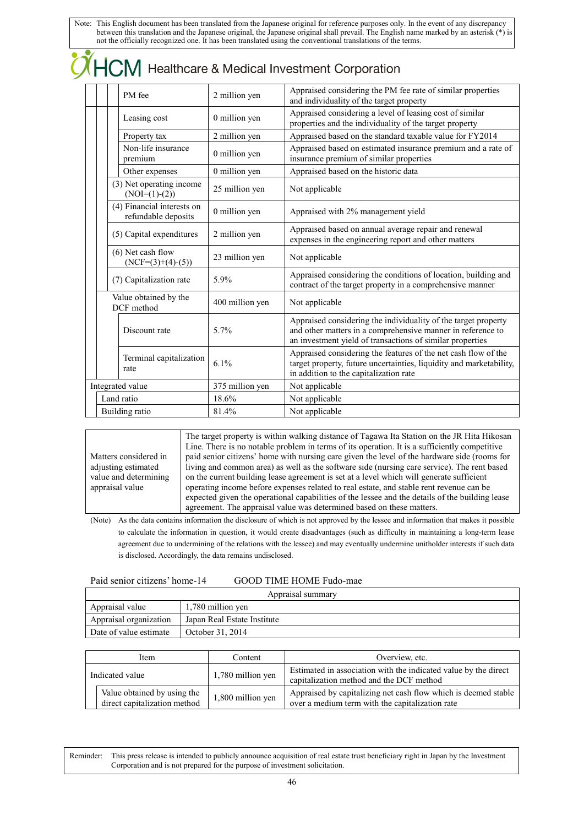|  |  | $\mathcal{O}\sqrt{H}$ Healthcare & Medical Investment Corporation |  |
|--|--|-------------------------------------------------------------------|--|
|--|--|-------------------------------------------------------------------|--|

|                  | PM fee                                            | 2 million yen   | Appraised considering the PM fee rate of similar properties<br>and individuality of the target property                                                                                    |
|------------------|---------------------------------------------------|-----------------|--------------------------------------------------------------------------------------------------------------------------------------------------------------------------------------------|
|                  | Leasing cost                                      | 0 million yen   | Appraised considering a level of leasing cost of similar<br>properties and the individuality of the target property                                                                        |
|                  | Property tax                                      | 2 million yen   | Appraised based on the standard taxable value for FY2014                                                                                                                                   |
|                  | Non-life insurance<br>premium                     | 0 million yen   | Appraised based on estimated insurance premium and a rate of<br>insurance premium of similar properties                                                                                    |
|                  | Other expenses                                    | 0 million yen   | Appraised based on the historic data                                                                                                                                                       |
|                  | (3) Net operating income<br>$(NOI=(1)-(2))$       | 25 million yen  | Not applicable                                                                                                                                                                             |
|                  | (4) Financial interests on<br>refundable deposits | 0 million yen   | Appraised with 2% management yield                                                                                                                                                         |
|                  | (5) Capital expenditures                          | 2 million yen   | Appraised based on annual average repair and renewal<br>expenses in the engineering report and other matters                                                                               |
|                  | $(6)$ Net cash flow<br>$(NCF=(3)+(4)-(5))$        | 23 million yen  | Not applicable                                                                                                                                                                             |
|                  | (7) Capitalization rate                           | 5.9%            | Appraised considering the conditions of location, building and<br>contract of the target property in a comprehensive manner                                                                |
|                  | Value obtained by the<br>DCF method               | 400 million yen | Not applicable                                                                                                                                                                             |
|                  | Discount rate                                     | 5.7%            | Appraised considering the individuality of the target property<br>and other matters in a comprehensive manner in reference to<br>an investment yield of transactions of similar properties |
|                  | Terminal capitalization<br>rate                   | 6.1%            | Appraised considering the features of the net cash flow of the<br>target property, future uncertainties, liquidity and marketability,<br>in addition to the capitalization rate            |
| Integrated value |                                                   | 375 million yen | Not applicable                                                                                                                                                                             |
|                  | Land ratio                                        | 18.6%           | Not applicable                                                                                                                                                                             |
| Building ratio   |                                                   | 81.4%           | Not applicable                                                                                                                                                                             |

Matters considered in adjusting estimated value and determining appraisal value

 $\bullet$ 

The target property is within walking distance of Tagawa Ita Station on the JR Hita Hikosan Line. There is no notable problem in terms of its operation. It is a sufficiently competitive paid senior citizens' home with nursing care given the level of the hardware side (rooms for living and common area) as well as the software side (nursing care service). The rent based on the current building lease agreement is set at a level which will generate sufficient operating income before expenses related to real estate, and stable rent revenue can be expected given the operational capabilities of the lessee and the details of the building lease agreement. The appraisal value was determined based on these matters.

(Note) As the data contains information the disclosure of which is not approved by the lessee and information that makes it possible to calculate the information in question, it would create disadvantages (such as difficulty in maintaining a long-term lease agreement due to undermining of the relations with the lessee) and may eventually undermine unitholder interests if such data is disclosed. Accordingly, the data remains undisclosed.

| Paid senior citizens' home-1 |  |  |  |  |  |
|------------------------------|--|--|--|--|--|
|------------------------------|--|--|--|--|--|

### 4 GOOD TIME HOME Fudo-mae

| Appraisal summary      |                             |  |  |
|------------------------|-----------------------------|--|--|
| Appraisal value        | 1,780 million yen           |  |  |
| Appraisal organization | Japan Real Estate Institute |  |  |
| Date of value estimate | October 31, 2014            |  |  |

| Item            |                                                             | Content           | Overview, etc.                                                                                                    |
|-----------------|-------------------------------------------------------------|-------------------|-------------------------------------------------------------------------------------------------------------------|
| Indicated value |                                                             | 1,780 million yen | Estimated in association with the indicated value by the direct<br>capitalization method and the DCF method       |
|                 | Value obtained by using the<br>direct capitalization method | 1,800 million yen | Appraised by capitalizing net cash flow which is deemed stable<br>over a medium term with the capitalization rate |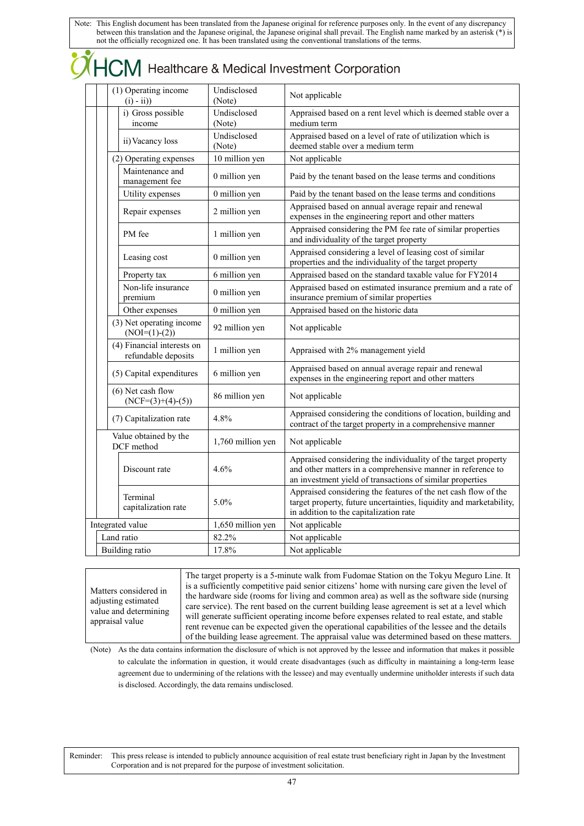| (1) Operating income<br>$(i) - ii)$ |                                                   | Undisclosed<br>(Note) | Not applicable                                                                                                                                                                             |
|-------------------------------------|---------------------------------------------------|-----------------------|--------------------------------------------------------------------------------------------------------------------------------------------------------------------------------------------|
|                                     | i) Gross possible<br>income                       | Undisclosed<br>(Note) | Appraised based on a rent level which is deemed stable over a<br>medium term                                                                                                               |
|                                     | ii) Vacancy loss                                  | Undisclosed<br>(Note) | Appraised based on a level of rate of utilization which is<br>deemed stable over a medium term                                                                                             |
|                                     | (2) Operating expenses                            | 10 million yen        | Not applicable                                                                                                                                                                             |
|                                     | Maintenance and<br>management fee                 | 0 million yen         | Paid by the tenant based on the lease terms and conditions                                                                                                                                 |
|                                     | Utility expenses                                  | 0 million yen         | Paid by the tenant based on the lease terms and conditions                                                                                                                                 |
|                                     | Repair expenses                                   | 2 million yen         | Appraised based on annual average repair and renewal<br>expenses in the engineering report and other matters                                                                               |
|                                     | PM fee                                            | 1 million yen         | Appraised considering the PM fee rate of similar properties<br>and individuality of the target property                                                                                    |
|                                     | Leasing cost                                      | 0 million yen         | Appraised considering a level of leasing cost of similar<br>properties and the individuality of the target property                                                                        |
|                                     | Property tax                                      | 6 million yen         | Appraised based on the standard taxable value for FY2014                                                                                                                                   |
|                                     | Non-life insurance<br>premium                     | 0 million yen         | Appraised based on estimated insurance premium and a rate of<br>insurance premium of similar properties                                                                                    |
|                                     | Other expenses                                    | 0 million yen         | Appraised based on the historic data                                                                                                                                                       |
|                                     | (3) Net operating income<br>$(NOI=(1)-(2))$       | 92 million yen        | Not applicable                                                                                                                                                                             |
|                                     | (4) Financial interests on<br>refundable deposits | 1 million yen         | Appraised with 2% management yield                                                                                                                                                         |
|                                     | (5) Capital expenditures                          | 6 million yen         | Appraised based on annual average repair and renewal<br>expenses in the engineering report and other matters                                                                               |
|                                     | $(6)$ Net cash flow<br>$(NCF=(3)+(4)-(5))$        | 86 million yen        | Not applicable                                                                                                                                                                             |
|                                     | (7) Capitalization rate                           | 4.8%                  | Appraised considering the conditions of location, building and<br>contract of the target property in a comprehensive manner                                                                |
|                                     | Value obtained by the<br>DCF method               | 1,760 million yen     | Not applicable                                                                                                                                                                             |
| Discount rate                       |                                                   | 4.6%                  | Appraised considering the individuality of the target property<br>and other matters in a comprehensive manner in reference to<br>an investment yield of transactions of similar properties |
|                                     | Terminal<br>capitalization rate                   | 5.0%                  | Appraised considering the features of the net cash flow of the<br>target property, future uncertainties, liquidity and marketability,<br>in addition to the capitalization rate            |
|                                     | Integrated value                                  | 1,650 million yen     | Not applicable                                                                                                                                                                             |
|                                     | Land ratio                                        | 82.2%                 | Not applicable                                                                                                                                                                             |
| <b>Building</b> ratio               |                                                   | 17.8%                 | Not applicable                                                                                                                                                                             |

Matters considered in adjusting estimated value and determining appraisal value

The target property is a 5-minute walk from Fudomae Station on the Tokyu Meguro Line. It is a sufficiently competitive paid senior citizens' home with nursing care given the level of the hardware side (rooms for living and common area) as well as the software side (nursing care service). The rent based on the current building lease agreement is set at a level which will generate sufficient operating income before expenses related to real estate, and stable rent revenue can be expected given the operational capabilities of the lessee and the details of the building lease agreement. The appraisal value was determined based on these matters.

(Note) As the data contains information the disclosure of which is not approved by the lessee and information that makes it possible to calculate the information in question, it would create disadvantages (such as difficulty in maintaining a long-term lease agreement due to undermining of the relations with the lessee) and may eventually undermine unitholder interests if such data is disclosed. Accordingly, the data remains undisclosed.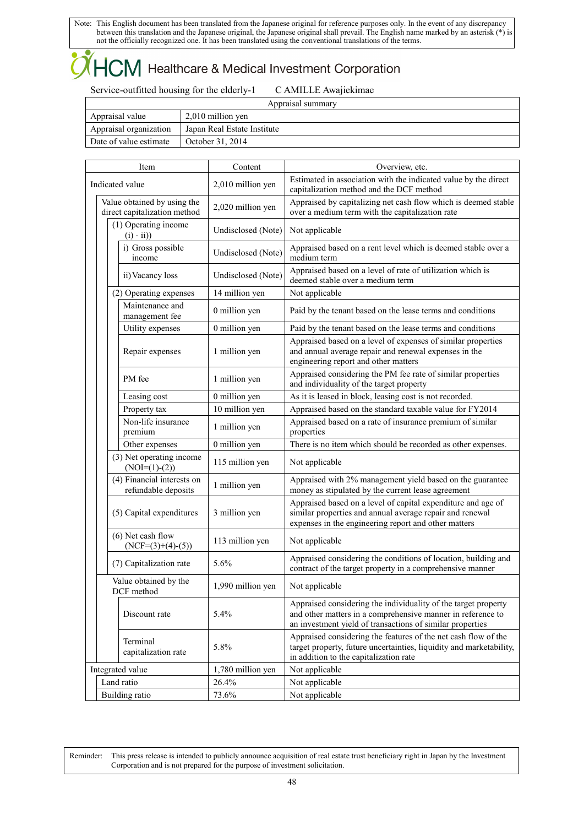## $\mathsf{ICM}\xspace$  Healthcare & Medical Investment Corporation

Service-outfitted housing for the elderly-1 C AMILLE Awajiekimae

 $\overline{1}$ 

| Appraisal summary                    |                             |  |  |  |
|--------------------------------------|-----------------------------|--|--|--|
| 2,010 million yen<br>Appraisal value |                             |  |  |  |
| Appraisal organization               | Japan Real Estate Institute |  |  |  |
| Date of value estimate               | October 31, 2014            |  |  |  |

| Item            |                                                                                                                              |                                            | Content            | Overview, etc.                                                                                                                                                                             |
|-----------------|------------------------------------------------------------------------------------------------------------------------------|--------------------------------------------|--------------------|--------------------------------------------------------------------------------------------------------------------------------------------------------------------------------------------|
| Indicated value |                                                                                                                              |                                            | 2,010 million yen  | Estimated in association with the indicated value by the direct<br>capitalization method and the DCF method                                                                                |
|                 | Value obtained by using the<br>direct capitalization method                                                                  |                                            | 2,020 million yen  | Appraised by capitalizing net cash flow which is deemed stable<br>over a medium term with the capitalization rate                                                                          |
|                 | (1) Operating income<br>$(i) - ii)$                                                                                          |                                            | Undisclosed (Note) | Not applicable                                                                                                                                                                             |
|                 |                                                                                                                              | i) Gross possible<br>income                | Undisclosed (Note) | Appraised based on a rent level which is deemed stable over a<br>medium term                                                                                                               |
|                 |                                                                                                                              | ii) Vacancy loss                           | Undisclosed (Note) | Appraised based on a level of rate of utilization which is<br>deemed stable over a medium term                                                                                             |
|                 |                                                                                                                              | (2) Operating expenses                     | 14 million yen     | Not applicable                                                                                                                                                                             |
|                 |                                                                                                                              | Maintenance and<br>management fee          | 0 million yen      | Paid by the tenant based on the lease terms and conditions                                                                                                                                 |
|                 |                                                                                                                              | Utility expenses                           | 0 million yen      | Paid by the tenant based on the lease terms and conditions                                                                                                                                 |
|                 |                                                                                                                              | Repair expenses                            | 1 million yen      | Appraised based on a level of expenses of similar properties<br>and annual average repair and renewal expenses in the<br>engineering report and other matters                              |
|                 |                                                                                                                              | PM fee                                     | 1 million yen      | Appraised considering the PM fee rate of similar properties<br>and individuality of the target property                                                                                    |
|                 |                                                                                                                              | Leasing cost                               | 0 million yen      | As it is leased in block, leasing cost is not recorded.                                                                                                                                    |
| Property tax    |                                                                                                                              |                                            | 10 million yen     | Appraised based on the standard taxable value for FY2014                                                                                                                                   |
|                 | Non-life insurance<br>premium                                                                                                |                                            | 1 million yen      | Appraised based on a rate of insurance premium of similar<br>properties                                                                                                                    |
|                 |                                                                                                                              | Other expenses                             | 0 million yen      | There is no item which should be recorded as other expenses.                                                                                                                               |
|                 | (3) Net operating income<br>$(NOI=(1)-(2))$<br>(4) Financial interests on<br>refundable deposits<br>(5) Capital expenditures |                                            | 115 million yen    | Not applicable                                                                                                                                                                             |
|                 |                                                                                                                              |                                            | 1 million yen      | Appraised with 2% management yield based on the guarantee<br>money as stipulated by the current lease agreement                                                                            |
|                 |                                                                                                                              |                                            | 3 million yen      | Appraised based on a level of capital expenditure and age of<br>similar properties and annual average repair and renewal<br>expenses in the engineering report and other matters           |
|                 |                                                                                                                              | $(6)$ Net cash flow<br>$(NCF=(3)+(4)-(5))$ | 113 million yen    | Not applicable                                                                                                                                                                             |
|                 | (7) Capitalization rate<br>Value obtained by the<br>DCF method                                                               |                                            | 5.6%               | Appraised considering the conditions of location, building and<br>contract of the target property in a comprehensive manner                                                                |
|                 |                                                                                                                              |                                            | 1,990 million yen  | Not applicable                                                                                                                                                                             |
|                 |                                                                                                                              | Discount rate                              | 5.4%               | Appraised considering the individuality of the target property<br>and other matters in a comprehensive manner in reference to<br>an investment yield of transactions of similar properties |
|                 |                                                                                                                              | Terminal<br>capitalization rate            | 5.8%               | Appraised considering the features of the net cash flow of the<br>target property, future uncertainties, liquidity and marketability,<br>in addition to the capitalization rate            |
|                 |                                                                                                                              | Integrated value                           | 1,780 million yen  | Not applicable                                                                                                                                                                             |
|                 |                                                                                                                              | Land ratio                                 | 26.4%              | Not applicable                                                                                                                                                                             |
|                 | <b>Building</b> ratio                                                                                                        |                                            | 73.6%              | Not applicable                                                                                                                                                                             |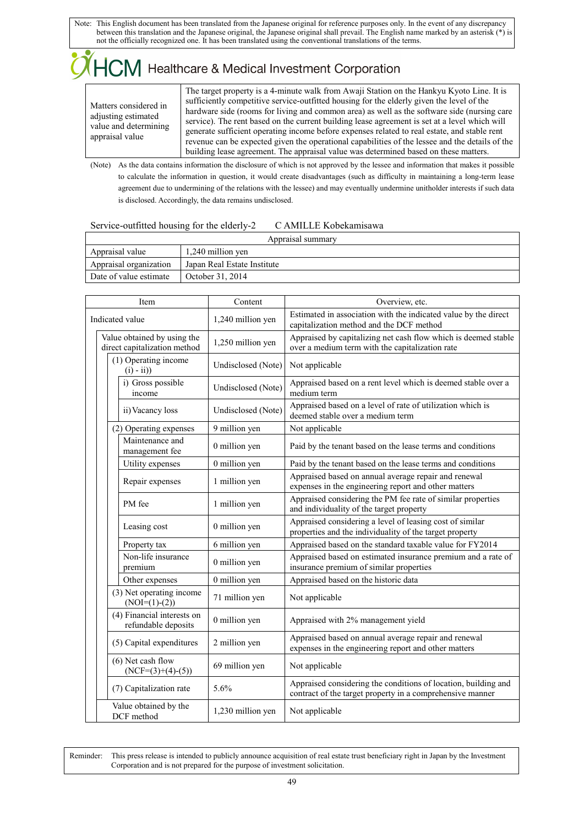### 

Matters considered in adjusting estimated value and determining appraisal value

The target property is a 4-minute walk from Awaji Station on the Hankyu Kyoto Line. It is sufficiently competitive service-outfitted housing for the elderly given the level of the hardware side (rooms for living and common area) as well as the software side (nursing care service). The rent based on the current building lease agreement is set at a level which will generate sufficient operating income before expenses related to real estate, and stable rent revenue can be expected given the operational capabilities of the lessee and the details of the building lease agreement. The appraisal value was determined based on these matters.

(Note) As the data contains information the disclosure of which is not approved by the lessee and information that makes it possible to calculate the information in question, it would create disadvantages (such as difficulty in maintaining a long-term lease agreement due to undermining of the relations with the lessee) and may eventually undermine unitholder interests if such data is disclosed. Accordingly, the data remains undisclosed.

### Service-outfitted housing for the elderly-2 C AMILLE Kobekamisawa

| Appraisal summary                    |                             |  |  |  |  |
|--------------------------------------|-----------------------------|--|--|--|--|
| 1,240 million yen<br>Appraisal value |                             |  |  |  |  |
| Appraisal organization               | Japan Real Estate Institute |  |  |  |  |
| Date of value estimate               | October 31, 2014            |  |  |  |  |

| Item            |                                                                        |                                     | Content            | Overview, etc.                                                                                                              |
|-----------------|------------------------------------------------------------------------|-------------------------------------|--------------------|-----------------------------------------------------------------------------------------------------------------------------|
| Indicated value |                                                                        |                                     | 1,240 million yen  | Estimated in association with the indicated value by the direct<br>capitalization method and the DCF method                 |
|                 | Value obtained by using the<br>direct capitalization method            |                                     | 1,250 million yen  | Appraised by capitalizing net cash flow which is deemed stable<br>over a medium term with the capitalization rate           |
|                 |                                                                        | (1) Operating income<br>$(i) - ii)$ | Undisclosed (Note) | Not applicable                                                                                                              |
|                 |                                                                        | i) Gross possible<br>income         | Undisclosed (Note) | Appraised based on a rent level which is deemed stable over a<br>medium term                                                |
|                 |                                                                        | ii) Vacancy loss                    | Undisclosed (Note) | Appraised based on a level of rate of utilization which is<br>deemed stable over a medium term                              |
|                 |                                                                        | (2) Operating expenses              | 9 million yen      | Not applicable                                                                                                              |
|                 |                                                                        | Maintenance and<br>management fee   | 0 million yen      | Paid by the tenant based on the lease terms and conditions                                                                  |
|                 |                                                                        | Utility expenses                    | 0 million yen      | Paid by the tenant based on the lease terms and conditions                                                                  |
|                 | Repair expenses<br>PM fee<br>Leasing cost<br>Property tax              |                                     | 1 million yen      | Appraised based on annual average repair and renewal<br>expenses in the engineering report and other matters                |
|                 |                                                                        |                                     | 1 million yen      | Appraised considering the PM fee rate of similar properties<br>and individuality of the target property                     |
|                 |                                                                        |                                     | 0 million yen      | Appraised considering a level of leasing cost of similar<br>properties and the individuality of the target property         |
|                 |                                                                        |                                     | 6 million yen      | Appraised based on the standard taxable value for FY2014                                                                    |
|                 |                                                                        | Non-life insurance<br>premium       | 0 million yen      | Appraised based on estimated insurance premium and a rate of<br>insurance premium of similar properties                     |
|                 |                                                                        | Other expenses                      | 0 million yen      | Appraised based on the historic data                                                                                        |
|                 | (3) Net operating income<br>$(NOI=(1)-(2))$                            |                                     | 71 million yen     | Not applicable                                                                                                              |
|                 | (4) Financial interests on<br>refundable deposits                      |                                     | 0 million yen      | Appraised with 2% management yield                                                                                          |
|                 | (5) Capital expenditures<br>$(6)$ Net cash flow<br>$(NCF=(3)+(4)-(5))$ |                                     | 2 million yen      | Appraised based on annual average repair and renewal<br>expenses in the engineering report and other matters                |
|                 |                                                                        |                                     | 69 million yen     | Not applicable                                                                                                              |
|                 | (7) Capitalization rate                                                |                                     | 5.6%               | Appraised considering the conditions of location, building and<br>contract of the target property in a comprehensive manner |
|                 | Value obtained by the<br>DCF method                                    |                                     | 1,230 million yen  | Not applicable                                                                                                              |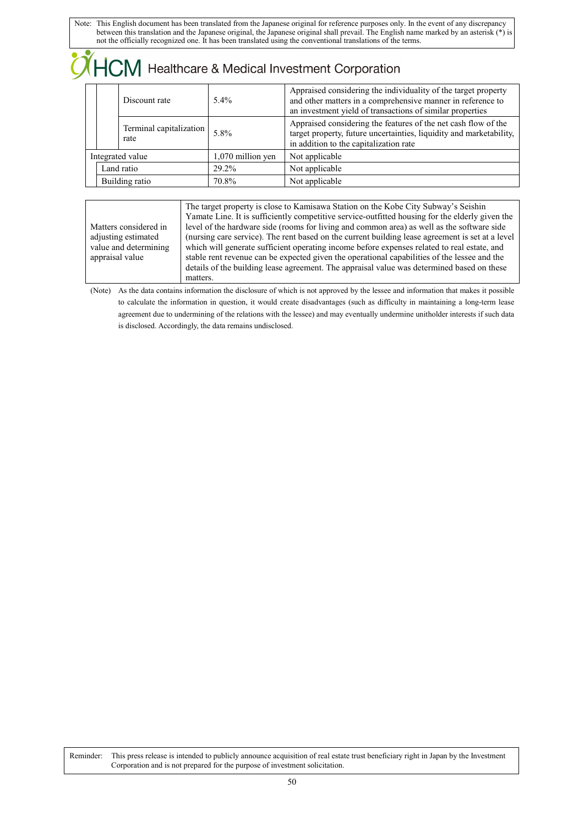|  | <b>HCM</b> Healthcare & Medical Investment Corporation |                                 |                     |                                                                                                                                                                                            |  |
|--|--------------------------------------------------------|---------------------------------|---------------------|--------------------------------------------------------------------------------------------------------------------------------------------------------------------------------------------|--|
|  | Discount rate                                          |                                 | 5.4%                | Appraised considering the individuality of the target property<br>and other matters in a comprehensive manner in reference to<br>an investment yield of transactions of similar properties |  |
|  |                                                        | Terminal capitalization<br>rate | 5.8%                | Appraised considering the features of the net cash flow of the<br>target property, future uncertainties, liquidity and marketability,<br>in addition to the capitalization rate            |  |
|  | Integrated value                                       |                                 | $1,070$ million yen | Not applicable                                                                                                                                                                             |  |
|  | Land ratio<br>Building ratio                           |                                 | $29.2\%$            | Not applicable                                                                                                                                                                             |  |
|  |                                                        |                                 | 70.8%               | Not applicable                                                                                                                                                                             |  |

|                       | The target property is close to Kamisawa Station on the Kobe City Subway's Seishin               |
|-----------------------|--------------------------------------------------------------------------------------------------|
|                       | Yamate Line. It is sufficiently competitive service-outfitted housing for the elderly given the  |
| Matters considered in | level of the hardware side (rooms for living and common area) as well as the software side       |
| adjusting estimated   | (nursing care service). The rent based on the current building lease agreement is set at a level |
| value and determining | which will generate sufficient operating income before expenses related to real estate, and      |
| appraisal value       | stable rent revenue can be expected given the operational capabilities of the lessee and the     |
|                       | details of the building lease agreement. The appraisal value was determined based on these       |
|                       | matters.                                                                                         |

(Note) As the data contains information the disclosure of which is not approved by the lessee and information that makes it possible to calculate the information in question, it would create disadvantages (such as difficulty in maintaining a long-term lease agreement due to undermining of the relations with the lessee) and may eventually undermine unitholder interests if such data is disclosed. Accordingly, the data remains undisclosed.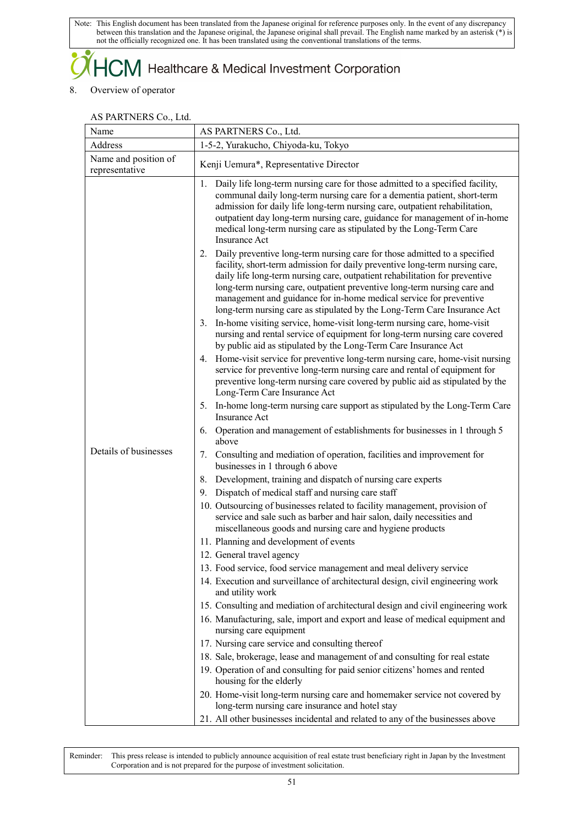### $+C\mathsf{M}$  Healthcare & Medical Investment Corporation

### 8. Overview of operator

### AS PARTNERS Co., Ltd.

| Name                                   | AS PARTNERS Co., Ltd.                                                                                                                                                                                                                                                                                                                                                                                                                                                                                  |  |
|----------------------------------------|--------------------------------------------------------------------------------------------------------------------------------------------------------------------------------------------------------------------------------------------------------------------------------------------------------------------------------------------------------------------------------------------------------------------------------------------------------------------------------------------------------|--|
| Address                                | 1-5-2, Yurakucho, Chiyoda-ku, Tokyo                                                                                                                                                                                                                                                                                                                                                                                                                                                                    |  |
| Name and position of<br>representative | Kenji Uemura*, Representative Director                                                                                                                                                                                                                                                                                                                                                                                                                                                                 |  |
|                                        | 1. Daily life long-term nursing care for those admitted to a specified facility,<br>communal daily long-term nursing care for a dementia patient, short-term<br>admission for daily life long-term nursing care, outpatient rehabilitation,<br>outpatient day long-term nursing care, guidance for management of in-home<br>medical long-term nursing care as stipulated by the Long-Term Care<br><b>Insurance Act</b><br>2. Daily preventive long-term nursing care for those admitted to a specified |  |
|                                        | facility, short-term admission for daily preventive long-term nursing care,<br>daily life long-term nursing care, outpatient rehabilitation for preventive<br>long-term nursing care, outpatient preventive long-term nursing care and<br>management and guidance for in-home medical service for preventive<br>long-term nursing care as stipulated by the Long-Term Care Insurance Act                                                                                                               |  |
|                                        | 3. In-home visiting service, home-visit long-term nursing care, home-visit<br>nursing and rental service of equipment for long-term nursing care covered<br>by public aid as stipulated by the Long-Term Care Insurance Act                                                                                                                                                                                                                                                                            |  |
|                                        | 4. Home-visit service for preventive long-term nursing care, home-visit nursing<br>service for preventive long-term nursing care and rental of equipment for<br>preventive long-term nursing care covered by public aid as stipulated by the<br>Long-Term Care Insurance Act                                                                                                                                                                                                                           |  |
|                                        | 5. In-home long-term nursing care support as stipulated by the Long-Term Care<br><b>Insurance Act</b>                                                                                                                                                                                                                                                                                                                                                                                                  |  |
|                                        | 6. Operation and management of establishments for businesses in 1 through 5<br>above                                                                                                                                                                                                                                                                                                                                                                                                                   |  |
| Details of businesses                  | 7. Consulting and mediation of operation, facilities and improvement for<br>businesses in 1 through 6 above                                                                                                                                                                                                                                                                                                                                                                                            |  |
|                                        | 8. Development, training and dispatch of nursing care experts                                                                                                                                                                                                                                                                                                                                                                                                                                          |  |
|                                        | 9. Dispatch of medical staff and nursing care staff                                                                                                                                                                                                                                                                                                                                                                                                                                                    |  |
|                                        | 10. Outsourcing of businesses related to facility management, provision of<br>service and sale such as barber and hair salon, daily necessities and<br>miscellaneous goods and nursing care and hygiene products                                                                                                                                                                                                                                                                                       |  |
|                                        | 11. Planning and development of events                                                                                                                                                                                                                                                                                                                                                                                                                                                                 |  |
|                                        | 12. General travel agency                                                                                                                                                                                                                                                                                                                                                                                                                                                                              |  |
|                                        | 13. Food service, food service management and meal delivery service                                                                                                                                                                                                                                                                                                                                                                                                                                    |  |
|                                        | 14. Execution and surveillance of architectural design, civil engineering work<br>and utility work                                                                                                                                                                                                                                                                                                                                                                                                     |  |
|                                        | 15. Consulting and mediation of architectural design and civil engineering work                                                                                                                                                                                                                                                                                                                                                                                                                        |  |
|                                        | 16. Manufacturing, sale, import and export and lease of medical equipment and<br>nursing care equipment                                                                                                                                                                                                                                                                                                                                                                                                |  |
|                                        | 17. Nursing care service and consulting thereof                                                                                                                                                                                                                                                                                                                                                                                                                                                        |  |
|                                        | 18. Sale, brokerage, lease and management of and consulting for real estate                                                                                                                                                                                                                                                                                                                                                                                                                            |  |
|                                        | 19. Operation of and consulting for paid senior citizens' homes and rented<br>housing for the elderly                                                                                                                                                                                                                                                                                                                                                                                                  |  |
|                                        | 20. Home-visit long-term nursing care and homemaker service not covered by<br>long-term nursing care insurance and hotel stay                                                                                                                                                                                                                                                                                                                                                                          |  |
|                                        | 21. All other businesses incidental and related to any of the businesses above                                                                                                                                                                                                                                                                                                                                                                                                                         |  |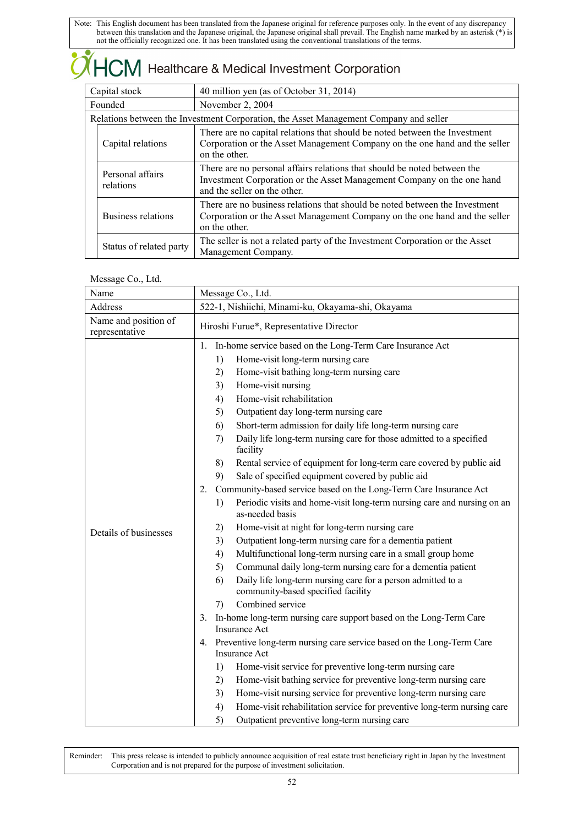| $\sqrt{M}$ Healthcare & Medical Investment Corporation        |                                                                                                                                                                                                  |                                                                                                                                                          |  |  |  |
|---------------------------------------------------------------|--------------------------------------------------------------------------------------------------------------------------------------------------------------------------------------------------|----------------------------------------------------------------------------------------------------------------------------------------------------------|--|--|--|
| Capital stock                                                 |                                                                                                                                                                                                  | 40 million yen (as of October 31, 2014)                                                                                                                  |  |  |  |
| Founded                                                       |                                                                                                                                                                                                  | November 2, 2004                                                                                                                                         |  |  |  |
|                                                               |                                                                                                                                                                                                  | Relations between the Investment Corporation, the Asset Management Company and seller                                                                    |  |  |  |
| Capital relations<br>on the other.                            |                                                                                                                                                                                                  | There are no capital relations that should be noted between the Investment<br>Corporation or the Asset Management Company on the one hand and the seller |  |  |  |
| Personal affairs<br>relations<br>and the seller on the other. |                                                                                                                                                                                                  | There are no personal affairs relations that should be noted between the<br>Investment Corporation or the Asset Management Company on the one hand       |  |  |  |
|                                                               | There are no business relations that should be noted between the Investment<br>Business relations<br>Corporation or the Asset Management Company on the one hand and the seller<br>on the other. |                                                                                                                                                          |  |  |  |
|                                                               | Status of related party                                                                                                                                                                          | The seller is not a related party of the Investment Corporation or the Asset<br>Management Company.                                                      |  |  |  |

### Message Co., Ltd.

| Name                                   | Message Co., Ltd.                                 |                                                                                                    |  |
|----------------------------------------|---------------------------------------------------|----------------------------------------------------------------------------------------------------|--|
| Address                                | 522-1, Nishiichi, Minami-ku, Okayama-shi, Okayama |                                                                                                    |  |
| Name and position of<br>representative | Hiroshi Furue*, Representative Director           |                                                                                                    |  |
|                                        | 1.                                                | In-home service based on the Long-Term Care Insurance Act                                          |  |
|                                        | 1)                                                | Home-visit long-term nursing care                                                                  |  |
|                                        | 2)                                                | Home-visit bathing long-term nursing care                                                          |  |
|                                        | 3)                                                | Home-visit nursing                                                                                 |  |
|                                        | 4)                                                | Home-visit rehabilitation                                                                          |  |
|                                        | 5)                                                | Outpatient day long-term nursing care                                                              |  |
|                                        | 6)                                                | Short-term admission for daily life long-term nursing care                                         |  |
|                                        | 7)                                                | Daily life long-term nursing care for those admitted to a specified<br>facility                    |  |
|                                        | 8)                                                | Rental service of equipment for long-term care covered by public aid                               |  |
|                                        | 9)                                                | Sale of specified equipment covered by public aid                                                  |  |
|                                        | 2.                                                | Community-based service based on the Long-Term Care Insurance Act                                  |  |
|                                        | 1)                                                | Periodic visits and home-visit long-term nursing care and nursing on an<br>as-needed basis         |  |
| Details of businesses                  | 2)                                                | Home-visit at night for long-term nursing care                                                     |  |
|                                        | 3)                                                | Outpatient long-term nursing care for a dementia patient                                           |  |
|                                        | 4)                                                | Multifunctional long-term nursing care in a small group home                                       |  |
|                                        | 5)                                                | Communal daily long-term nursing care for a dementia patient                                       |  |
|                                        | 6)                                                | Daily life long-term nursing care for a person admitted to a<br>community-based specified facility |  |
|                                        | 7)                                                | Combined service                                                                                   |  |
|                                        | 3.                                                | In-home long-term nursing care support based on the Long-Term Care<br><b>Insurance Act</b>         |  |
|                                        |                                                   | 4. Preventive long-term nursing care service based on the Long-Term Care                           |  |
|                                        |                                                   | Insurance Act                                                                                      |  |
|                                        | 1)                                                | Home-visit service for preventive long-term nursing care                                           |  |
|                                        | 2)                                                | Home-visit bathing service for preventive long-term nursing care                                   |  |
|                                        | 3)                                                | Home-visit nursing service for preventive long-term nursing care                                   |  |
|                                        | 4)                                                | Home-visit rehabilitation service for preventive long-term nursing care                            |  |
|                                        | 5)                                                | Outpatient preventive long-term nursing care                                                       |  |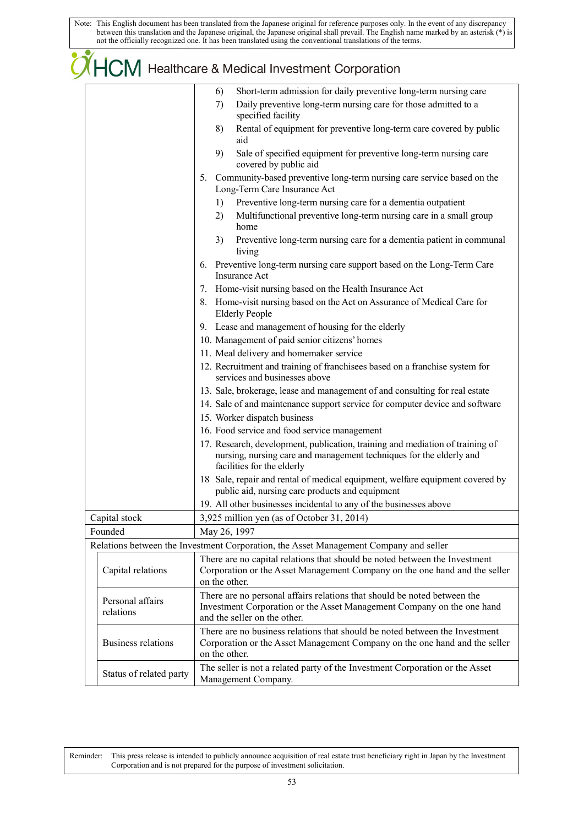# OHCM Healthcare & Medical Investment Corporation

|                               | Short-term admission for daily preventive long-term nursing care<br>6)                                                                                                             |
|-------------------------------|------------------------------------------------------------------------------------------------------------------------------------------------------------------------------------|
|                               | Daily preventive long-term nursing care for those admitted to a<br>7)<br>specified facility                                                                                        |
|                               | Rental of equipment for preventive long-term care covered by public<br>8)<br>aid                                                                                                   |
|                               | Sale of specified equipment for preventive long-term nursing care<br>9)<br>covered by public aid                                                                                   |
|                               | 5. Community-based preventive long-term nursing care service based on the                                                                                                          |
|                               | Long-Term Care Insurance Act                                                                                                                                                       |
|                               | Preventive long-term nursing care for a dementia outpatient<br>1)                                                                                                                  |
|                               | Multifunctional preventive long-term nursing care in a small group<br>2)<br>home                                                                                                   |
|                               | Preventive long-term nursing care for a dementia patient in communal<br>3)<br>living                                                                                               |
|                               | 6. Preventive long-term nursing care support based on the Long-Term Care<br><b>Insurance Act</b>                                                                                   |
|                               | 7. Home-visit nursing based on the Health Insurance Act                                                                                                                            |
|                               | 8. Home-visit nursing based on the Act on Assurance of Medical Care for<br><b>Elderly People</b>                                                                                   |
|                               | 9. Lease and management of housing for the elderly                                                                                                                                 |
|                               | 10. Management of paid senior citizens' homes                                                                                                                                      |
|                               | 11. Meal delivery and homemaker service                                                                                                                                            |
|                               | 12. Recruitment and training of franchisees based on a franchise system for<br>services and businesses above                                                                       |
|                               | 13. Sale, brokerage, lease and management of and consulting for real estate                                                                                                        |
|                               | 14. Sale of and maintenance support service for computer device and software                                                                                                       |
|                               | 15. Worker dispatch business                                                                                                                                                       |
|                               | 16. Food service and food service management                                                                                                                                       |
|                               | 17. Research, development, publication, training and mediation of training of<br>nursing, nursing care and management techniques for the elderly and<br>facilities for the elderly |
|                               | 18 Sale, repair and rental of medical equipment, welfare equipment covered by<br>public aid, nursing care products and equipment                                                   |
|                               | 19. All other businesses incidental to any of the businesses above                                                                                                                 |
| Capital stock                 | 3,925 million yen (as of October 31, 2014)                                                                                                                                         |
| Founded                       | May 26, 1997                                                                                                                                                                       |
|                               | Relations between the Investment Corporation, the Asset Management Company and seller                                                                                              |
|                               | There are no capital relations that should be noted between the Investment                                                                                                         |
| Capital relations             | Corporation or the Asset Management Company on the one hand and the seller<br>on the other.                                                                                        |
| Personal affairs<br>relations | There are no personal affairs relations that should be noted between the<br>Investment Corporation or the Asset Management Company on the one hand<br>and the seller on the other. |
| <b>Business relations</b>     | There are no business relations that should be noted between the Investment<br>Corporation or the Asset Management Company on the one hand and the seller<br>on the other.         |
| Status of related party       | The seller is not a related party of the Investment Corporation or the Asset<br>Management Company.                                                                                |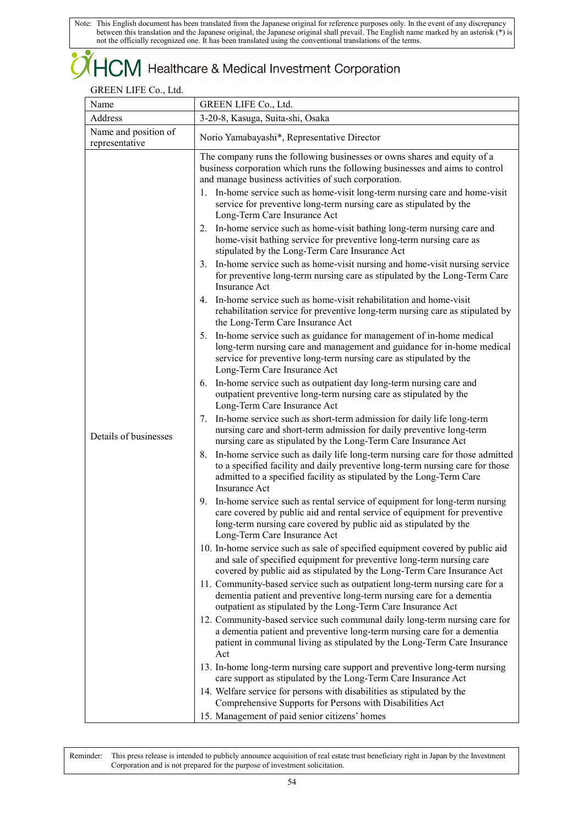### $\dag$  Healthcare & Medical Investment Corporation

### GREEN LIFE Co., Ltd.

| Name                                   | GREEN LIFE Co., Ltd.                                                                                                                                                                                                                                                                                                                                                                                 |
|----------------------------------------|------------------------------------------------------------------------------------------------------------------------------------------------------------------------------------------------------------------------------------------------------------------------------------------------------------------------------------------------------------------------------------------------------|
| Address                                | 3-20-8, Kasuga, Suita-shi, Osaka                                                                                                                                                                                                                                                                                                                                                                     |
| Name and position of<br>representative | Norio Yamabayashi*, Representative Director                                                                                                                                                                                                                                                                                                                                                          |
|                                        | The company runs the following businesses or owns shares and equity of a<br>business corporation which runs the following businesses and aims to control<br>and manage business activities of such corporation.<br>1. In-home service such as home-visit long-term nursing care and home-visit<br>service for preventive long-term nursing care as stipulated by the<br>Long-Term Care Insurance Act |
|                                        | 2. In-home service such as home-visit bathing long-term nursing care and<br>home-visit bathing service for preventive long-term nursing care as<br>stipulated by the Long-Term Care Insurance Act                                                                                                                                                                                                    |
|                                        | 3. In-home service such as home-visit nursing and home-visit nursing service<br>for preventive long-term nursing care as stipulated by the Long-Term Care<br><b>Insurance Act</b>                                                                                                                                                                                                                    |
|                                        | 4. In-home service such as home-visit rehabilitation and home-visit<br>rehabilitation service for preventive long-term nursing care as stipulated by<br>the Long-Term Care Insurance Act                                                                                                                                                                                                             |
|                                        | 5. In-home service such as guidance for management of in-home medical<br>long-term nursing care and management and guidance for in-home medical<br>service for preventive long-term nursing care as stipulated by the<br>Long-Term Care Insurance Act                                                                                                                                                |
|                                        | 6. In-home service such as outpatient day long-term nursing care and<br>outpatient preventive long-term nursing care as stipulated by the<br>Long-Term Care Insurance Act                                                                                                                                                                                                                            |
| Details of businesses                  | 7. In-home service such as short-term admission for daily life long-term<br>nursing care and short-term admission for daily preventive long-term<br>nursing care as stipulated by the Long-Term Care Insurance Act                                                                                                                                                                                   |
|                                        | 8. In-home service such as daily life long-term nursing care for those admitted<br>to a specified facility and daily preventive long-term nursing care for those<br>admitted to a specified facility as stipulated by the Long-Term Care<br><b>Insurance Act</b>                                                                                                                                     |
|                                        | In-home service such as rental service of equipment for long-term nursing<br>9.<br>care covered by public aid and rental service of equipment for preventive<br>long-term nursing care covered by public aid as stipulated by the<br>Long-Term Care Insurance Act                                                                                                                                    |
|                                        | 10. In-home service such as sale of specified equipment covered by public aid<br>and sale of specified equipment for preventive long-term nursing care<br>covered by public aid as stipulated by the Long-Term Care Insurance Act                                                                                                                                                                    |
|                                        | 11. Community-based service such as outpatient long-term nursing care for a<br>dementia patient and preventive long-term nursing care for a dementia<br>outpatient as stipulated by the Long-Term Care Insurance Act                                                                                                                                                                                 |
|                                        | 12. Community-based service such communal daily long-term nursing care for<br>a dementia patient and preventive long-term nursing care for a dementia<br>patient in communal living as stipulated by the Long-Term Care Insurance<br>Act                                                                                                                                                             |
|                                        | 13. In-home long-term nursing care support and preventive long-term nursing<br>care support as stipulated by the Long-Term Care Insurance Act                                                                                                                                                                                                                                                        |
|                                        | 14. Welfare service for persons with disabilities as stipulated by the<br>Comprehensive Supports for Persons with Disabilities Act<br>15. Management of paid senior citizens' homes                                                                                                                                                                                                                  |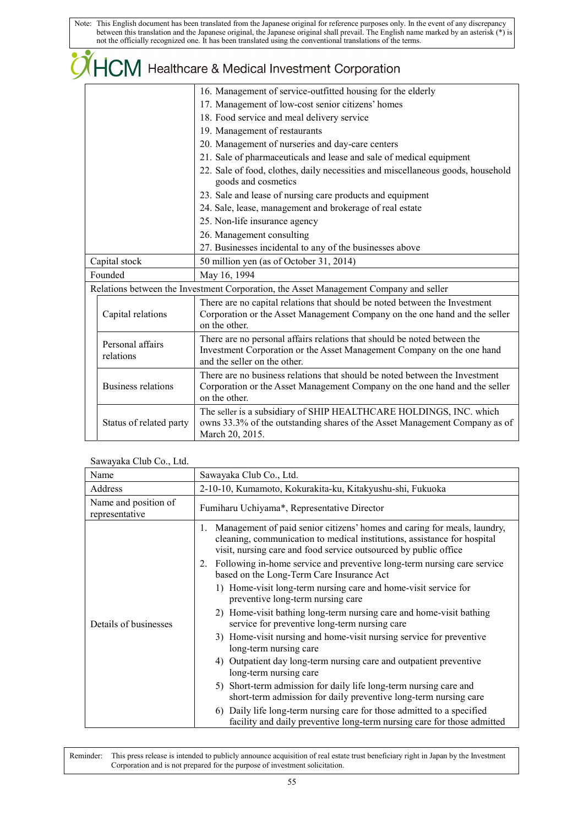|                                                          | COHCM Healthcare & Medical Investment Corporation                                                                                                                                  |  |  |  |  |  |  |
|----------------------------------------------------------|------------------------------------------------------------------------------------------------------------------------------------------------------------------------------------|--|--|--|--|--|--|
|                                                          | 16. Management of service-outfitted housing for the elderly                                                                                                                        |  |  |  |  |  |  |
|                                                          | 17. Management of low-cost senior citizens' homes                                                                                                                                  |  |  |  |  |  |  |
|                                                          | 18. Food service and meal delivery service                                                                                                                                         |  |  |  |  |  |  |
|                                                          | 19. Management of restaurants                                                                                                                                                      |  |  |  |  |  |  |
|                                                          | 20. Management of nurseries and day-care centers                                                                                                                                   |  |  |  |  |  |  |
|                                                          | 21. Sale of pharmaceuticals and lease and sale of medical equipment                                                                                                                |  |  |  |  |  |  |
|                                                          | 22. Sale of food, clothes, daily necessities and miscellaneous goods, household<br>goods and cosmetics                                                                             |  |  |  |  |  |  |
|                                                          | 23. Sale and lease of nursing care products and equipment                                                                                                                          |  |  |  |  |  |  |
|                                                          | 24. Sale, lease, management and brokerage of real estate                                                                                                                           |  |  |  |  |  |  |
|                                                          | 25. Non-life insurance agency                                                                                                                                                      |  |  |  |  |  |  |
|                                                          | 26. Management consulting                                                                                                                                                          |  |  |  |  |  |  |
| 27. Businesses incidental to any of the businesses above |                                                                                                                                                                                    |  |  |  |  |  |  |
| Capital stock                                            | 50 million yen (as of October 31, 2014)                                                                                                                                            |  |  |  |  |  |  |
| Founded                                                  | May 16, 1994                                                                                                                                                                       |  |  |  |  |  |  |
|                                                          | Relations between the Investment Corporation, the Asset Management Company and seller                                                                                              |  |  |  |  |  |  |
| Capital relations                                        | There are no capital relations that should be noted between the Investment<br>Corporation or the Asset Management Company on the one hand and the seller<br>on the other.          |  |  |  |  |  |  |
| Personal affairs<br>relations                            | There are no personal affairs relations that should be noted between the<br>Investment Corporation or the Asset Management Company on the one hand<br>and the seller on the other. |  |  |  |  |  |  |
| <b>Business relations</b>                                | There are no business relations that should be noted between the Investment<br>Corporation or the Asset Management Company on the one hand and the seller<br>on the other.         |  |  |  |  |  |  |
| Status of related party                                  | The seller is a subsidiary of SHIP HEALTHCARE HOLDINGS, INC. which<br>owns 33.3% of the outstanding shares of the Asset Management Company as of<br>March 20, 2015.                |  |  |  |  |  |  |

### Sawayaka Club Co., Ltd.

| Name                                   | Sawayaka Club Co., Ltd.                                                                                                                                                                                                                                                                                                                                                                                                      |  |  |  |  |  |  |  |
|----------------------------------------|------------------------------------------------------------------------------------------------------------------------------------------------------------------------------------------------------------------------------------------------------------------------------------------------------------------------------------------------------------------------------------------------------------------------------|--|--|--|--|--|--|--|
| Address                                | 2-10-10, Kumamoto, Kokurakita-ku, Kitakyushu-shi, Fukuoka                                                                                                                                                                                                                                                                                                                                                                    |  |  |  |  |  |  |  |
| Name and position of<br>representative | Fumiharu Uchiyama*, Representative Director                                                                                                                                                                                                                                                                                                                                                                                  |  |  |  |  |  |  |  |
|                                        | Management of paid senior citizens' homes and caring for meals, laundry,<br>1.<br>cleaning, communication to medical institutions, assistance for hospital<br>visit, nursing care and food service outsourced by public office<br>2. Following in-home service and preventive long-term nursing care service<br>based on the Long-Term Care Insurance Act<br>1) Home-visit long-term nursing care and home-visit service for |  |  |  |  |  |  |  |
| Details of businesses                  | preventive long-term nursing care<br>2) Home-visit bathing long-term nursing care and home-visit bathing<br>service for preventive long-term nursing care<br>3) Home-visit nursing and home-visit nursing service for preventive<br>long-term nursing care                                                                                                                                                                   |  |  |  |  |  |  |  |
|                                        | 4) Outpatient day long-term nursing care and outpatient preventive<br>long-term nursing care<br>5) Short-term admission for daily life long-term nursing care and                                                                                                                                                                                                                                                            |  |  |  |  |  |  |  |
|                                        | short-term admission for daily preventive long-term nursing care<br>6) Daily life long-term nursing care for those admitted to a specified<br>facility and daily preventive long-term nursing care for those admitted                                                                                                                                                                                                        |  |  |  |  |  |  |  |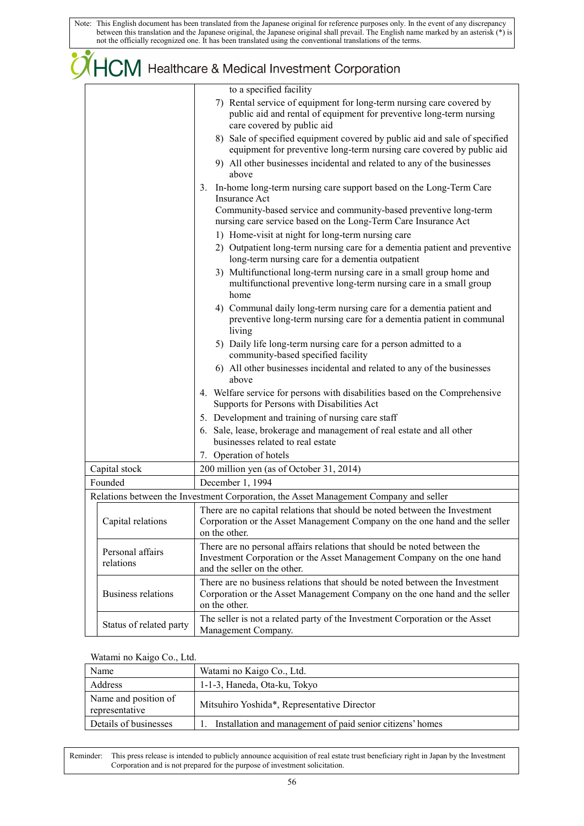|                               | $\mathcal{O}$ $\mathsf{HCM}$ Healthcare & Medical Investment Corporation                                                                                                                                                                                                                                                                                                                                                                                                                                                                                                                                                                                                                                                                                                                                                                                                                                                                                                                                                                                                                                                                                                                                                                                                                                                                                                                                                                                                                                                                                                                                                                                                          |  |  |  |  |  |
|-------------------------------|-----------------------------------------------------------------------------------------------------------------------------------------------------------------------------------------------------------------------------------------------------------------------------------------------------------------------------------------------------------------------------------------------------------------------------------------------------------------------------------------------------------------------------------------------------------------------------------------------------------------------------------------------------------------------------------------------------------------------------------------------------------------------------------------------------------------------------------------------------------------------------------------------------------------------------------------------------------------------------------------------------------------------------------------------------------------------------------------------------------------------------------------------------------------------------------------------------------------------------------------------------------------------------------------------------------------------------------------------------------------------------------------------------------------------------------------------------------------------------------------------------------------------------------------------------------------------------------------------------------------------------------------------------------------------------------|--|--|--|--|--|
|                               | to a specified facility<br>7) Rental service of equipment for long-term nursing care covered by<br>public aid and rental of equipment for preventive long-term nursing<br>care covered by public aid<br>8) Sale of specified equipment covered by public aid and sale of specified<br>equipment for preventive long-term nursing care covered by public aid<br>9) All other businesses incidental and related to any of the businesses<br>above<br>3. In-home long-term nursing care support based on the Long-Term Care<br>Insurance Act<br>Community-based service and community-based preventive long-term<br>nursing care service based on the Long-Term Care Insurance Act<br>1) Home-visit at night for long-term nursing care<br>2) Outpatient long-term nursing care for a dementia patient and preventive<br>long-term nursing care for a dementia outpatient<br>3) Multifunctional long-term nursing care in a small group home and<br>multifunctional preventive long-term nursing care in a small group<br>home<br>4) Communal daily long-term nursing care for a dementia patient and<br>preventive long-term nursing care for a dementia patient in communal<br>living<br>5) Daily life long-term nursing care for a person admitted to a<br>community-based specified facility<br>6) All other businesses incidental and related to any of the businesses<br>above<br>4. Welfare service for persons with disabilities based on the Comprehensive<br>Supports for Persons with Disabilities Act<br>5. Development and training of nursing care staff<br>6. Sale, lease, brokerage and management of real estate and all other<br>businesses related to real estate |  |  |  |  |  |
|                               | 7. Operation of hotels                                                                                                                                                                                                                                                                                                                                                                                                                                                                                                                                                                                                                                                                                                                                                                                                                                                                                                                                                                                                                                                                                                                                                                                                                                                                                                                                                                                                                                                                                                                                                                                                                                                            |  |  |  |  |  |
| Capital stock<br>Founded      | 200 million yen (as of October 31, 2014)<br>December 1, 1994                                                                                                                                                                                                                                                                                                                                                                                                                                                                                                                                                                                                                                                                                                                                                                                                                                                                                                                                                                                                                                                                                                                                                                                                                                                                                                                                                                                                                                                                                                                                                                                                                      |  |  |  |  |  |
|                               | Relations between the Investment Corporation, the Asset Management Company and seller                                                                                                                                                                                                                                                                                                                                                                                                                                                                                                                                                                                                                                                                                                                                                                                                                                                                                                                                                                                                                                                                                                                                                                                                                                                                                                                                                                                                                                                                                                                                                                                             |  |  |  |  |  |
| Capital relations             | There are no capital relations that should be noted between the Investment<br>Corporation or the Asset Management Company on the one hand and the seller<br>on the other.                                                                                                                                                                                                                                                                                                                                                                                                                                                                                                                                                                                                                                                                                                                                                                                                                                                                                                                                                                                                                                                                                                                                                                                                                                                                                                                                                                                                                                                                                                         |  |  |  |  |  |
| Personal affairs<br>relations | There are no personal affairs relations that should be noted between the<br>Investment Corporation or the Asset Management Company on the one hand<br>and the seller on the other.                                                                                                                                                                                                                                                                                                                                                                                                                                                                                                                                                                                                                                                                                                                                                                                                                                                                                                                                                                                                                                                                                                                                                                                                                                                                                                                                                                                                                                                                                                |  |  |  |  |  |
| <b>Business relations</b>     | There are no business relations that should be noted between the Investment<br>Corporation or the Asset Management Company on the one hand and the seller<br>on the other.                                                                                                                                                                                                                                                                                                                                                                                                                                                                                                                                                                                                                                                                                                                                                                                                                                                                                                                                                                                                                                                                                                                                                                                                                                                                                                                                                                                                                                                                                                        |  |  |  |  |  |
| Status of related party       | The seller is not a related party of the Investment Corporation or the Asset<br>Management Company.                                                                                                                                                                                                                                                                                                                                                                                                                                                                                                                                                                                                                                                                                                                                                                                                                                                                                                                                                                                                                                                                                                                                                                                                                                                                                                                                                                                                                                                                                                                                                                               |  |  |  |  |  |

### Watami no Kaigo Co., Ltd.

| Name                                   | Watami no Kaigo Co., Ltd.                                  |
|----------------------------------------|------------------------------------------------------------|
| Address                                | 1-1-3, Haneda, Ota-ku, Tokyo                               |
| Name and position of<br>representative | Mitsuhiro Yoshida*, Representative Director                |
| Details of businesses                  | Installation and management of paid senior citizens' homes |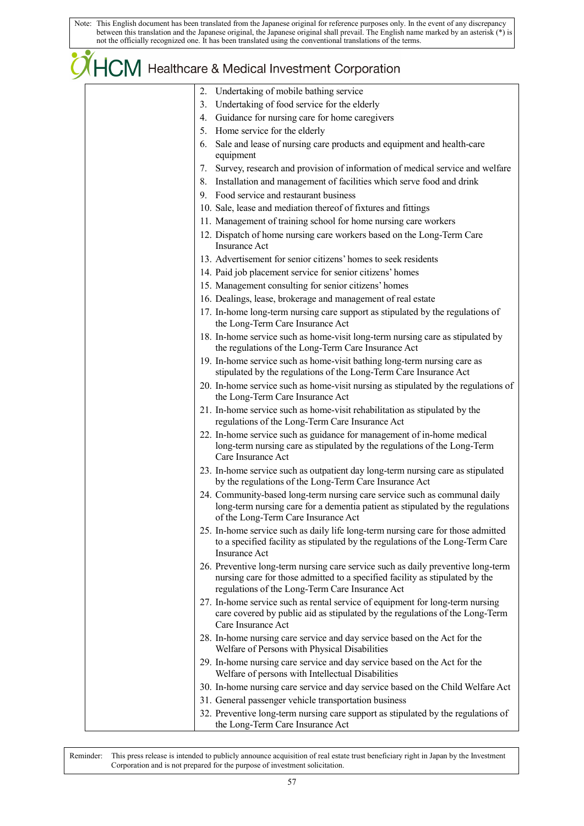# OHCM Healthcare & Medical Investment Corporation

| 2. Undertaking of mobile bathing service                                                                                                                                                                            |
|---------------------------------------------------------------------------------------------------------------------------------------------------------------------------------------------------------------------|
| 3. Undertaking of food service for the elderly                                                                                                                                                                      |
| 4. Guidance for nursing care for home caregivers                                                                                                                                                                    |
| 5. Home service for the elderly                                                                                                                                                                                     |
| Sale and lease of nursing care products and equipment and health-care<br>6.<br>equipment                                                                                                                            |
| Survey, research and provision of information of medical service and welfare<br>7.                                                                                                                                  |
| 8. Installation and management of facilities which serve food and drink                                                                                                                                             |
| 9. Food service and restaurant business                                                                                                                                                                             |
| 10. Sale, lease and mediation thereof of fixtures and fittings                                                                                                                                                      |
| 11. Management of training school for home nursing care workers                                                                                                                                                     |
| 12. Dispatch of home nursing care workers based on the Long-Term Care<br><b>Insurance Act</b>                                                                                                                       |
| 13. Advertisement for senior citizens' homes to seek residents                                                                                                                                                      |
| 14. Paid job placement service for senior citizens' homes                                                                                                                                                           |
| 15. Management consulting for senior citizens' homes                                                                                                                                                                |
| 16. Dealings, lease, brokerage and management of real estate                                                                                                                                                        |
| 17. In-home long-term nursing care support as stipulated by the regulations of<br>the Long-Term Care Insurance Act                                                                                                  |
| 18. In-home service such as home-visit long-term nursing care as stipulated by<br>the regulations of the Long-Term Care Insurance Act                                                                               |
| 19. In-home service such as home-visit bathing long-term nursing care as<br>stipulated by the regulations of the Long-Term Care Insurance Act                                                                       |
| 20. In-home service such as home-visit nursing as stipulated by the regulations of<br>the Long-Term Care Insurance Act                                                                                              |
| 21. In-home service such as home-visit rehabilitation as stipulated by the<br>regulations of the Long-Term Care Insurance Act                                                                                       |
| 22. In-home service such as guidance for management of in-home medical<br>long-term nursing care as stipulated by the regulations of the Long-Term<br>Care Insurance Act                                            |
| 23. In-home service such as outpatient day long-term nursing care as stipulated<br>by the regulations of the Long-Term Care Insurance Act                                                                           |
| 24. Community-based long-term nursing care service such as communal daily<br>long-term nursing care for a dementia patient as stipulated by the regulations<br>of the Long-Term Care Insurance Act                  |
| 25. In-home service such as daily life long-term nursing care for those admitted<br>to a specified facility as stipulated by the regulations of the Long-Term Care<br><b>Insurance Act</b>                          |
| 26. Preventive long-term nursing care service such as daily preventive long-term<br>nursing care for those admitted to a specified facility as stipulated by the<br>regulations of the Long-Term Care Insurance Act |
| 27. In-home service such as rental service of equipment for long-term nursing<br>care covered by public aid as stipulated by the regulations of the Long-Term<br>Care Insurance Act                                 |
| 28. In-home nursing care service and day service based on the Act for the<br>Welfare of Persons with Physical Disabilities                                                                                          |
| 29. In-home nursing care service and day service based on the Act for the<br>Welfare of persons with Intellectual Disabilities                                                                                      |
| 30. In-home nursing care service and day service based on the Child Welfare Act                                                                                                                                     |
| 31. General passenger vehicle transportation business                                                                                                                                                               |
| 22 Deparative long term pursing ears support as stipulated by the regulations of                                                                                                                                    |

32. Preventive long-term nursing care support as stipulated by the regulations of the Long-Term Care Insurance Act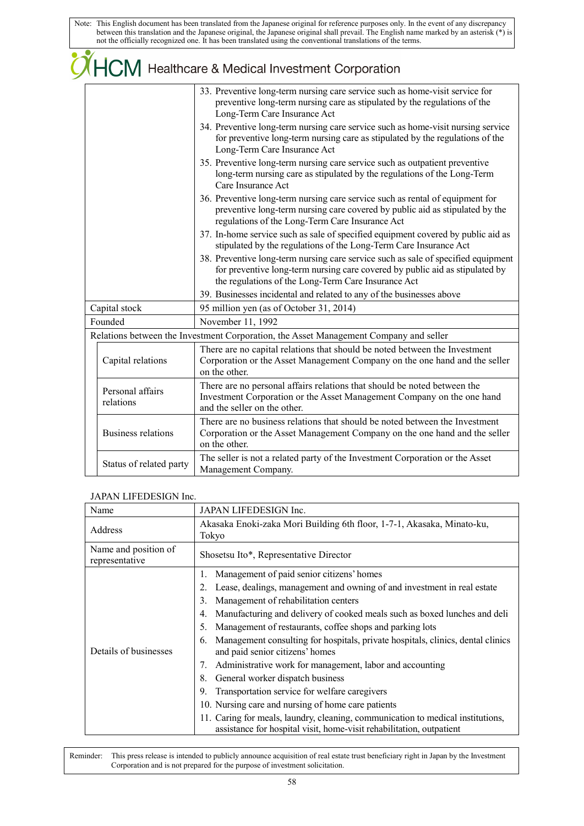|                               | COM Healthcare & Medical Investment Corporation                                                                                                                                                                          |  |  |  |  |  |  |
|-------------------------------|--------------------------------------------------------------------------------------------------------------------------------------------------------------------------------------------------------------------------|--|--|--|--|--|--|
|                               | 33. Preventive long-term nursing care service such as home-visit service for<br>preventive long-term nursing care as stipulated by the regulations of the<br>Long-Term Care Insurance Act                                |  |  |  |  |  |  |
|                               | 34. Preventive long-term nursing care service such as home-visit nursing service<br>for preventive long-term nursing care as stipulated by the regulations of the<br>Long-Term Care Insurance Act                        |  |  |  |  |  |  |
|                               | 35. Preventive long-term nursing care service such as outpatient preventive<br>long-term nursing care as stipulated by the regulations of the Long-Term<br>Care Insurance Act                                            |  |  |  |  |  |  |
|                               | 36. Preventive long-term nursing care service such as rental of equipment for<br>preventive long-term nursing care covered by public aid as stipulated by the<br>regulations of the Long-Term Care Insurance Act         |  |  |  |  |  |  |
|                               | 37. In-home service such as sale of specified equipment covered by public aid as<br>stipulated by the regulations of the Long-Term Care Insurance Act                                                                    |  |  |  |  |  |  |
|                               | 38. Preventive long-term nursing care service such as sale of specified equipment<br>for preventive long-term nursing care covered by public aid as stipulated by<br>the regulations of the Long-Term Care Insurance Act |  |  |  |  |  |  |
|                               | 39. Businesses incidental and related to any of the businesses above                                                                                                                                                     |  |  |  |  |  |  |
| Capital stock                 | 95 million yen (as of October 31, 2014)                                                                                                                                                                                  |  |  |  |  |  |  |
| Founded                       | November 11, 1992                                                                                                                                                                                                        |  |  |  |  |  |  |
|                               | Relations between the Investment Corporation, the Asset Management Company and seller                                                                                                                                    |  |  |  |  |  |  |
| Capital relations             | There are no capital relations that should be noted between the Investment<br>Corporation or the Asset Management Company on the one hand and the seller<br>on the other.                                                |  |  |  |  |  |  |
| Personal affairs<br>relations | There are no personal affairs relations that should be noted between the<br>Investment Corporation or the Asset Management Company on the one hand<br>and the seller on the other.                                       |  |  |  |  |  |  |
| <b>Business relations</b>     | There are no business relations that should be noted between the Investment<br>Corporation or the Asset Management Company on the one hand and the seller<br>on the other.                                               |  |  |  |  |  |  |
| Status of related party       | The seller is not a related party of the Investment Corporation or the Asset<br>Management Company.                                                                                                                      |  |  |  |  |  |  |

### JAPAN LIFEDESIGN Inc.

| Name                                   | <b>JAPAN LIFEDESIGN Inc.</b>                                                                                                                            |
|----------------------------------------|---------------------------------------------------------------------------------------------------------------------------------------------------------|
| Address                                | Akasaka Enoki-zaka Mori Building 6th floor, 1-7-1, Akasaka, Minato-ku,<br>Tokyo                                                                         |
| Name and position of<br>representative | Shosetsu Ito*, Representative Director                                                                                                                  |
|                                        | Management of paid senior citizens' homes                                                                                                               |
|                                        | Lease, dealings, management and owning of and investment in real estate<br>2.                                                                           |
|                                        | Management of rehabilitation centers<br>3.                                                                                                              |
|                                        | Manufacturing and delivery of cooked meals such as boxed lunches and deli<br>4.                                                                         |
|                                        | Management of restaurants, coffee shops and parking lots<br>5.                                                                                          |
| Details of businesses                  | Management consulting for hospitals, private hospitals, clinics, dental clinics<br>6.<br>and paid senior citizens' homes                                |
|                                        | Administrative work for management, labor and accounting<br>7.                                                                                          |
|                                        | 8.<br>General worker dispatch business                                                                                                                  |
|                                        | 9.<br>Transportation service for welfare caregivers                                                                                                     |
|                                        | 10. Nursing care and nursing of home care patients                                                                                                      |
|                                        | 11. Caring for meals, laundry, cleaning, communication to medical institutions,<br>assistance for hospital visit, home-visit rehabilitation, outpatient |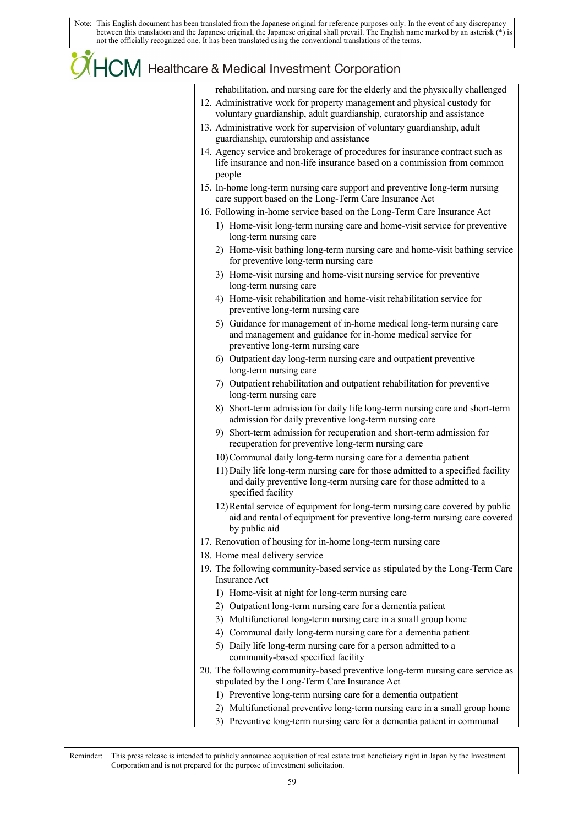# **CHCM** Healthcare & Medical Investment Corporation

| rehabilitation, and nursing care for the elderly and the physically challenged                                                                                                |
|-------------------------------------------------------------------------------------------------------------------------------------------------------------------------------|
| 12. Administrative work for property management and physical custody for<br>voluntary guardianship, adult guardianship, curatorship and assistance                            |
|                                                                                                                                                                               |
| 13. Administrative work for supervision of voluntary guardianship, adult<br>guardianship, curatorship and assistance                                                          |
| 14. Agency service and brokerage of procedures for insurance contract such as<br>life insurance and non-life insurance based on a commission from common<br>people            |
| 15. In-home long-term nursing care support and preventive long-term nursing<br>care support based on the Long-Term Care Insurance Act                                         |
| 16. Following in-home service based on the Long-Term Care Insurance Act                                                                                                       |
| 1) Home-visit long-term nursing care and home-visit service for preventive<br>long-term nursing care                                                                          |
| 2) Home-visit bathing long-term nursing care and home-visit bathing service<br>for preventive long-term nursing care                                                          |
| 3) Home-visit nursing and home-visit nursing service for preventive<br>long-term nursing care                                                                                 |
| 4) Home-visit rehabilitation and home-visit rehabilitation service for<br>preventive long-term nursing care                                                                   |
| 5) Guidance for management of in-home medical long-term nursing care<br>and management and guidance for in-home medical service for<br>preventive long-term nursing care      |
| 6) Outpatient day long-term nursing care and outpatient preventive<br>long-term nursing care                                                                                  |
| 7) Outpatient rehabilitation and outpatient rehabilitation for preventive<br>long-term nursing care                                                                           |
| 8) Short-term admission for daily life long-term nursing care and short-term<br>admission for daily preventive long-term nursing care                                         |
| 9) Short-term admission for recuperation and short-term admission for<br>recuperation for preventive long-term nursing care                                                   |
| 10) Communal daily long-term nursing care for a dementia patient                                                                                                              |
| 11) Daily life long-term nursing care for those admitted to a specified facility<br>and daily preventive long-term nursing care for those admitted to a<br>specified facility |
| 12) Rental service of equipment for long-term nursing care covered by public<br>aid and rental of equipment for preventive long-term nursing care covered<br>by public aid    |
| 17. Renovation of housing for in-home long-term nursing care                                                                                                                  |
| 18. Home meal delivery service                                                                                                                                                |
| 19. The following community-based service as stipulated by the Long-Term Care<br><b>Insurance Act</b>                                                                         |
| 1) Home-visit at night for long-term nursing care                                                                                                                             |
| 2) Outpatient long-term nursing care for a dementia patient                                                                                                                   |
| 3) Multifunctional long-term nursing care in a small group home                                                                                                               |
| 4) Communal daily long-term nursing care for a dementia patient                                                                                                               |
| 5) Daily life long-term nursing care for a person admitted to a<br>community-based specified facility                                                                         |
| 20. The following community-based preventive long-term nursing care service as<br>stipulated by the Long-Term Care Insurance Act                                              |
| 1) Preventive long-term nursing care for a dementia outpatient                                                                                                                |
| 2) Multifunctional preventive long-term nursing care in a small group home                                                                                                    |
| 3) Preventive long-term nursing care for a dementia patient in communal                                                                                                       |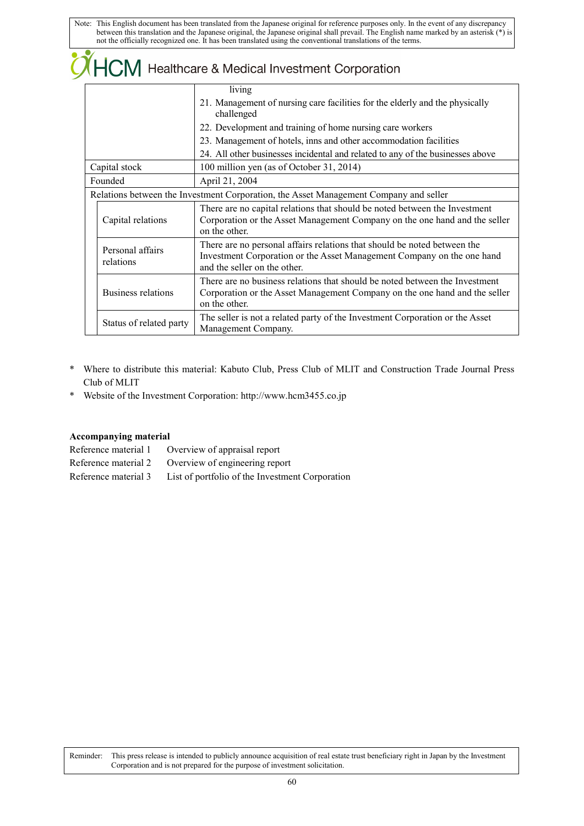|  |                               | $\mathsf H$ $\mathsf C$ , $\mathsf M$ Healthcare & Medical Investment Corporation                                                                                                  |  |  |  |  |  |  |
|--|-------------------------------|------------------------------------------------------------------------------------------------------------------------------------------------------------------------------------|--|--|--|--|--|--|
|  |                               | living                                                                                                                                                                             |  |  |  |  |  |  |
|  |                               | 21. Management of nursing care facilities for the elderly and the physically<br>challenged                                                                                         |  |  |  |  |  |  |
|  |                               | 22. Development and training of home nursing care workers                                                                                                                          |  |  |  |  |  |  |
|  |                               | 23. Management of hotels, inns and other accommodation facilities                                                                                                                  |  |  |  |  |  |  |
|  |                               | 24. All other businesses incidental and related to any of the businesses above                                                                                                     |  |  |  |  |  |  |
|  | Capital stock                 | 100 million yen (as of October 31, 2014)                                                                                                                                           |  |  |  |  |  |  |
|  | Founded                       | April 21, 2004                                                                                                                                                                     |  |  |  |  |  |  |
|  |                               | Relations between the Investment Corporation, the Asset Management Company and seller                                                                                              |  |  |  |  |  |  |
|  | Capital relations             | There are no capital relations that should be noted between the Investment<br>Corporation or the Asset Management Company on the one hand and the seller<br>on the other.          |  |  |  |  |  |  |
|  | Personal affairs<br>relations | There are no personal affairs relations that should be noted between the<br>Investment Corporation or the Asset Management Company on the one hand<br>and the seller on the other. |  |  |  |  |  |  |
|  | Business relations            | There are no business relations that should be noted between the Investment<br>Corporation or the Asset Management Company on the one hand and the seller<br>on the other.         |  |  |  |  |  |  |
|  | Status of related party       | The seller is not a related party of the Investment Corporation or the Asset<br>Management Company.                                                                                |  |  |  |  |  |  |

- \* Where to distribute this material: Kabuto Club, Press Club of MLIT and Construction Trade Journal Press Club of MLIT
- \* Website of the Investment Corporation: http://www.hcm3455.co.jp

### **Accompanying material**

 $\alpha$ 

Reference material 1 Overview of appraisal report Reference material 2 Overview of engineering report Reference material 3 List of portfolio of the Investment Corporation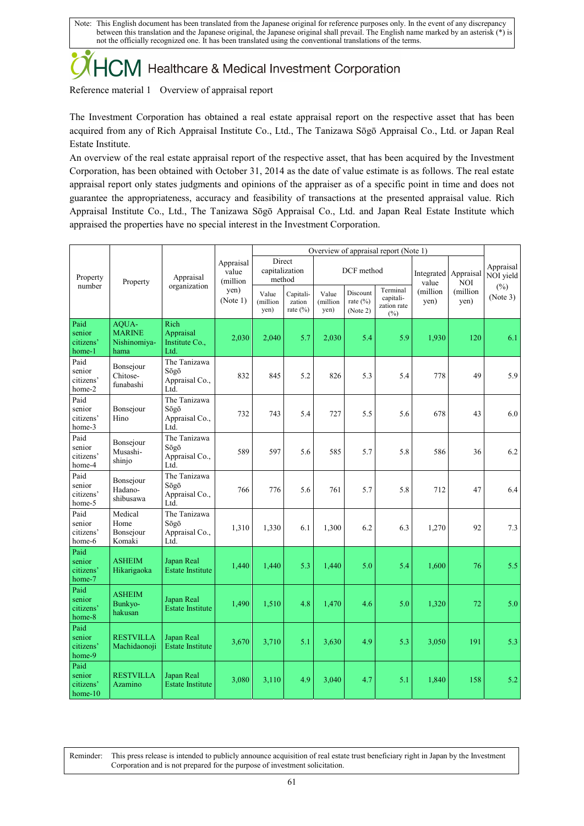## 

Reference material 1 Overview of appraisal report

The Investment Corporation has obtained a real estate appraisal report on the respective asset that has been acquired from any of Rich Appraisal Institute Co., Ltd., The Tanizawa Sōgō Appraisal Co., Ltd. or Japan Real Estate Institute.

An overview of the real estate appraisal report of the respective asset, that has been acquired by the Investment Corporation, has been obtained with October 31, 2014 as the date of value estimate is as follows. The real estate appraisal report only states judgments and opinions of the appraiser as of a specific point in time and does not guarantee the appropriateness, accuracy and feasibility of transactions at the presented appraisal value. Rich Appraisal Institute Co., Ltd., The Tanizawa Sōgō Appraisal Co., Ltd. and Japan Real Estate Institute which appraised the properties have no special interest in the Investment Corporation.

|                                          | Property                                       | Appraisal                                      |                                                    | Overview of appraisal report (Note 1) |                                     |                           |                                      |                                                |                               |                                        |                        |
|------------------------------------------|------------------------------------------------|------------------------------------------------|----------------------------------------------------|---------------------------------------|-------------------------------------|---------------------------|--------------------------------------|------------------------------------------------|-------------------------------|----------------------------------------|------------------------|
| Property                                 |                                                |                                                | Appraisal<br>value<br>(million<br>yen)<br>(Note 1) | Direct<br>capitalization<br>method    |                                     | DCF method                |                                      |                                                | Integrated Appraisal<br>value | <b>NOI</b>                             | Appraisal<br>NOI yield |
| number                                   |                                                | organization                                   |                                                    | Value<br>(million<br>yen)             | Capitali-<br>zation<br>rate $(\% )$ | Value<br>(million<br>yen) | Discount<br>rate $(\% )$<br>(Note 2) | Terminal<br>capitali-<br>zation rate<br>$(\%)$ | (million<br>yen)              | $(\%)$<br>(million<br>(Note 3)<br>yen) |                        |
| Paid<br>senior<br>citizens'<br>home-1    | AQUA-<br><b>MARINE</b><br>Nishinomiya-<br>hama | Rich<br>Appraisal<br>Institute Co.,<br>Ltd.    | 2,030                                              | 2,040                                 | 5.7                                 | 2,030                     | 5.4                                  | 5.9                                            | 1,930                         | 120                                    | 6.1                    |
| Paid<br>senior<br>citizens'<br>home-2    | Bonsejour<br>Chitose-<br>funabashi             | The Tanizawa<br>Sōgō<br>Appraisal Co.,<br>Ltd. | 832                                                | 845                                   | 5.2                                 | 826                       | 5.3                                  | 5.4                                            | 778                           | 49                                     | 5.9                    |
| Paid<br>senior<br>citizens'<br>home-3    | Bonsejour<br>Hino                              | The Tanizawa<br>Sōgō<br>Appraisal Co.,<br>Ltd. | 732                                                | 743                                   | 5.4                                 | 727                       | 5.5                                  | 5.6                                            | 678                           | 43                                     | 6.0                    |
| Paid<br>senior<br>citizens'<br>home-4    | Bonsejour<br>Musashi-<br>shinjo                | The Tanizawa<br>Sōgō<br>Appraisal Co.,<br>Ltd. | 589                                                | 597                                   | 5.6                                 | 585                       | 5.7                                  | 5.8                                            | 586                           | 36                                     | 6.2                    |
| Paid<br>senior<br>citizens'<br>home-5    | Bonsejour<br>Hadano-<br>shibusawa              | The Tanizawa<br>Sōgō<br>Appraisal Co.,<br>Ltd. | 766                                                | 776                                   | 5.6                                 | 761                       | 5.7                                  | 5.8                                            | 712                           | 47                                     | 6.4                    |
| Paid<br>senior<br>citizens'<br>home-6    | Medical<br>Home<br>Bonsejour<br>Komaki         | The Tanizawa<br>Sōgō<br>Appraisal Co.,<br>Ltd. | 1,310                                              | 1,330                                 | 6.1                                 | 1,300                     | 6.2                                  | 6.3                                            | 1,270                         | 92                                     | 7.3                    |
| Paid<br>senior<br>citizens'<br>home-7    | <b>ASHEIM</b><br>Hikarigaoka                   | Japan Real<br><b>Estate Institute</b>          | 1,440                                              | 1,440                                 | 5.3                                 | 1,440                     | 5.0                                  | 5.4                                            | 1,600                         | 76                                     | 5.5                    |
| Paid<br>senior<br>citizens'<br>home-8    | <b>ASHEIM</b><br>Bunkyo-<br>hakusan            | Japan Real<br><b>Estate Institute</b>          | 1,490                                              | 1,510                                 | 4.8                                 | 1,470                     | 4.6                                  | 5.0                                            | 1,320                         | 72                                     | 5.0                    |
| Paid<br>senior<br>citizens'<br>home-9    | RESTVILLA<br>Machidaonoji                      | Japan Real<br><b>Estate Institute</b>          | 3,670                                              | 3,710                                 | 5.1                                 | 3,630                     | 4.9                                  | 5.3                                            | 3,050                         | 191                                    | 5.3                    |
| Paid<br>senior<br>citizens'<br>$home-10$ | RESTVILLA<br><b>Azamino</b>                    | Japan Real<br><b>Estate Institute</b>          | 3,080                                              | 3,110                                 | 4.9                                 | 3,040                     | 4.7                                  | 5.1                                            | 1,840                         | 158                                    | 5.2                    |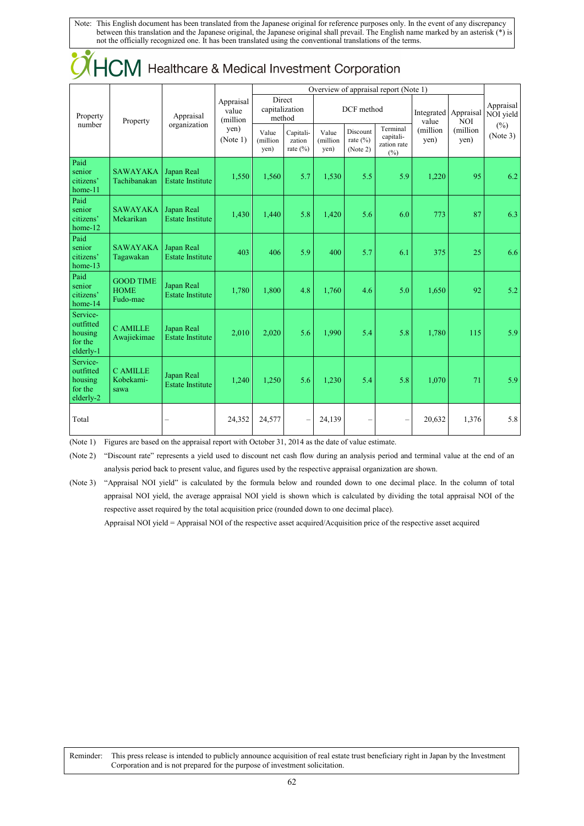| $\mathcal{N}$ . The set of $\mathcal{N}$                 |                                             |                                       |                                 |                                       |                                     |                           |                                      |                                                |                               |                   |                        |
|----------------------------------------------------------|---------------------------------------------|---------------------------------------|---------------------------------|---------------------------------------|-------------------------------------|---------------------------|--------------------------------------|------------------------------------------------|-------------------------------|-------------------|------------------------|
|                                                          |                                             |                                       |                                 | Overview of appraisal report (Note 1) |                                     |                           |                                      |                                                |                               |                   |                        |
| Property<br>number                                       | Property                                    | Appraisal<br>organization             | Appraisal<br>value<br>(million) | Direct<br>capitalization<br>method    |                                     | DCF method                |                                      |                                                | Integrated Appraisal<br>value | <b>NOI</b>        | Appraisal<br>NOI yield |
|                                                          |                                             |                                       | yen)<br>(Note 1)                | Value<br>(million<br>yen)             | Capitali-<br>zation<br>rate $(\% )$ | Value<br>(million<br>yen) | Discount<br>rate $(\% )$<br>(Note 2) | Terminal<br>capitali-<br>zation rate<br>$(\%)$ | (million<br>yen)              | (million)<br>yen) | $(\%)$<br>(Note 3)     |
| Paid<br>senior<br>citizens'<br>home-11                   | <b>SAWAYAKA</b><br>Tachibanakan             | Japan Real<br><b>Estate Institute</b> | 1,550                           | 1,560                                 | 5.7                                 | 1,530                     | 5.5                                  | 5.9                                            | 1,220                         | 95                | 6.2                    |
| Paid<br>senior<br>citizens'<br>home-12                   | <b>SAWAYAKA</b><br>Mekarikan                | Japan Real<br><b>Estate Institute</b> | 1,430                           | 1,440                                 | 5.8                                 | 1,420                     | 5.6                                  | 6.0                                            | 773                           | 87                | 6.3                    |
| Paid<br>senior<br>citizens'<br>home-13                   | <b>SAWAYAKA</b><br>Tagawakan                | Japan Real<br><b>Estate Institute</b> | 403                             | 406                                   | 5.9                                 | 400                       | 5.7                                  | 6.1                                            | 375                           | 25                | 6.6                    |
| Paid<br>senior<br>citizens'<br>home-14                   | <b>GOOD TIME</b><br><b>HOME</b><br>Fudo-mae | Japan Real<br><b>Estate Institute</b> | 1,780                           | 1,800                                 | 4.8                                 | 1,760                     | 4.6                                  | 5.0                                            | 1,650                         | 92                | 5.2                    |
| Service-<br>outfitted<br>housing<br>for the<br>elderly-1 | <b>CAMILLE</b><br>Awajiekimae               | Japan Real<br><b>Estate Institute</b> | 2,010                           | 2,020                                 | 5.6                                 | 1.990                     | 5.4                                  | 5.8                                            | 1,780                         | 115               | 5.9                    |
| Service-<br>outfitted<br>housing<br>for the<br>elderly-2 | <b>C AMILLE</b><br>Kobekami-<br>sawa        | Japan Real<br><b>Estate Institute</b> | 1,240                           | 1,250                                 | 5.6                                 | 1,230                     | 5.4                                  | 5.8                                            | 1,070                         | 71                | 5.9                    |
| Total                                                    |                                             |                                       | 24,352                          | 24,577                                | $\overline{\phantom{0}}$            | 24,139                    |                                      |                                                | 20,632                        | 1,376             | 5.8                    |

## **OHCM** Healthcare & Medical Investment Corporation

(Note 1) Figures are based on the appraisal report with October 31, 2014 as the date of value estimate.

(Note 2) "Discount rate" represents a yield used to discount net cash flow during an analysis period and terminal value at the end of an analysis period back to present value, and figures used by the respective appraisal organization are shown.

(Note 3) "Appraisal NOI yield" is calculated by the formula below and rounded down to one decimal place. In the column of total appraisal NOI yield, the average appraisal NOI yield is shown which is calculated by dividing the total appraisal NOI of the respective asset required by the total acquisition price (rounded down to one decimal place).

Appraisal NOI yield = Appraisal NOI of the respective asset acquired/Acquisition price of the respective asset acquired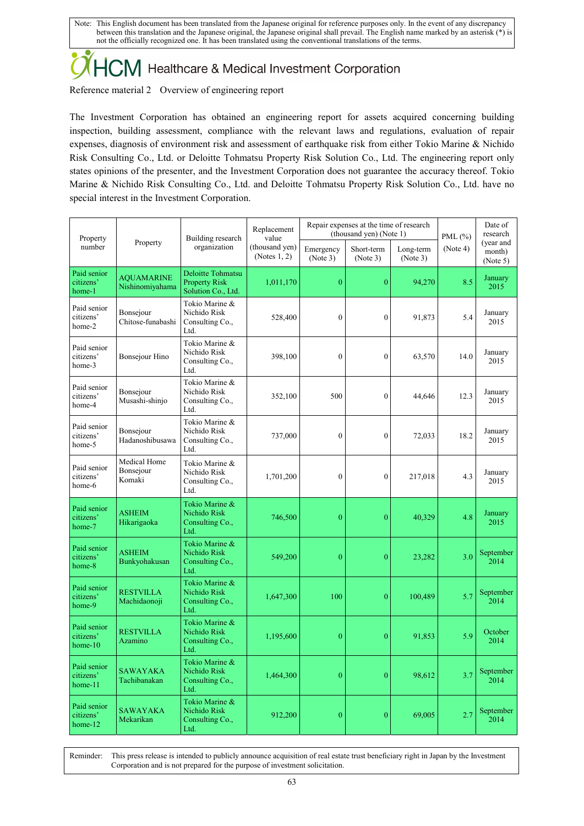## 

Reference material 2 Overview of engineering report

The Investment Corporation has obtained an engineering report for assets acquired concerning building inspection, building assessment, compliance with the relevant laws and regulations, evaluation of repair expenses, diagnosis of environment risk and assessment of earthquake risk from either Tokio Marine & Nichido Risk Consulting Co., Ltd. or Deloitte Tohmatsu Property Risk Solution Co., Ltd. The engineering report only states opinions of the presenter, and the Investment Corporation does not guarantee the accuracy thereof. Tokio Marine & Nichido Risk Consulting Co., Ltd. and Deloitte Tohmatsu Property Risk Solution Co., Ltd. have no special interest in the Investment Corporation.

| Property<br>number                    | Property                             | Building research<br>organization                               | Replacement<br>value<br>(thousand yen)<br>(Notes $1, 2$ ) | Repair expenses at the time of research<br>(thousand yen) (Note 1) |                        |                       | PML $(\%)$ | Date of<br>research             |
|---------------------------------------|--------------------------------------|-----------------------------------------------------------------|-----------------------------------------------------------|--------------------------------------------------------------------|------------------------|-----------------------|------------|---------------------------------|
|                                       |                                      |                                                                 |                                                           | Emergency<br>(Note 3)                                              | Short-term<br>(Note 3) | Long-term<br>(Note 3) | (Note 4)   | (year and<br>month)<br>(Note 5) |
| Paid senior<br>citizens'<br>home-1    | <b>AQUAMARINE</b><br>Nishinomiyahama | Deloitte Tohmatsu<br><b>Property Risk</b><br>Solution Co., Ltd. | 1,011,170                                                 | $\overline{0}$                                                     | $\boldsymbol{0}$       | 94,270                | 8.5        | January<br>2015                 |
| Paid senior<br>citizens'<br>home-2    | Bonsejour<br>Chitose-funabashi       | Tokio Marine &<br>Nichido Risk<br>Consulting Co.,<br>Ltd.       | 528,400                                                   | $\boldsymbol{0}$                                                   | $\boldsymbol{0}$       | 91,873                | 5.4        | January<br>2015                 |
| Paid senior<br>citizens'<br>home-3    | Bonsejour Hino                       | Tokio Marine &<br>Nichido Risk<br>Consulting Co.,<br>Ltd.       | 398,100                                                   | $\overline{0}$                                                     | $\boldsymbol{0}$       | 63,570                | 14.0       | January<br>2015                 |
| Paid senior<br>citizens'<br>home-4    | Bonsejour<br>Musashi-shinjo          | Tokio Marine &<br>Nichido Risk<br>Consulting Co.,<br>Ltd.       | 352,100                                                   | 500                                                                | $\boldsymbol{0}$       | 44,646                | 12.3       | January<br>2015                 |
| Paid senior<br>citizens'<br>home-5    | Bonsejour<br>Hadanoshibusawa         | Tokio Marine &<br>Nichido Risk<br>Consulting Co.,<br>Ltd.       | 737,000                                                   | $\mathbf{0}$                                                       | $\mathbf{0}$           | 72,033                | 18.2       | January<br>2015                 |
| Paid senior<br>citizens'<br>home-6    | Medical Home<br>Bonsejour<br>Komaki  | Tokio Marine &<br>Nichido Risk<br>Consulting Co.,<br>Ltd.       | 1,701,200                                                 | $\boldsymbol{0}$                                                   | $\boldsymbol{0}$       | 217,018               | 4.3        | January<br>2015                 |
| Paid senior<br>citizens'<br>home-7    | <b>ASHEIM</b><br>Hikarigaoka         | Tokio Marine &<br>Nichido Risk<br>Consulting Co.,<br>Ltd.       | 746,500                                                   | $\boldsymbol{0}$                                                   | $\boldsymbol{0}$       | 40,329                | 4.8        | January<br>2015                 |
| Paid senior<br>citizens'<br>home-8    | <b>ASHEIM</b><br>Bunkyohakusan       | Tokio Marine &<br>Nichido Risk<br>Consulting Co.,<br>Ltd.       | 549,200                                                   | $\boldsymbol{0}$                                                   | $\boldsymbol{0}$       | 23,282                | 3.0        | September<br>2014               |
| Paid senior<br>citizens'<br>home-9    | <b>RESTVILLA</b><br>Machidaonoji     | Tokio Marine &<br>Nichido Risk<br>Consulting Co.,<br>Ltd.       | 1,647,300                                                 | 100                                                                | $\boldsymbol{0}$       | 100,489               | 5.7        | September<br>2014               |
| Paid senior<br>citizens'<br>$home-10$ | <b>RESTVILLA</b><br>Azamino          | Tokio Marine &<br>Nichido Risk<br>Consulting Co.,<br>Ltd.       | 1,195,600                                                 | $\boldsymbol{0}$                                                   | $\boldsymbol{0}$       | 91,853                | 5.9        | October<br>2014                 |
| Paid senior<br>citizens'<br>home-11   | <b>SAWAYAKA</b><br>Tachibanakan      | Tokio Marine &<br>Nichido Risk<br>Consulting Co.,<br>Ltd.       | 1,464,300                                                 | $\overline{0}$                                                     | $\boldsymbol{0}$       | 98,612                | 3.7        | September<br>2014               |
| Paid senior<br>citizens'<br>home-12   | <b>SAWAYAKA</b><br>Mekarikan         | Tokio Marine &<br>Nichido Risk<br>Consulting Co.,<br>Ltd.       | 912,200                                                   | $\boldsymbol{0}$                                                   | $\boldsymbol{0}$       | 69,005                | 2.7        | September<br>2014               |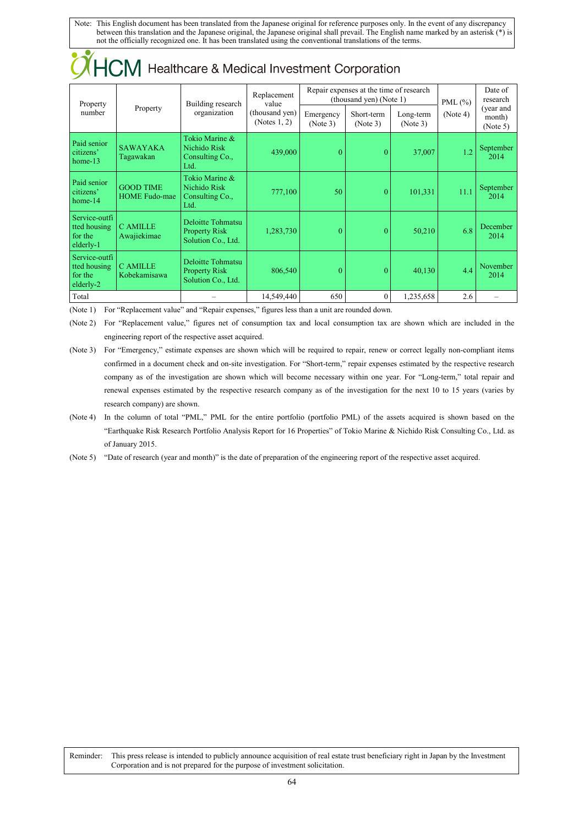| I IUIVI<br><u>Healthcard &amp; McGical Investment Corporation</u> |                                          |                                                                 |                                                           |                                                                    |                        |                       |             |                                 |  |
|-------------------------------------------------------------------|------------------------------------------|-----------------------------------------------------------------|-----------------------------------------------------------|--------------------------------------------------------------------|------------------------|-----------------------|-------------|---------------------------------|--|
| Property<br>number                                                | Property                                 | Building research<br>organization                               | Replacement<br>value<br>(thousand yen)<br>(Notes $1, 2$ ) | Repair expenses at the time of research<br>(thousand yen) (Note 1) |                        |                       | PML $(\% )$ | Date of<br>research             |  |
|                                                                   |                                          |                                                                 |                                                           | Emergency<br>(Note 3)                                              | Short-term<br>(Note 3) | Long-term<br>(Note 3) | (Note 4)    | (year and<br>month)<br>(Note 5) |  |
| Paid senior<br>citizens'<br>$home-13$                             | <b>SAWAYAKA</b><br>Tagawakan             | Tokio Marine &<br>Nichido Risk<br>Consulting Co.,<br>Ltd.       | 439,000                                                   | $\overline{0}$                                                     | $\theta$               | 37,007                | 1.2         | September<br>2014               |  |
| Paid senior<br>citizens'<br>$home-14$                             | <b>GOOD TIME</b><br><b>HOME Fudo-mae</b> | Tokio Marine &<br>Nichido Risk<br>Consulting Co.,<br>Ltd.       | 777,100                                                   | 50                                                                 | $\Omega$               | 101,331               | 11.1        | September<br>2014               |  |
| Service-outfi<br>tted housing<br>for the<br>elderly-1             | <b>C AMILLE</b><br>Awajiekimae           | Deloitte Tohmatsu<br><b>Property Risk</b><br>Solution Co., Ltd. | 1,283,730                                                 | $\theta$                                                           | $\theta$               | 50,210                | 6.8         | December<br>2014                |  |
| Service-outfi<br>tted housing<br>for the<br>elderly-2             | <b>C AMILLE</b><br>Kobekamisawa          | Deloitte Tohmatsu<br><b>Property Risk</b><br>Solution Co., Ltd. | 806,540                                                   | $\Omega$                                                           | $\theta$               | 40,130                | 4.4         | November<br>2014                |  |
| Total                                                             |                                          |                                                                 | 14,549,440                                                | 650                                                                | $\Omega$               | 1,235,658             | 2.6         |                                 |  |

 $\chi$   $HCM$  Healthcare & Medical Investment Corporation

(Note 1) For "Replacement value" and "Repair expenses," figures less than a unit are rounded down.

(Note 2) For "Replacement value," figures net of consumption tax and local consumption tax are shown which are included in the engineering report of the respective asset acquired.

(Note 3) For "Emergency," estimate expenses are shown which will be required to repair, renew or correct legally non-compliant items confirmed in a document check and on-site investigation. For "Short-term," repair expenses estimated by the respective research company as of the investigation are shown which will become necessary within one year. For "Long-term," total repair and renewal expenses estimated by the respective research company as of the investigation for the next 10 to 15 years (varies by research company) are shown.

(Note 4) In the column of total "PML," PML for the entire portfolio (portfolio PML) of the assets acquired is shown based on the "Earthquake Risk Research Portfolio Analysis Report for 16 Properties" of Tokio Marine & Nichido Risk Consulting Co., Ltd. as of January 2015.

(Note 5) "Date of research (year and month)" is the date of preparation of the engineering report of the respective asset acquired.